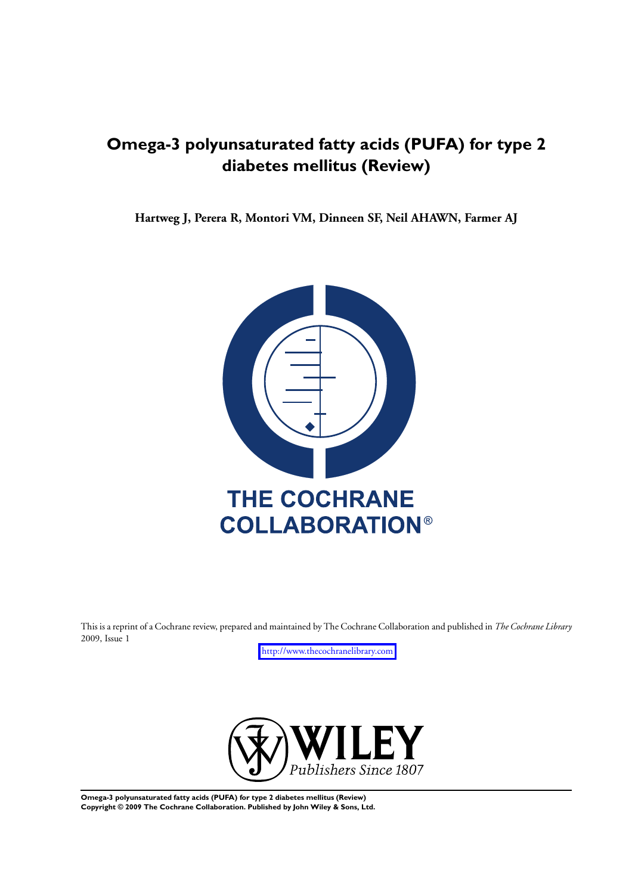# **Omega-3 polyunsaturated fatty acids (PUFA) for type 2 diabetes mellitus (Review)**

**Hartweg J, Perera R, Montori VM, Dinneen SF, Neil AHAWN, Farmer AJ**



This is a reprint of a Cochrane review, prepared and maintained by The Cochrane Collaboration and published in *The Cochrane Library* 2009, Issue 1

<http://www.thecochranelibrary.com>



**Omega-3 polyunsaturated fatty acids (PUFA) for type 2 diabetes mellitus (Review) Copyright © 2009 The Cochrane Collaboration. Published by John Wiley & Sons, Ltd.**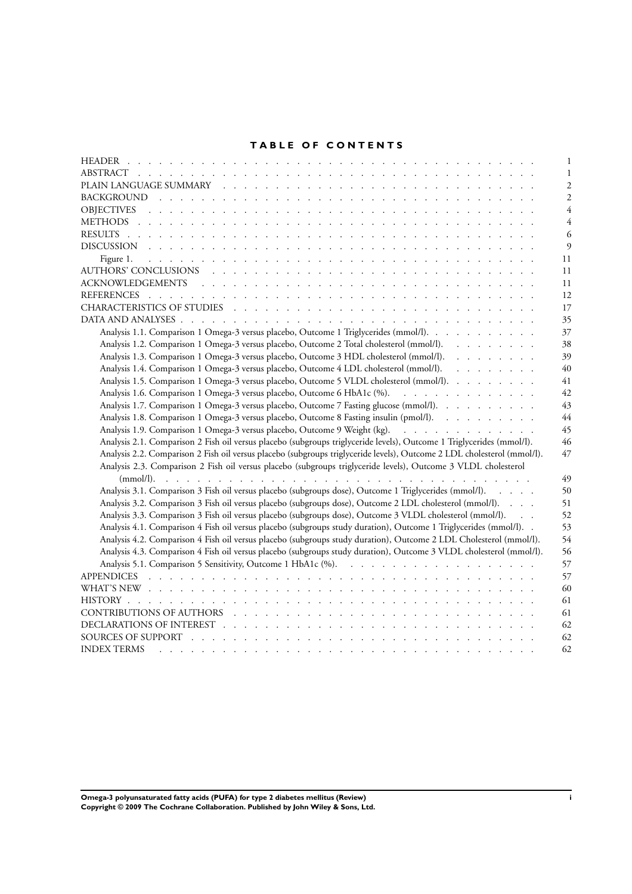# **TABLE OF CONTENTS**

| 1                                                                                                                                                                                                                                    |
|--------------------------------------------------------------------------------------------------------------------------------------------------------------------------------------------------------------------------------------|
| 1                                                                                                                                                                                                                                    |
| $\overline{2}$                                                                                                                                                                                                                       |
| $\overline{2}$                                                                                                                                                                                                                       |
| 4                                                                                                                                                                                                                                    |
| 4                                                                                                                                                                                                                                    |
| 6                                                                                                                                                                                                                                    |
| 9                                                                                                                                                                                                                                    |
| 11                                                                                                                                                                                                                                   |
| 11                                                                                                                                                                                                                                   |
| 11                                                                                                                                                                                                                                   |
| 12                                                                                                                                                                                                                                   |
| 17                                                                                                                                                                                                                                   |
| 35                                                                                                                                                                                                                                   |
| Analysis 1.1. Comparison 1 Omega-3 versus placebo, Outcome 1 Triglycerides (mmol/l).<br>37                                                                                                                                           |
| Analysis 1.2. Comparison 1 Omega-3 versus placebo, Outcome 2 Total cholesterol (mmol/l).<br>38                                                                                                                                       |
| Analysis 1.3. Comparison 1 Omega-3 versus placebo, Outcome 3 HDL cholesterol (mmol/l).<br>39                                                                                                                                         |
| Analysis 1.4. Comparison 1 Omega-3 versus placebo, Outcome 4 LDL cholesterol (mmol/l).<br>40                                                                                                                                         |
| Analysis 1.5. Comparison 1 Omega-3 versus placebo, Outcome 5 VLDL cholesterol (mmol/l).<br>41                                                                                                                                        |
| Analysis 1.6. Comparison 1 Omega-3 versus placebo, Outcome 6 HbA1c (%).<br>42                                                                                                                                                        |
| Analysis 1.7. Comparison 1 Omega-3 versus placebo, Outcome 7 Fasting glucose (mmol/l).<br>43                                                                                                                                         |
| Analysis 1.8. Comparison 1 Omega-3 versus placebo, Outcome 8 Fasting insulin (pmol/l).<br>44                                                                                                                                         |
| Analysis 1.9. Comparison 1 Omega-3 versus placebo, Outcome 9 Weight (kg).<br>45                                                                                                                                                      |
| Analysis 2.1. Comparison 2 Fish oil versus placebo (subgroups triglyceride levels), Outcome 1 Triglycerides (mmol/l).<br>46                                                                                                          |
| Analysis 2.2. Comparison 2 Fish oil versus placebo (subgroups triglyceride levels), Outcome 2 LDL cholesterol (mmol/l).<br>47                                                                                                        |
| Analysis 2.3. Comparison 2 Fish oil versus placebo (subgroups triglyceride levels), Outcome 3 VLDL cholesterol                                                                                                                       |
| 49                                                                                                                                                                                                                                   |
| Analysis 3.1. Comparison 3 Fish oil versus placebo (subgroups dose), Outcome 1 Triglycerides (mmol/l).<br>50                                                                                                                         |
| Analysis 3.2. Comparison 3 Fish oil versus placebo (subgroups dose), Outcome 2 LDL cholesterol (mmol/l).<br>51                                                                                                                       |
| Analysis 3.3. Comparison 3 Fish oil versus placebo (subgroups dose), Outcome 3 VLDL cholesterol (mmol/l).<br>52                                                                                                                      |
| Analysis 4.1. Comparison 4 Fish oil versus placebo (subgroups study duration), Outcome 1 Triglycerides (mmol/l). .<br>53                                                                                                             |
| Analysis 4.2. Comparison 4 Fish oil versus placebo (subgroups study duration), Outcome 2 LDL Cholesterol (mmol/l).<br>54                                                                                                             |
| Analysis 4.3. Comparison 4 Fish oil versus placebo (subgroups study duration), Outcome 3 VLDL cholesterol (mmol/l).<br>56                                                                                                            |
| 57                                                                                                                                                                                                                                   |
| 57                                                                                                                                                                                                                                   |
| WHAT'S NEW responsive to the contract of the contract of the contract of the contract of the contract of the contract of the contract of the contract of the contract of the contract of the contract of the contract of the c<br>60 |
| 61                                                                                                                                                                                                                                   |
| CONTRIBUTIONS OF AUTHORS (CONTRIBUTIONS) (CONTRIBUTIONS OF AUTHORS)<br>61                                                                                                                                                            |
| 62                                                                                                                                                                                                                                   |
| 62                                                                                                                                                                                                                                   |
| 62<br><b>INDEX TERMS</b><br><u>. In the second contract of the second contract of the second contract of the second</u>                                                                                                              |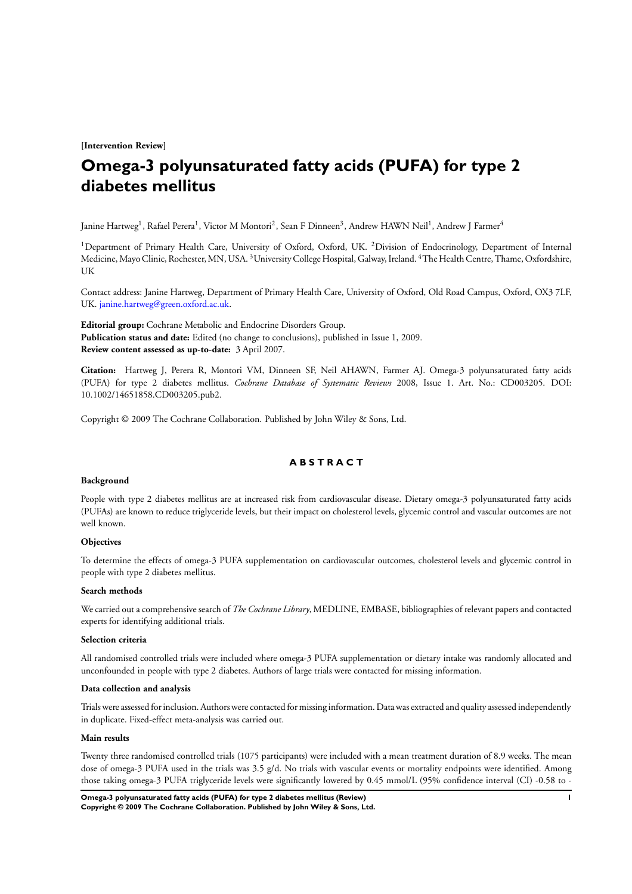**[Intervention Review]**

# **Omega-3 polyunsaturated fatty acids (PUFA) for type 2 diabetes mellitus**

Janine Hartweg<sup>1</sup>, Rafael Perera<sup>1</sup>, Victor M Montori<sup>2</sup>, Sean F Dinneen<sup>3</sup>, Andrew HAWN Neil<sup>1</sup>, Andrew J Farmer<sup>4</sup>

<sup>1</sup>Department of Primary Health Care, University of Oxford, Oxford, UK. <sup>2</sup>Division of Endocrinology, Department of Internal Medicine, Mayo Clinic, Rochester, MN, USA. <sup>3</sup>University College Hospital, Galway, Ireland. <sup>4</sup>The Health Centre, Thame, Oxfordshire, UK

Contact address: Janine Hartweg, Department of Primary Health Care, University of Oxford, Old Road Campus, Oxford, OX3 7LF, UK. [janine.hartweg@green.oxford.ac.uk.](mailto:janine.hartweg@green.oxford.ac.uk)

**Editorial group:** Cochrane Metabolic and Endocrine Disorders Group. **Publication status and date:** Edited (no change to conclusions), published in Issue 1, 2009. **Review content assessed as up-to-date:** 3 April 2007.

**Citation:** Hartweg J, Perera R, Montori VM, Dinneen SF, Neil AHAWN, Farmer AJ. Omega-3 polyunsaturated fatty acids (PUFA) for type 2 diabetes mellitus. *Cochrane Database of Systematic Reviews* 2008, Issue 1. Art. No.: CD003205. DOI: 10.1002/14651858.CD003205.pub2.

Copyright © 2009 The Cochrane Collaboration. Published by John Wiley & Sons, Ltd.

# **A B S T R A C T**

# **Background**

People with type 2 diabetes mellitus are at increased risk from cardiovascular disease. Dietary omega-3 polyunsaturated fatty acids (PUFAs) are known to reduce triglyceride levels, but their impact on cholesterol levels, glycemic control and vascular outcomes are not well known.

# **Objectives**

To determine the effects of omega-3 PUFA supplementation on cardiovascular outcomes, cholesterol levels and glycemic control in people with type 2 diabetes mellitus.

#### **Search methods**

We carried out a comprehensive search of *The Cochrane Library*, MEDLINE, EMBASE, bibliographies of relevant papers and contacted experts for identifying additional trials.

#### **Selection criteria**

All randomised controlled trials were included where omega-3 PUFA supplementation or dietary intake was randomly allocated and unconfounded in people with type 2 diabetes. Authors of large trials were contacted for missing information.

#### **Data collection and analysis**

Trials were assessed for inclusion. Authors were contacted for missing information. Data was extracted and quality assessed independently in duplicate. Fixed-effect meta-analysis was carried out.

#### **Main results**

Twenty three randomised controlled trials (1075 participants) were included with a mean treatment duration of 8.9 weeks. The mean dose of omega-3 PUFA used in the trials was 3.5 g/d. No trials with vascular events or mortality endpoints were identified. Among those taking omega-3 PUFA triglyceride levels were significantly lowered by 0.45 mmol/L (95% confidence interval (CI) -0.58 to -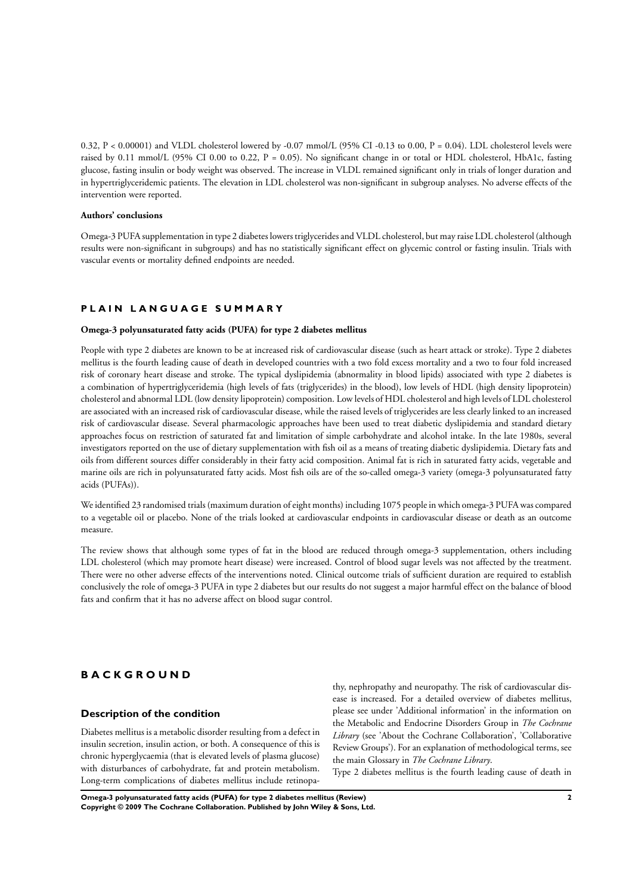0.32, P < 0.00001) and VLDL cholesterol lowered by -0.07 mmol/L (95% CI -0.13 to 0.00, P = 0.04). LDL cholesterol levels were raised by 0.11 mmol/L (95% CI 0.00 to 0.22, P = 0.05). No significant change in or total or HDL cholesterol, HbA1c, fasting glucose, fasting insulin or body weight was observed. The increase in VLDL remained significant only in trials of longer duration and in hypertriglyceridemic patients. The elevation in LDL cholesterol was non-significant in subgroup analyses. No adverse effects of the intervention were reported.

### **Authors' conclusions**

Omega-3 PUFA supplementation in type 2 diabetes lowers triglycerides and VLDL cholesterol, but may raise LDL cholesterol (although results were non-significant in subgroups) and has no statistically significant effect on glycemic control or fasting insulin. Trials with vascular events or mortality defined endpoints are needed.

# **P L A I N L A N G U A G E S U M M A R Y**

### **Omega-3 polyunsaturated fatty acids (PUFA) for type 2 diabetes mellitus**

People with type 2 diabetes are known to be at increased risk of cardiovascular disease (such as heart attack or stroke). Type 2 diabetes mellitus is the fourth leading cause of death in developed countries with a two fold excess mortality and a two to four fold increased risk of coronary heart disease and stroke. The typical dyslipidemia (abnormality in blood lipids) associated with type 2 diabetes is a combination of hypertriglyceridemia (high levels of fats (triglycerides) in the blood), low levels of HDL (high density lipoprotein) cholesterol and abnormal LDL (low density lipoprotein) composition. Low levels of HDL cholesterol and high levels of LDL cholesterol are associated with an increased risk of cardiovascular disease, while the raised levels of triglycerides are less clearly linked to an increased risk of cardiovascular disease. Several pharmacologic approaches have been used to treat diabetic dyslipidemia and standard dietary approaches focus on restriction of saturated fat and limitation of simple carbohydrate and alcohol intake. In the late 1980s, several investigators reported on the use of dietary supplementation with fish oil as a means of treating diabetic dyslipidemia. Dietary fats and oils from different sources differ considerably in their fatty acid composition. Animal fat is rich in saturated fatty acids, vegetable and marine oils are rich in polyunsaturated fatty acids. Most fish oils are of the so-called omega-3 variety (omega-3 polyunsaturated fatty acids (PUFAs)).

We identified 23 randomised trials (maximum duration of eight months) including 1075 people in which omega-3 PUFA was compared to a vegetable oil or placebo. None of the trials looked at cardiovascular endpoints in cardiovascular disease or death as an outcome measure.

The review shows that although some types of fat in the blood are reduced through omega-3 supplementation, others including LDL cholesterol (which may promote heart disease) were increased. Control of blood sugar levels was not affected by the treatment. There were no other adverse effects of the interventions noted. Clinical outcome trials of sufficient duration are required to establish conclusively the role of omega-3 PUFA in type 2 diabetes but our results do not suggest a major harmful effect on the balance of blood fats and confirm that it has no adverse affect on blood sugar control.

# **B A C K G R O U N D**

### **Description of the condition**

Diabetes mellitus is a metabolic disorder resulting from a defect in insulin secretion, insulin action, or both. A consequence of this is chronic hyperglycaemia (that is elevated levels of plasma glucose) with disturbances of carbohydrate, fat and protein metabolism. Long-term complications of diabetes mellitus include retinopathy, nephropathy and neuropathy. The risk of cardiovascular disease is increased. For a detailed overview of diabetes mellitus, please see under 'Additional information' in the information on the Metabolic and Endocrine Disorders Group in *The Cochrane Library* (see 'About the Cochrane Collaboration', 'Collaborative Review Groups'). For an explanation of methodological terms, see the main Glossary in *The Cochrane Library*.

Type 2 diabetes mellitus is the fourth leading cause of death in

**Omega-3 polyunsaturated fatty acids (PUFA) for type 2 diabetes mellitus (Review) 2 Copyright © 2009 The Cochrane Collaboration. Published by John Wiley & Sons, Ltd.**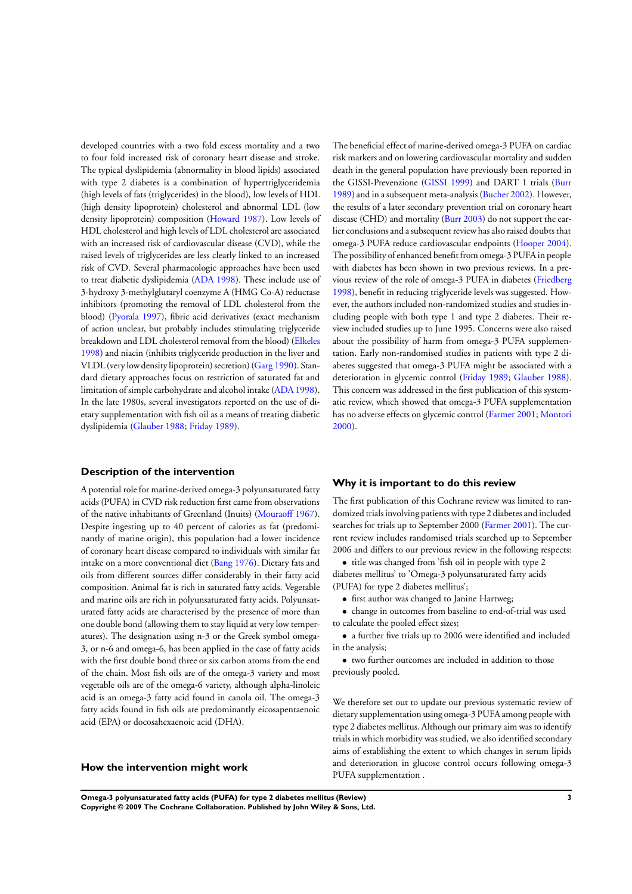developed countries with a two fold excess mortality and a two to four fold increased risk of coronary heart disease and stroke. The typical dyslipidemia (abnormality in blood lipids) associated with type 2 diabetes is a combination of hypertriglyceridemia (high levels of fats (triglycerides) in the blood), low levels of HDL (high density lipoprotein) cholesterol and abnormal LDL (low density lipoprotein) composition ([Howard 1987\)](#page-13-0). Low levels of HDL cholesterol and high levels of LDL cholesterol are associated with an increased risk of cardiovascular disease (CVD), while the raised levels of triglycerides are less clearly linked to an increased risk of CVD. Several pharmacologic approaches have been used to treat diabetic dyslipidemia [\(ADA 1998\)](#page-13-0). These include use of 3-hydroxy 3-methylglutaryl coenzyme A (HMG Co-A) reductase inhibitors (promoting the removal of LDL cholesterol from the blood) [\(Pyorala 1997\)](#page-13-0), fibric acid derivatives (exact mechanism of action unclear, but probably includes stimulating triglyceride breakdown and LDL cholesterol removal from the blood) [\(Elkeles](#page-13-0) [1998](#page-13-0)) and niacin (inhibits triglyceride production in the liver and VLDL (very low density lipoprotein) secretion) [\(Garg 1990](#page-13-0)). Standard dietary approaches focus on restriction of saturated fat and limitation of simple carbohydrate and alcohol intake [\(ADA 1998](#page-13-0)). In the late 1980s, several investigators reported on the use of dietary supplementation with fish oil as a means of treating diabetic dyslipidemia [\(Glauber 1988;](#page-13-0) [Friday 1989\)](#page-13-0).

#### **Description of the intervention**

A potential role for marine-derived omega-3 polyunsaturated fatty acids (PUFA) in CVD risk reduction first came from observations of the native inhabitants of Greenland (Inuits) ([Mouraoff 1967](#page-13-0)). Despite ingesting up to 40 percent of calories as fat (predominantly of marine origin), this population had a lower incidence of coronary heart disease compared to individuals with similar fat intake on a more conventional diet [\(Bang 1976\)](#page-13-0). Dietary fats and oils from different sources differ considerably in their fatty acid composition. Animal fat is rich in saturated fatty acids. Vegetable and marine oils are rich in polyunsaturated fatty acids. Polyunsaturated fatty acids are characterised by the presence of more than one double bond (allowing them to stay liquid at very low temperatures). The designation using n-3 or the Greek symbol omega-3, or n-6 and omega-6, has been applied in the case of fatty acids with the first double bond three or six carbon atoms from the end of the chain. Most fish oils are of the omega-3 variety and most vegetable oils are of the omega-6 variety, although alpha-linoleic acid is an omega-3 fatty acid found in canola oil. The omega-3 fatty acids found in fish oils are predominantly eicosapentaenoic acid (EPA) or docosahexaenoic acid (DHA).

### **How the intervention might work**

The beneficial effect of marine-derived omega-3 PUFA on cardiac risk markers and on lowering cardiovascular mortality and sudden death in the general population have previously been reported in the GISSI-Prevenzione [\(GISSI 1999](#page-13-0)) and DART 1 trials [\(Burr](#page-13-0) [1989](#page-13-0)) and in a subsequent meta-analysis [\(Bucher 2002\)](#page-13-0). However, the results of a later secondary prevention trial on coronary heart disease (CHD) and mortality [\(Burr 2003](#page-13-0)) do not support the earlier conclusions and a subsequent review has also raised doubts that omega-3 PUFA reduce cardiovascular endpoints ([Hooper 2004](#page-13-0)). The possibility of enhanced benefit from omega-3 PUFA in people with diabetes has been shown in two previous reviews. In a previous review of the role of omega-3 PUFA in diabetes [\(Friedberg](#page-13-0) [1998](#page-13-0)), benefit in reducing triglyceride levels was suggested. However, the authors included non-randomized studies and studies including people with both type 1 and type 2 diabetes. Their review included studies up to June 1995. Concerns were also raised about the possibility of harm from omega-3 PUFA supplementation. Early non-randomised studies in patients with type 2 diabetes suggested that omega-3 PUFA might be associated with a deterioration in glycemic control [\(Friday 1989;](#page-13-0) [Glauber 1988](#page-13-0)). This concern was addressed in the first publication of this systematic review, which showed that omega-3 PUFA supplementation has no adverse effects on glycemic control [\(Farmer 2001;](#page-13-0) [Montori](#page-13-0) [2000](#page-13-0)).

# **Why it is important to do this review**

The first publication of this Cochrane review was limited to randomized trials involving patients with type 2 diabetes and included searches for trials up to September 2000 [\(Farmer 2001\)](#page-13-0). The current review includes randomised trials searched up to September 2006 and differs to our previous review in the following respects:

• title was changed from 'fish oil in people with type 2 diabetes mellitus' to 'Omega-3 polyunsaturated fatty acids (PUFA) for type 2 diabetes mellitus';

- first author was changed to Janine Hartweg;
- change in outcomes from baseline to end-of-trial was used to calculate the pooled effect sizes;

• a further five trials up to 2006 were identified and included in the analysis;

• two further outcomes are included in addition to those previously pooled.

We therefore set out to update our previous systematic review of dietary supplementation using omega-3 PUFA among people with type 2 diabetes mellitus. Although our primary aim was to identify trials in which morbidity was studied, we also identified secondary aims of establishing the extent to which changes in serum lipids and deterioration in glucose control occurs following omega-3 PUFA supplementation .

**Omega-3 polyunsaturated fatty acids (PUFA) for type 2 diabetes mellitus (Review) 3 Copyright © 2009 The Cochrane Collaboration. Published by John Wiley & Sons, Ltd.**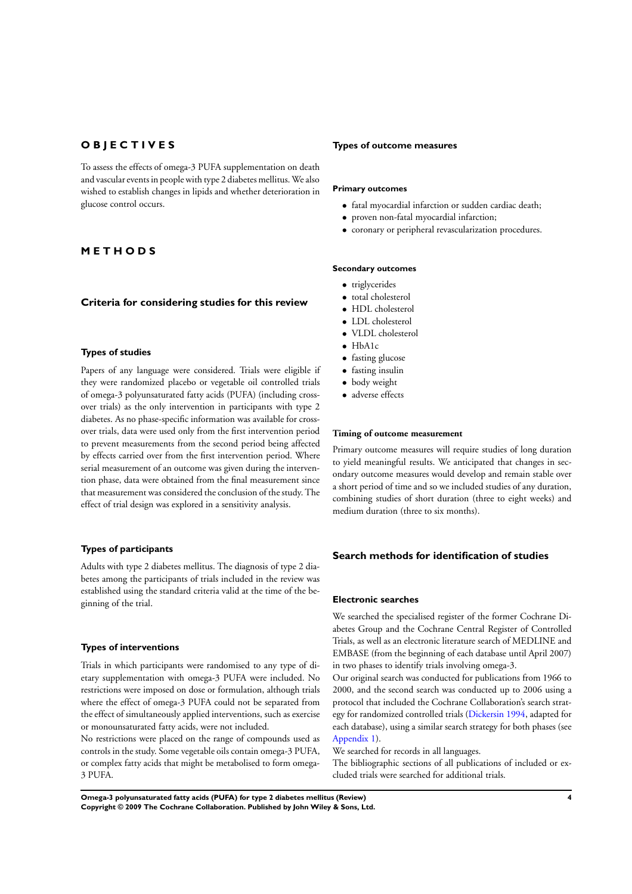# **O B J E C T I V E S**

To assess the effects of omega-3 PUFA supplementation on death and vascular events in people with type 2 diabetes mellitus. We also wished to establish changes in lipids and whether deterioration in glucose control occurs.

# **M E T H O D S**

#### **Criteria for considering studies for this review**

### **Types of studies**

Papers of any language were considered. Trials were eligible if they were randomized placebo or vegetable oil controlled trials of omega-3 polyunsaturated fatty acids (PUFA) (including crossover trials) as the only intervention in participants with type 2 diabetes. As no phase-specific information was available for crossover trials, data were used only from the first intervention period to prevent measurements from the second period being affected by effects carried over from the first intervention period. Where serial measurement of an outcome was given during the intervention phase, data were obtained from the final measurement since that measurement was considered the conclusion of the study. The effect of trial design was explored in a sensitivity analysis.

# **Types of participants**

Adults with type 2 diabetes mellitus. The diagnosis of type 2 diabetes among the participants of trials included in the review was established using the standard criteria valid at the time of the beginning of the trial.

### **Types of interventions**

Trials in which participants were randomised to any type of dietary supplementation with omega-3 PUFA were included. No restrictions were imposed on dose or formulation, although trials where the effect of omega-3 PUFA could not be separated from the effect of simultaneously applied interventions, such as exercise or monounsaturated fatty acids, were not included.

No restrictions were placed on the range of compounds used as controls in the study. Some vegetable oils contain omega-3 PUFA, or complex fatty acids that might be metabolised to form omega-3 PUFA.

#### **Types of outcome measures**

#### **Primary outcomes**

- fatal myocardial infarction or sudden cardiac death;
- proven non-fatal myocardial infarction;
- coronary or peripheral revascularization procedures.

#### **Secondary outcomes**

- triglycerides
- total cholesterol
- HDL cholesterol
- LDL cholesterol
- VLDL cholesterol
- HbA1c
- fasting glucose
- fasting insulin • body weight
- 
- adverse effects

#### **Timing of outcome measurement**

Primary outcome measures will require studies of long duration to yield meaningful results. We anticipated that changes in secondary outcome measures would develop and remain stable over a short period of time and so we included studies of any duration, combining studies of short duration (three to eight weeks) and medium duration (three to six months).

# **Search methods for identification of studies**

### **Electronic searches**

We searched the specialised register of the former Cochrane Diabetes Group and the Cochrane Central Register of Controlled Trials, as well as an electronic literature search of MEDLINE and EMBASE (from the beginning of each database until April 2007) in two phases to identify trials involving omega-3.

Our original search was conducted for publications from 1966 to 2000, and the second search was conducted up to 2006 using a protocol that included the Cochrane Collaboration's search strategy for randomized controlled trials ([Dickersin 1994,](#page-13-0) adapted for each database), using a similar search strategy for both phases (see [Appendix 1\)](#page-59-0).

We searched for records in all languages.

The bibliographic sections of all publications of included or excluded trials were searched for additional trials.

**Omega-3 polyunsaturated fatty acids (PUFA) for type 2 diabetes mellitus (Review) 4 Copyright © 2009 The Cochrane Collaboration. Published by John Wiley & Sons, Ltd.**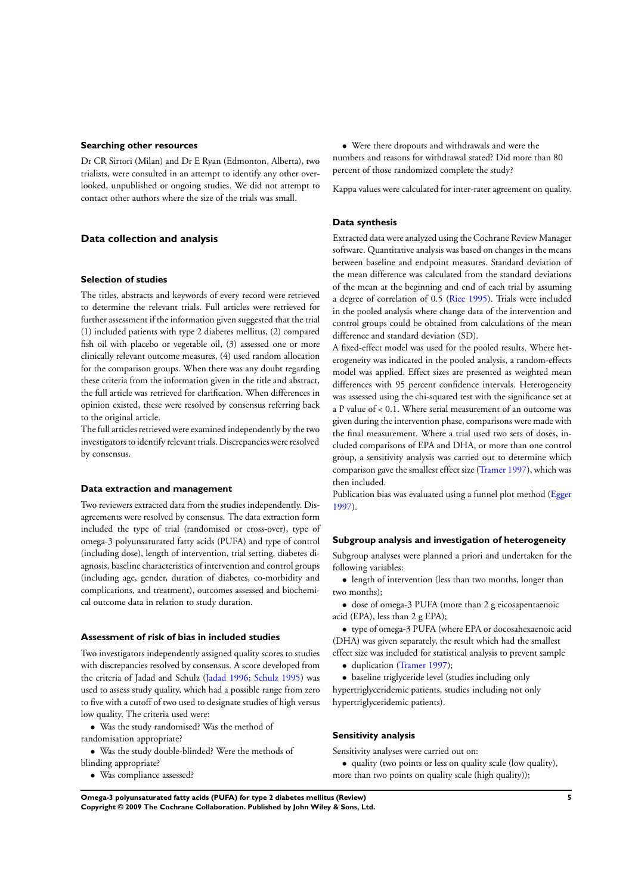# **Searching other resources**

Dr CR Sirtori (Milan) and Dr E Ryan (Edmonton, Alberta), two trialists, were consulted in an attempt to identify any other overlooked, unpublished or ongoing studies. We did not attempt to contact other authors where the size of the trials was small.

# **Data collection and analysis**

#### **Selection of studies**

The titles, abstracts and keywords of every record were retrieved to determine the relevant trials. Full articles were retrieved for further assessment if the information given suggested that the trial (1) included patients with type 2 diabetes mellitus, (2) compared fish oil with placebo or vegetable oil, (3) assessed one or more clinically relevant outcome measures, (4) used random allocation for the comparison groups. When there was any doubt regarding these criteria from the information given in the title and abstract, the full article was retrieved for clarification. When differences in opinion existed, these were resolved by consensus referring back to the original article.

The full articles retrieved were examined independently by the two investigators to identify relevant trials. Discrepancies were resolved by consensus.

#### **Data extraction and management**

Two reviewers extracted data from the studies independently. Disagreements were resolved by consensus. The data extraction form included the type of trial (randomised or cross-over), type of omega-3 polyunsaturated fatty acids (PUFA) and type of control (including dose), length of intervention, trial setting, diabetes diagnosis, baseline characteristics of intervention and control groups (including age, gender, duration of diabetes, co-morbidity and complications, and treatment), outcomes assessed and biochemical outcome data in relation to study duration.

### **Assessment of risk of bias in included studies**

Two investigators independently assigned quality scores to studies with discrepancies resolved by consensus. A score developed from the criteria of Jadad and Schulz ([Jadad 1996](#page-13-0); [Schulz 1995\)](#page-13-0) was used to assess study quality, which had a possible range from zero to five with a cutoff of two used to designate studies of high versus low quality. The criteria used were:

• Was the study randomised? Was the method of

- randomisation appropriate?
	- Was the study double-blinded? Were the methods of
- blinding appropriate?
	- Was compliance assessed?

• Were there dropouts and withdrawals and were the numbers and reasons for withdrawal stated? Did more than 80 percent of those randomized complete the study?

Kappa values were calculated for inter-rater agreement on quality.

#### **Data synthesis**

Extracted data were analyzed using the Cochrane Review Manager software. Quantitative analysis was based on changes in the means between baseline and endpoint measures. Standard deviation of the mean difference was calculated from the standard deviations of the mean at the beginning and end of each trial by assuming a degree of correlation of 0.5 ([Rice 1995](#page-13-0)). Trials were included in the pooled analysis where change data of the intervention and control groups could be obtained from calculations of the mean difference and standard deviation (SD).

A fixed-effect model was used for the pooled results. Where heterogeneity was indicated in the pooled analysis, a random-effects model was applied. Effect sizes are presented as weighted mean differences with 95 percent confidence intervals. Heterogeneity was assessed using the chi-squared test with the significance set at a P value of < 0.1. Where serial measurement of an outcome was given during the intervention phase, comparisons were made with the final measurement. Where a trial used two sets of doses, included comparisons of EPA and DHA, or more than one control group, a sensitivity analysis was carried out to determine which comparison gave the smallest effect size [\(Tramer 1997\)](#page-13-0), which was then included.

Publication bias was evaluated using a funnel plot method [\(Egger](#page-13-0) [1997](#page-13-0)).

### **Subgroup analysis and investigation of heterogeneity**

Subgroup analyses were planned a priori and undertaken for the following variables:

- length of intervention (less than two months, longer than two months);
- dose of omega-3 PUFA (more than 2 g eicosapentaenoic acid (EPA), less than 2 g EPA);
- type of omega-3 PUFA (where EPA or docosahexaenoic acid (DHA) was given separately, the result which had the smallest
- effect size was included for statistical analysis to prevent sample • duplication ([Tramer 1997](#page-13-0));

• baseline triglyceride level (studies including only hypertriglyceridemic patients, studies including not only hypertriglyceridemic patients).

### **Sensitivity analysis**

Sensitivity analyses were carried out on:

• quality (two points or less on quality scale (low quality), more than two points on quality scale (high quality));

**Omega-3 polyunsaturated fatty acids (PUFA) for type 2 diabetes mellitus (Review) 5 Copyright © 2009 The Cochrane Collaboration. Published by John Wiley & Sons, Ltd.**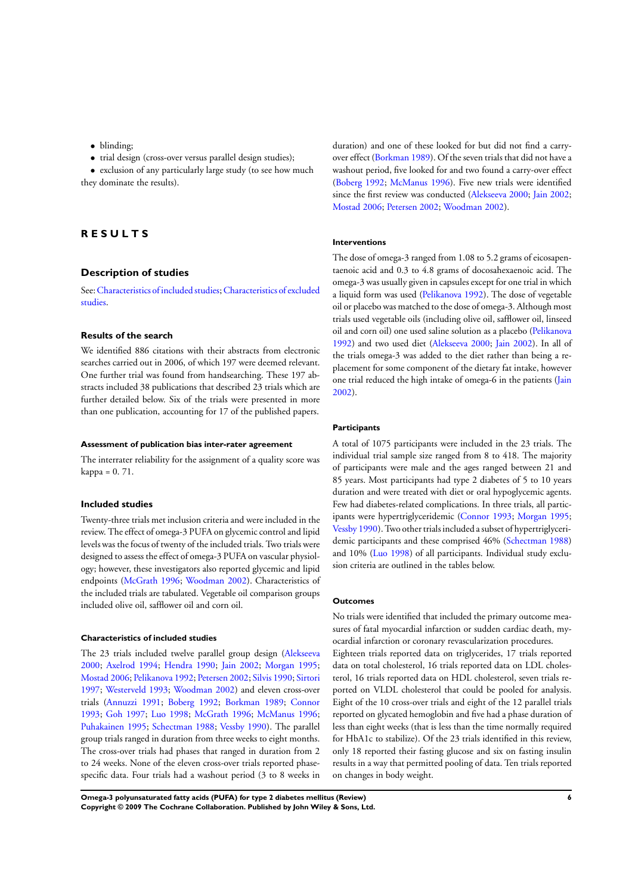• blinding;

• trial design (cross-over versus parallel design studies);

• exclusion of any particularly large study (to see how much they dominate the results).

# **R E S U L T S**

# **Description of studies**

See:[Characteristics of included studies;](#page-19-0)[Characteristics of excluded](#page-34-0) [studies.](#page-34-0)

# **Results of the search**

We identified 886 citations with their abstracts from electronic searches carried out in 2006, of which 197 were deemed relevant. One further trial was found from handsearching. These 197 abstracts included 38 publications that described 23 trials which are further detailed below. Six of the trials were presented in more than one publication, accounting for 17 of the published papers.

#### **Assessment of publication bias inter-rater agreement**

The interrater reliability for the assignment of a quality score was kappa = 0. 71.

# **Included studies**

Twenty-three trials met inclusion criteria and were included in the review. The effect of omega-3 PUFA on glycemic control and lipid levels was the focus of twenty of the included trials. Two trials were designed to assess the effect of omega-3 PUFA on vascular physiology; however, these investigators also reported glycemic and lipid endpoints ([McGrath 1996;](#page-13-0) [Woodman 2002](#page-13-0)). Characteristics of the included trials are tabulated. Vegetable oil comparison groups included olive oil, safflower oil and corn oil.

# **Characteristics of included studies**

The 23 trials included twelve parallel group design ([Alekseeva](#page-13-0) [2000](#page-13-0); [Axelrod 1994;](#page-13-0) [Hendra 1990;](#page-13-0) [Jain 2002;](#page-13-0) [Morgan 1995;](#page-13-0) [Mostad 2006](#page-13-0); [Pelikanova 1992](#page-13-0); [Petersen 2002](#page-13-0); [Silvis 1990](#page-13-0); [Sirtori](#page-13-0) [1997](#page-13-0); [Westerveld 1993](#page-13-0); [Woodman 2002](#page-13-0)) and eleven cross-over trials [\(Annuzzi 1991;](#page-13-0) [Boberg 1992](#page-13-0); [Borkman 1989](#page-13-0); [Connor](#page-13-0) [1993](#page-13-0); [Goh 1997;](#page-13-0) [Luo 1998](#page-13-0); [McGrath 1996;](#page-13-0) [McManus 1996;](#page-13-0) [Puhakainen 1995](#page-13-0); [Schectman 1988](#page-13-0); [Vessby 1990](#page-13-0)). The parallel group trials ranged in duration from three weeks to eight months. The cross-over trials had phases that ranged in duration from 2 to 24 weeks. None of the eleven cross-over trials reported phasespecific data. Four trials had a washout period (3 to 8 weeks in

duration) and one of these looked for but did not find a carryover effect ([Borkman 1989](#page-13-0)). Of the seven trials that did not have a washout period, five looked for and two found a carry-over effect [\(Boberg 1992;](#page-13-0) [McManus 1996\)](#page-13-0). Five new trials were identified since the first review was conducted ([Alekseeva 2000](#page-13-0); [Jain 2002;](#page-13-0) [Mostad 2006;](#page-13-0) [Petersen 2002;](#page-13-0) [Woodman 2002](#page-13-0)).

# **Interventions**

The dose of omega-3 ranged from 1.08 to 5.2 grams of eicosapentaenoic acid and 0.3 to 4.8 grams of docosahexaenoic acid. The omega-3 was usually given in capsules except for one trial in which a liquid form was used ([Pelikanova 1992](#page-13-0)). The dose of vegetable oil or placebo was matched to the dose of omega-3. Although most trials used vegetable oils (including olive oil, safflower oil, linseed oil and corn oil) one used saline solution as a placebo [\(Pelikanova](#page-13-0) [1992](#page-13-0)) and two used diet [\(Alekseeva 2000](#page-13-0); [Jain 2002](#page-13-0)). In all of the trials omega-3 was added to the diet rather than being a replacement for some component of the dietary fat intake, however one trial reduced the high intake of omega-6 in the patients ([Jain](#page-13-0) [2002](#page-13-0)).

### **Participants**

A total of 1075 participants were included in the 23 trials. The individual trial sample size ranged from 8 to 418. The majority of participants were male and the ages ranged between 21 and 85 years. Most participants had type 2 diabetes of 5 to 10 years duration and were treated with diet or oral hypoglycemic agents. Few had diabetes-related complications. In three trials, all participants were hypertriglyceridemic [\(Connor 1993;](#page-13-0) [Morgan 1995;](#page-13-0) [Vessby 1990\)](#page-13-0). Two other trials included a subset of hypertriglyceridemic participants and these comprised 46% ([Schectman 1988](#page-13-0)) and 10% ([Luo 1998\)](#page-13-0) of all participants. Individual study exclusion criteria are outlined in the tables below.

#### **Outcomes**

No trials were identified that included the primary outcome measures of fatal myocardial infarction or sudden cardiac death, myocardial infarction or coronary revascularization procedures.

Eighteen trials reported data on triglycerides, 17 trials reported data on total cholesterol, 16 trials reported data on LDL cholesterol, 16 trials reported data on HDL cholesterol, seven trials reported on VLDL cholesterol that could be pooled for analysis. Eight of the 10 cross-over trials and eight of the 12 parallel trials reported on glycated hemoglobin and five had a phase duration of less than eight weeks (that is less than the time normally required for HbA1c to stabilize). Of the 23 trials identified in this review, only 18 reported their fasting glucose and six on fasting insulin results in a way that permitted pooling of data. Ten trials reported on changes in body weight.

**Omega-3 polyunsaturated fatty acids (PUFA) for type 2 diabetes mellitus (Review) 6 Copyright © 2009 The Cochrane Collaboration. Published by John Wiley & Sons, Ltd.**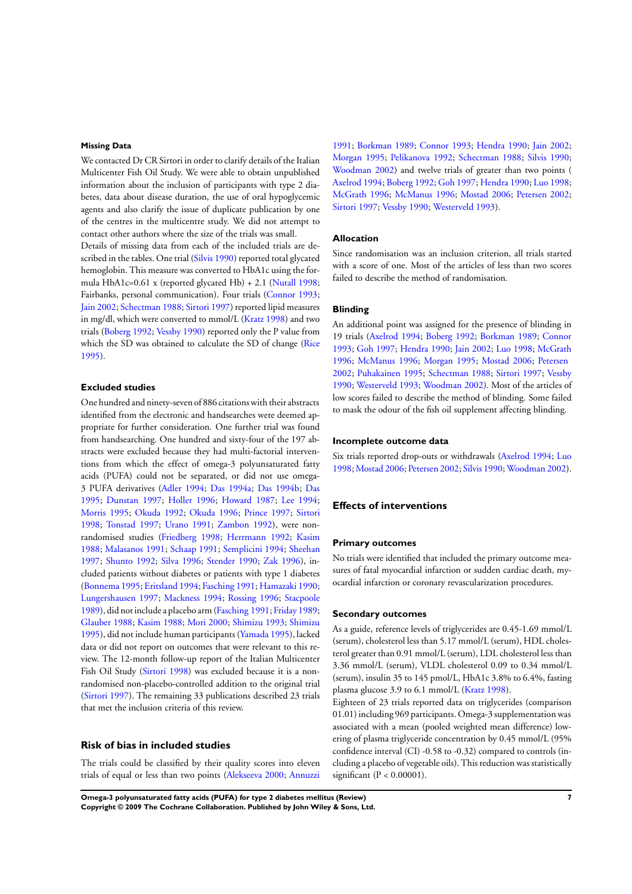# **Missing Data**

We contacted Dr CR Sirtori in order to clarify details of the Italian Multicenter Fish Oil Study. We were able to obtain unpublished information about the inclusion of participants with type 2 diabetes, data about disease duration, the use of oral hypoglycemic agents and also clarify the issue of duplicate publication by one of the centres in the multicentre study. We did not attempt to contact other authors where the size of the trials was small. Details of missing data from each of the included trials are de-scribed in the tables. One trial ([Silvis 1990](#page-13-0)) reported total glycated hemoglobin. This measure was converted to HbA1c using the formula HbA1c=0.61 x (reported glycated Hb) + 2.1 [\(Nutall 1998;](#page-13-0) Fairbanks, personal communication). Four trials ([Connor 1993;](#page-13-0) [Jain 2002](#page-13-0); [Schectman 1988](#page-13-0); [Sirtori 1997\)](#page-13-0) reported lipid measures in mg/dl, which were converted to mmol/L ([Kratz 1998](#page-13-0)) and two trials [\(Boberg 1992;](#page-13-0) [Vessby 1990](#page-13-0)) reported only the P value from which the SD was obtained to calculate the SD of change ([Rice](#page-13-0) [1995](#page-13-0)).

### **Excluded studies**

One hundred and ninety-seven of 886 citations with their abstracts identified from the electronic and handsearches were deemed appropriate for further consideration. One further trial was found from handsearching. One hundred and sixty-four of the 197 abstracts were excluded because they had multi-factorial interventions from which the effect of omega-3 polyunsaturated fatty acids (PUFA) could not be separated, or did not use omega-3 PUFA derivatives [\(Adler 1994](#page-13-0); [Das 1994a;](#page-13-0) [Das 1994b](#page-13-0); [Das](#page-13-0) [1995](#page-13-0); [Dunstan 1997](#page-13-0); [Holler 1996;](#page-13-0) [Howard 1987;](#page-13-0) [Lee 1994;](#page-13-0) [Morris 1995](#page-13-0); [Okuda 1992;](#page-13-0) [Okuda 1996](#page-13-0); [Prince 1997](#page-13-0); [Sirtori](#page-13-0) [1998](#page-13-0); [Tonstad 1997](#page-13-0); [Urano 1991;](#page-13-0) [Zambon 1992](#page-13-0)), were nonrandomised studies ([Friedberg 1998](#page-13-0); [Herrmann 1992;](#page-13-0) [Kasim](#page-13-0) [1988](#page-13-0); [Malasanos 1991;](#page-13-0) [Schaap 1991](#page-13-0); [Semplicini 1994](#page-13-0); [Sheehan](#page-13-0) [1997](#page-13-0); [Shunto 1992](#page-13-0); [Silva 1996](#page-13-0); [Stender 1990;](#page-13-0) [Zak 1996\)](#page-13-0), included patients without diabetes or patients with type 1 diabetes [\(Bonnema 1995](#page-13-0); [Eritsland 1994;](#page-13-0) [Fasching 1991](#page-13-0); [Hamazaki 1990;](#page-13-0) [Lungershausen 1997](#page-13-0); [Mackness 1994](#page-13-0); [Rossing 1996;](#page-13-0) [Stacpoole](#page-13-0) [1989](#page-13-0)), did not include a placebo arm ([Fasching 1991](#page-13-0); [Friday 1989;](#page-13-0) [Glauber 1988;](#page-13-0) [Kasim 1988;](#page-13-0) [Mori 2000](#page-13-0); [Shimizu 1993;](#page-13-0) [Shimizu](#page-13-0) [1995](#page-13-0)), did not include human participants ([Yamada 1995\)](#page-13-0), lacked data or did not report on outcomes that were relevant to this review. The 12-month follow-up report of the Italian Multicenter Fish Oil Study [\(Sirtori 1998](#page-13-0)) was excluded because it is a nonrandomised non-placebo-controlled addition to the original trial [\(Sirtori 1997](#page-13-0)). The remaining 33 publications described 23 trials that met the inclusion criteria of this review.

#### **Risk of bias in included studies**

The trials could be classified by their quality scores into eleven trials of equal or less than two points [\(Alekseeva 2000](#page-13-0); [Annuzzi](#page-13-0)

[1991](#page-13-0); [Borkman 1989;](#page-13-0) [Connor 1993;](#page-13-0) [Hendra 1990](#page-13-0); [Jain 2002;](#page-13-0) [Morgan 1995](#page-13-0); [Pelikanova 1992](#page-13-0); [Schectman 1988](#page-13-0); [Silvis 1990;](#page-13-0) [Woodman 2002](#page-13-0)) and twelve trials of greater than two points ( [Axelrod 1994](#page-13-0); [Boberg 1992;](#page-13-0) [Goh 1997;](#page-13-0) [Hendra 1990](#page-13-0); [Luo 1998;](#page-13-0) [McGrath 1996](#page-13-0); [McManus 1996](#page-13-0); [Mostad 2006;](#page-13-0) [Petersen 2002;](#page-13-0) [Sirtori 1997;](#page-13-0) [Vessby 1990](#page-13-0); [Westerveld 1993](#page-13-0)).

### **Allocation**

Since randomisation was an inclusion criterion, all trials started with a score of one. Most of the articles of less than two scores failed to describe the method of randomisation.

# **Blinding**

An additional point was assigned for the presence of blinding in 19 trials ([Axelrod 1994;](#page-13-0) [Boberg 1992;](#page-13-0) [Borkman 1989;](#page-13-0) [Connor](#page-13-0) [1993](#page-13-0); [Goh 1997](#page-13-0); [Hendra 1990;](#page-13-0) [Jain 2002](#page-13-0); [Luo 1998](#page-13-0); [McGrath](#page-13-0) [1996](#page-13-0); [McManus 1996](#page-13-0); [Morgan 1995;](#page-13-0) [Mostad 2006;](#page-13-0) [Petersen](#page-13-0) [2002](#page-13-0); [Puhakainen 1995](#page-13-0); [Schectman 1988](#page-13-0); [Sirtori 1997](#page-13-0); [Vessby](#page-13-0) [1990](#page-13-0); [Westerveld 1993;](#page-13-0) [Woodman 2002](#page-13-0)). Most of the articles of low scores failed to describe the method of blinding. Some failed to mask the odour of the fish oil supplement affecting blinding.

#### **Incomplete outcome data**

Six trials reported drop-outs or withdrawals ([Axelrod 1994](#page-13-0); [Luo](#page-13-0) [1998](#page-13-0); [Mostad 2006;](#page-13-0) [Petersen 2002](#page-13-0); [Silvis 1990](#page-13-0); [Woodman 2002](#page-13-0)).

# **Effects of interventions**

### **Primary outcomes**

No trials were identified that included the primary outcome measures of fatal myocardial infarction or sudden cardiac death, myocardial infarction or coronary revascularization procedures.

#### **Secondary outcomes**

As a guide, reference levels of triglycerides are 0.45-1.69 mmol/L (serum), cholesterol less than 5.17 mmol/L (serum), HDL cholesterol greater than 0.91 mmol/L (serum), LDL cholesterol less than 3.36 mmol/L (serum), VLDL cholesterol 0.09 to 0.34 mmol/L (serum), insulin 35 to 145 pmol/L, HbA1c 3.8% to 6.4%, fasting plasma glucose 3.9 to 6.1 mmol/L [\(Kratz 1998](#page-13-0)).

Eighteen of 23 trials reported data on triglycerides (comparison 01.01) including 969 participants. Omega-3 supplementation was associated with a mean (pooled weighted mean difference) lowering of plasma triglyceride concentration by 0.45 mmol/L (95% confidence interval (CI) -0.58 to -0.32) compared to controls (including a placebo of vegetable oils). This reduction was statistically significant ( $P < 0.00001$ ).

**Omega-3 polyunsaturated fatty acids (PUFA) for type 2 diabetes mellitus (Review) 7 Copyright © 2009 The Cochrane Collaboration. Published by John Wiley & Sons, Ltd.**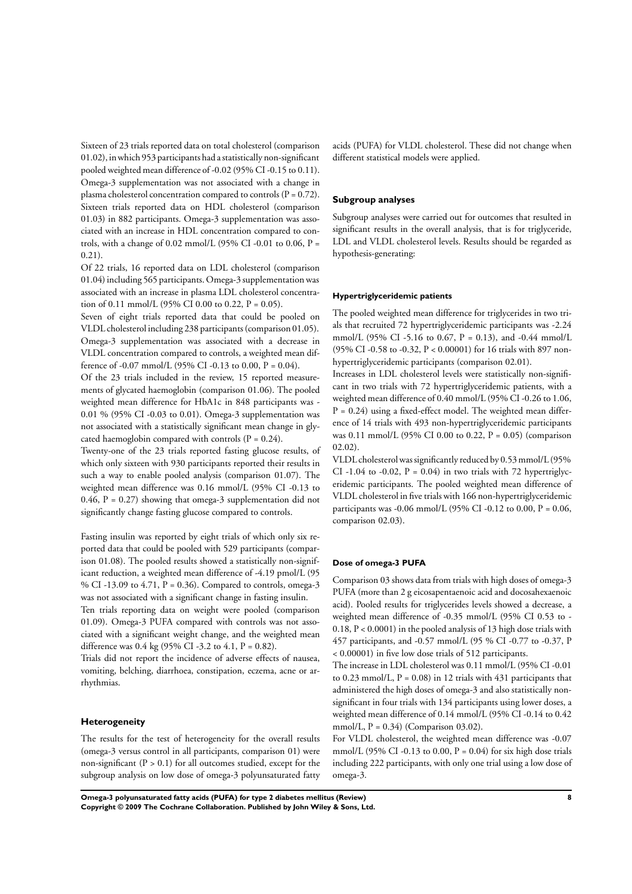Sixteen of 23 trials reported data on total cholesterol (comparison 01.02), in which 953 participants had a statistically non-significant pooled weighted mean difference of -0.02 (95% CI -0.15 to 0.11). Omega-3 supplementation was not associated with a change in plasma cholesterol concentration compared to controls ( $P = 0.72$ ). Sixteen trials reported data on HDL cholesterol (comparison 01.03) in 882 participants. Omega-3 supplementation was associated with an increase in HDL concentration compared to controls, with a change of  $0.02$  mmol/L (95% CI-0.01 to 0.06, P = 0.21).

Of 22 trials, 16 reported data on LDL cholesterol (comparison 01.04) including 565 participants. Omega-3 supplementation was associated with an increase in plasma LDL cholesterol concentration of 0.11 mmol/L (95% CI 0.00 to 0.22, P = 0.05).

Seven of eight trials reported data that could be pooled on VLDL cholesterol including 238 participants (comparison 01.05). Omega-3 supplementation was associated with a decrease in VLDL concentration compared to controls, a weighted mean difference of -0.07 mmol/L (95% CI -0.13 to 0.00, P = 0.04).

Of the 23 trials included in the review, 15 reported measurements of glycated haemoglobin (comparison 01.06). The pooled weighted mean difference for HbA1c in 848 participants was - 0.01 % (95% CI -0.03 to 0.01). Omega-3 supplementation was not associated with a statistically significant mean change in glycated haemoglobin compared with controls  $(P = 0.24)$ .

Twenty-one of the 23 trials reported fasting glucose results, of which only sixteen with 930 participants reported their results in such a way to enable pooled analysis (comparison 01.07). The weighted mean difference was 0.16 mmol/L (95% CI -0.13 to 0.46,  $P = 0.27$ ) showing that omega-3 supplementation did not significantly change fasting glucose compared to controls.

Fasting insulin was reported by eight trials of which only six reported data that could be pooled with 529 participants (comparison 01.08). The pooled results showed a statistically non-significant reduction, a weighted mean difference of -4.19 pmol/L (95 % CI -13.09 to 4.71, P = 0.36). Compared to controls, omega-3 was not associated with a significant change in fasting insulin.

Ten trials reporting data on weight were pooled (comparison 01.09). Omega-3 PUFA compared with controls was not associated with a significant weight change, and the weighted mean difference was 0.4 kg (95% CI -3.2 to 4.1,  $P = 0.82$ ).

Trials did not report the incidence of adverse effects of nausea, vomiting, belching, diarrhoea, constipation, eczema, acne or arrhythmias.

#### **Heterogeneity**

The results for the test of heterogeneity for the overall results (omega-3 versus control in all participants, comparison 01) were non-significant  $(P > 0.1)$  for all outcomes studied, except for the subgroup analysis on low dose of omega-3 polyunsaturated fatty acids (PUFA) for VLDL cholesterol. These did not change when different statistical models were applied.

#### **Subgroup analyses**

Subgroup analyses were carried out for outcomes that resulted in significant results in the overall analysis, that is for triglyceride, LDL and VLDL cholesterol levels. Results should be regarded as hypothesis-generating:

#### **Hypertriglyceridemic patients**

The pooled weighted mean difference for triglycerides in two trials that recruited 72 hypertriglyceridemic participants was -2.24 mmol/L (95% CI -5.16 to 0.67, P = 0.13), and -0.44 mmol/L (95% CI -0.58 to -0.32, P < 0.00001) for 16 trials with 897 nonhypertriglyceridemic participants (comparison 02.01).

Increases in LDL cholesterol levels were statistically non-significant in two trials with 72 hypertriglyceridemic patients, with a weighted mean difference of 0.40 mmol/L (95% CI -0.26 to 1.06,  $P = 0.24$ ) using a fixed-effect model. The weighted mean difference of 14 trials with 493 non-hypertriglyceridemic participants was 0.11 mmol/L (95% CI 0.00 to 0.22, P = 0.05) (comparison 02.02).

VLDL cholesterol was significantly reduced by 0.53 mmol/L (95% CI -1.04 to -0.02,  $P = 0.04$ ) in two trials with 72 hypertriglyceridemic participants. The pooled weighted mean difference of VLDL cholesterol in five trials with 166 non-hypertriglyceridemic participants was -0.06 mmol/L (95% CI -0.12 to 0.00,  $P = 0.06$ , comparison 02.03).

### **Dose of omega-3 PUFA**

Comparison 03 shows data from trials with high doses of omega-3 PUFA (more than 2 g eicosapentaenoic acid and docosahexaenoic acid). Pooled results for triglycerides levels showed a decrease, a weighted mean difference of -0.35 mmol/L (95% CI 0.53 to - 0.18, P < 0.0001) in the pooled analysis of 13 high dose trials with 457 participants, and -0.57 mmol/L (95 % CI -0.77 to -0.37, P < 0.00001) in five low dose trials of 512 participants.

The increase in LDL cholesterol was 0.11 mmol/L (95% CI -0.01 to 0.23 mmol/L,  $P = 0.08$ ) in 12 trials with 431 participants that administered the high doses of omega-3 and also statistically nonsignificant in four trials with 134 participants using lower doses, a weighted mean difference of 0.14 mmol/L (95% CI -0.14 to 0.42 mmol/L,  $P = 0.34$ ) (Comparison 03.02).

For VLDL cholesterol, the weighted mean difference was -0.07 mmol/L (95% CI -0.13 to 0.00,  $P = 0.04$ ) for six high dose trials including 222 participants, with only one trial using a low dose of omega-3.

**Omega-3 polyunsaturated fatty acids (PUFA) for type 2 diabetes mellitus (Review) 8 Copyright © 2009 The Cochrane Collaboration. Published by John Wiley & Sons, Ltd.**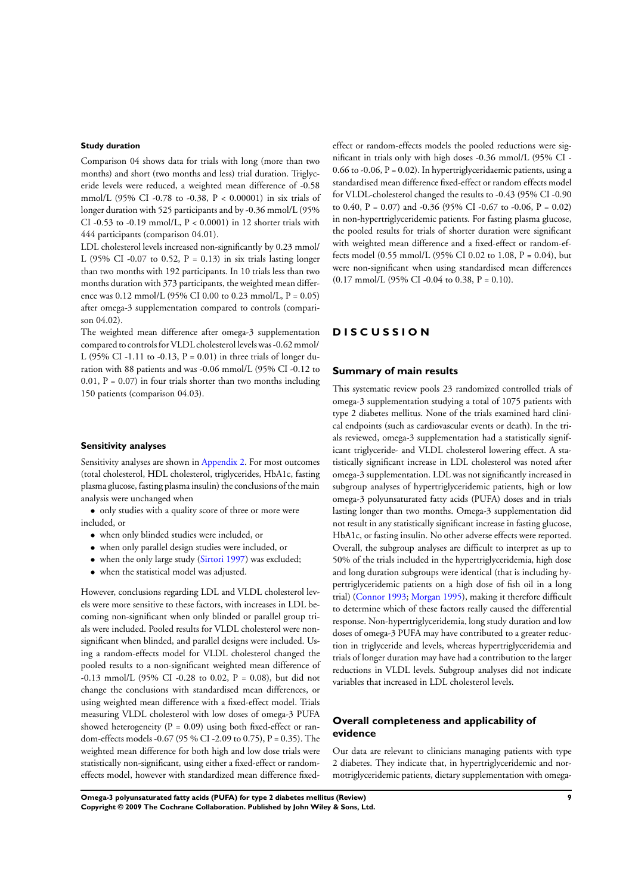### **Study duration**

Comparison 04 shows data for trials with long (more than two months) and short (two months and less) trial duration. Triglyceride levels were reduced, a weighted mean difference of -0.58 mmol/L (95% CI -0.78 to -0.38, P < 0.00001) in six trials of longer duration with 525 participants and by -0.36 mmol/L (95% CI -0.53 to -0.19 mmol/L,  $P < 0.0001$ ) in 12 shorter trials with 444 participants (comparison 04.01).

LDL cholesterol levels increased non-significantly by 0.23 mmol/ L (95% CI -0.07 to 0.52,  $P = 0.13$ ) in six trials lasting longer than two months with 192 participants. In 10 trials less than two months duration with 373 participants, the weighted mean difference was  $0.12 \text{ mmol/L}$  (95% CI 0.00 to 0.23 mmol/L, P = 0.05) after omega-3 supplementation compared to controls (comparison 04.02).

The weighted mean difference after omega-3 supplementation compared to controlsfor VLDL cholesterol levels was -0.62 mmol/ L (95% CI -1.11 to -0.13,  $P = 0.01$ ) in three trials of longer duration with 88 patients and was -0.06 mmol/L (95% CI -0.12 to 0.01,  $P = 0.07$ ) in four trials shorter than two months including 150 patients (comparison 04.03).

#### **Sensitivity analyses**

Sensitivity analyses are shown in [Appendix 2](#page-60-0). For most outcomes (total cholesterol, HDL cholesterol, triglycerides, HbA1c, fasting plasma glucose, fasting plasma insulin) the conclusions of the main analysis were unchanged when

• only studies with a quality score of three or more were included, or

- when only blinded studies were included, or
- when only parallel design studies were included, or
- when the only large study ([Sirtori 1997\)](#page-13-0) was excluded;
- when the statistical model was adjusted.

However, conclusions regarding LDL and VLDL cholesterol levels were more sensitive to these factors, with increases in LDL becoming non-significant when only blinded or parallel group trials were included. Pooled results for VLDL cholesterol were nonsignificant when blinded, and parallel designs were included. Using a random-effects model for VLDL cholesterol changed the pooled results to a non-significant weighted mean difference of -0.13 mmol/L (95% CI -0.28 to 0.02, P = 0.08), but did not change the conclusions with standardised mean differences, or using weighted mean difference with a fixed-effect model. Trials measuring VLDL cholesterol with low doses of omega-3 PUFA showed heterogeneity ( $P = 0.09$ ) using both fixed-effect or random-effects models -0.67 (95 % CI -2.09 to 0.75), P = 0.35). The weighted mean difference for both high and low dose trials were statistically non-significant, using either a fixed-effect or randomeffects model, however with standardized mean difference fixedeffect or random-effects models the pooled reductions were significant in trials only with high doses -0.36 mmol/L (95% CI - 0.66 to -0.06,  $P = 0.02$ ). In hypertriglyceridaemic patients, using a standardised mean difference fixed-effect or random effects model for VLDL-cholesterol changed the results to -0.43 (95% CI -0.90 to 0.40, P = 0.07) and -0.36 (95% CI -0.67 to -0.06, P = 0.02) in non-hypertriglyceridemic patients. For fasting plasma glucose, the pooled results for trials of shorter duration were significant with weighted mean difference and a fixed-effect or random-effects model (0.55 mmol/L (95% CI 0.02 to 1.08, P = 0.04), but were non-significant when using standardised mean differences  $(0.17 \text{ mmol/L } (95\% \text{ CI } -0.04 \text{ to } 0.38, P = 0.10).$ 

# **D I S C U S S I O N**

#### **Summary of main results**

This systematic review pools 23 randomized controlled trials of omega-3 supplementation studying a total of 1075 patients with type 2 diabetes mellitus. None of the trials examined hard clinical endpoints (such as cardiovascular events or death). In the trials reviewed, omega-3 supplementation had a statistically significant triglyceride- and VLDL cholesterol lowering effect. A statistically significant increase in LDL cholesterol was noted after omega-3 supplementation. LDL was not significantly increased in subgroup analyses of hypertriglyceridemic patients, high or low omega-3 polyunsaturated fatty acids (PUFA) doses and in trials lasting longer than two months. Omega-3 supplementation did not result in any statistically significant increase in fasting glucose, HbA1c, or fasting insulin. No other adverse effects were reported. Overall, the subgroup analyses are difficult to interpret as up to 50% of the trials included in the hypertriglyceridemia, high dose and long duration subgroups were identical (that is including hypertriglyceridemic patients on a high dose of fish oil in a long trial) [\(Connor 1993;](#page-13-0) [Morgan 1995](#page-13-0)), making it therefore difficult to determine which of these factors really caused the differential response. Non-hypertriglyceridemia, long study duration and low doses of omega-3 PUFA may have contributed to a greater reduction in triglyceride and levels, whereas hypertriglyceridemia and trials of longer duration may have had a contribution to the larger reductions in VLDL levels. Subgroup analyses did not indicate variables that increased in LDL cholesterol levels.

# **Overall completeness and applicability of evidence**

Our data are relevant to clinicians managing patients with type 2 diabetes. They indicate that, in hypertriglyceridemic and normotriglyceridemic patients, dietary supplementation with omega-

**Omega-3 polyunsaturated fatty acids (PUFA) for type 2 diabetes mellitus (Review) 9 Copyright © 2009 The Cochrane Collaboration. Published by John Wiley & Sons, Ltd.**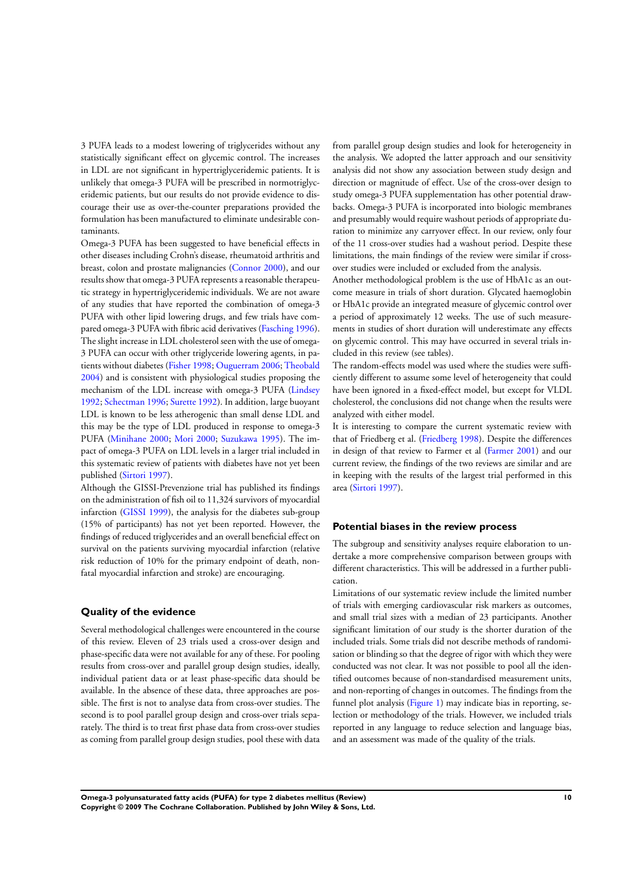3 PUFA leads to a modest lowering of triglycerides without any statistically significant effect on glycemic control. The increases in LDL are not significant in hypertriglyceridemic patients. It is unlikely that omega-3 PUFA will be prescribed in normotriglyceridemic patients, but our results do not provide evidence to discourage their use as over-the-counter preparations provided the formulation has been manufactured to eliminate undesirable contaminants.

Omega-3 PUFA has been suggested to have beneficial effects in other diseases including Crohn's disease, rheumatoid arthritis and breast, colon and prostate malignancies [\(Connor 2000](#page-13-0)), and our results show that omega-3 PUFA represents a reasonable therapeutic strategy in hypertriglyceridemic individuals. We are not aware of any studies that have reported the combination of omega-3 PUFA with other lipid lowering drugs, and few trials have compared omega-3 PUFA with fibric acid derivatives [\(Fasching 1996](#page-13-0)). The slight increase in LDL cholesterol seen with the use of omega-3 PUFA can occur with other triglyceride lowering agents, in patients without diabetes ([Fisher 1998](#page-13-0); [Ouguerram 2006;](#page-13-0) [Theobald](#page-13-0) [2004](#page-13-0)) and is consistent with physiological studies proposing the mechanism of the LDL increase with omega-3 PUFA [\(Lindsey](#page-13-0) [1992](#page-13-0); [Schectman 1996](#page-13-0); [Surette 1992](#page-13-0)). In addition, large buoyant LDL is known to be less atherogenic than small dense LDL and this may be the type of LDL produced in response to omega-3 PUFA ([Minihane 2000;](#page-13-0) [Mori 2000;](#page-13-0) [Suzukawa 1995\)](#page-13-0). The impact of omega-3 PUFA on LDL levels in a larger trial included in this systematic review of patients with diabetes have not yet been published [\(Sirtori 1997\)](#page-13-0).

Although the GISSI-Prevenzione trial has published its findings on the administration of fish oil to 11,324 survivors of myocardial infarction ([GISSI 1999](#page-13-0)), the analysis for the diabetes sub-group (15% of participants) has not yet been reported. However, the findings of reduced triglycerides and an overall beneficial effect on survival on the patients surviving myocardial infarction (relative risk reduction of 10% for the primary endpoint of death, nonfatal myocardial infarction and stroke) are encouraging.

# **Quality of the evidence**

Several methodological challenges were encountered in the course of this review. Eleven of 23 trials used a cross-over design and phase-specific data were not available for any of these. For pooling results from cross-over and parallel group design studies, ideally, individual patient data or at least phase-specific data should be available. In the absence of these data, three approaches are possible. The first is not to analyse data from cross-over studies. The second is to pool parallel group design and cross-over trials separately. The third is to treat first phase data from cross-over studies as coming from parallel group design studies, pool these with data from parallel group design studies and look for heterogeneity in the analysis. We adopted the latter approach and our sensitivity analysis did not show any association between study design and direction or magnitude of effect. Use of the cross-over design to study omega-3 PUFA supplementation has other potential drawbacks. Omega-3 PUFA is incorporated into biologic membranes and presumably would require washout periods of appropriate duration to minimize any carryover effect. In our review, only four of the 11 cross-over studies had a washout period. Despite these limitations, the main findings of the review were similar if crossover studies were included or excluded from the analysis.

Another methodological problem is the use of HbA1c as an outcome measure in trials of short duration. Glycated haemoglobin or HbA1c provide an integrated measure of glycemic control over a period of approximately 12 weeks. The use of such measurements in studies of short duration will underestimate any effects on glycemic control. This may have occurred in several trials included in this review (see tables).

The random-effects model was used where the studies were sufficiently different to assume some level of heterogeneity that could have been ignored in a fixed-effect model, but except for VLDL cholesterol, the conclusions did not change when the results were analyzed with either model.

It is interesting to compare the current systematic review with that of Friedberg et al. [\(Friedberg 1998\)](#page-13-0). Despite the differences in design of that review to Farmer et al ([Farmer 2001](#page-13-0)) and our current review, the findings of the two reviews are similar and are in keeping with the results of the largest trial performed in this area [\(Sirtori 1997](#page-13-0)).

#### **Potential biases in the review process**

The subgroup and sensitivity analyses require elaboration to undertake a more comprehensive comparison between groups with different characteristics. This will be addressed in a further publication.

Limitations of our systematic review include the limited number of trials with emerging cardiovascular risk markers as outcomes, and small trial sizes with a median of 23 participants. Another significant limitation of our study is the shorter duration of the included trials. Some trials did not describe methods of randomisation or blinding so that the degree of rigor with which they were conducted was not clear. It was not possible to pool all the identified outcomes because of non-standardised measurement units, and non-reporting of changes in outcomes. The findings from the funnel plot analysis ([Figure 1\)](#page-12-0) may indicate bias in reporting, selection or methodology of the trials. However, we included trials reported in any language to reduce selection and language bias, and an assessment was made of the quality of the trials.

**Omega-3 polyunsaturated fatty acids (PUFA) for type 2 diabetes mellitus (Review) 10 Copyright © 2009 The Cochrane Collaboration. Published by John Wiley & Sons, Ltd.**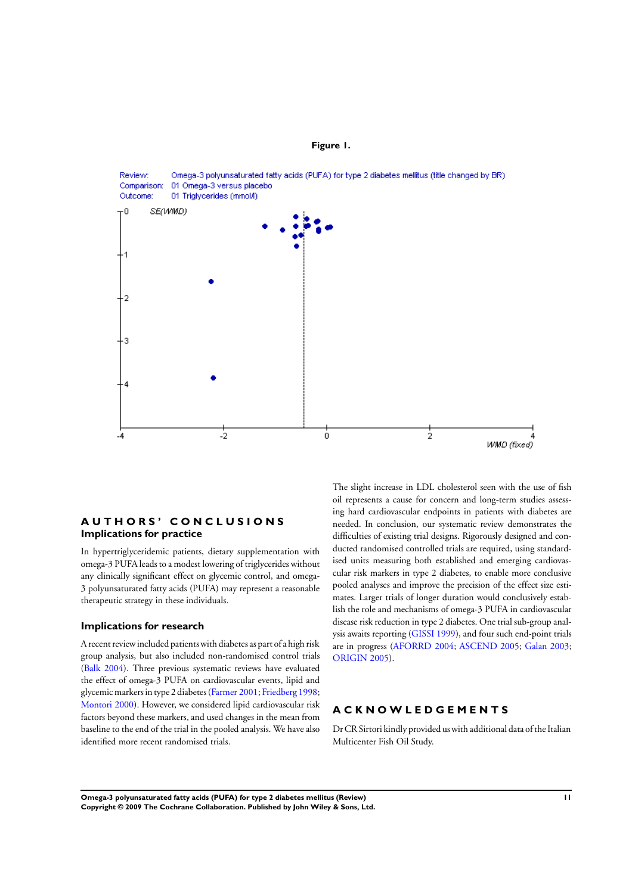# **Figure 1.**

<span id="page-12-0"></span>

# **A U T H O R S ' C O N C L U S I O N S Implications for practice**

In hypertriglyceridemic patients, dietary supplementation with omega-3 PUFA leads to a modest lowering of triglycerides without any clinically significant effect on glycemic control, and omega-3 polyunsaturated fatty acids (PUFA) may represent a reasonable therapeutic strategy in these individuals.

#### **Implications for research**

A recent review included patients with diabetes as part of a high risk group analysis, but also included non-randomised control trials [\(Balk 2004](#page-13-0)). Three previous systematic reviews have evaluated the effect of omega-3 PUFA on cardiovascular events, lipid and glycemic markers in type 2 diabetes ([Farmer 2001](#page-13-0); [Friedberg 1998;](#page-13-0) [Montori 2000](#page-13-0)). However, we considered lipid cardiovascular risk factors beyond these markers, and used changes in the mean from baseline to the end of the trial in the pooled analysis. We have also identified more recent randomised trials.

The slight increase in LDL cholesterol seen with the use of fish oil represents a cause for concern and long-term studies assessing hard cardiovascular endpoints in patients with diabetes are needed. In conclusion, our systematic review demonstrates the difficulties of existing trial designs. Rigorously designed and conducted randomised controlled trials are required, using standardised units measuring both established and emerging cardiovascular risk markers in type 2 diabetes, to enable more conclusive pooled analyses and improve the precision of the effect size estimates. Larger trials of longer duration would conclusively establish the role and mechanisms of omega-3 PUFA in cardiovascular disease risk reduction in type 2 diabetes. One trial sub-group analysis awaits reporting [\(GISSI 1999\)](#page-13-0), and four such end-point trials are in progress [\(AFORRD 2004](#page-13-0); [ASCEND 2005](#page-13-0); [Galan 2003;](#page-13-0) [ORIGIN 2005](#page-13-0)).

# **A C K N O W L E D G E M E N T S**

Dr CR Sirtori kindly provided us with additional data of the Italian Multicenter Fish Oil Study.

**Omega-3 polyunsaturated fatty acids (PUFA) for type 2 diabetes mellitus (Review) 11 Copyright © 2009 The Cochrane Collaboration. Published by John Wiley & Sons, Ltd.**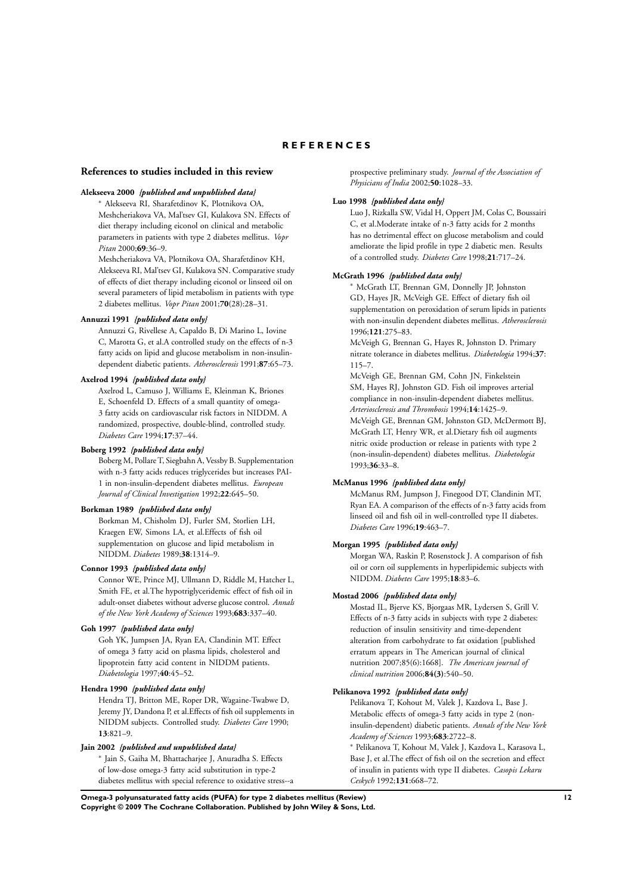# **R E F E R E N C E S**

### <span id="page-13-0"></span>**References to studies included in this review**

# **Alekseeva 2000** *{published and unpublished data}*

<sup>∗</sup> Alekseeva RI, Sharafetdinov K, Plotnikova OA, Meshcheriakova VA, Mal'tsev GI, Kulakova SN. Effects of diet therapy including eiconol on clinical and metabolic parameters in patients with type 2 diabetes mellitus. *Vopr Pitan* 2000;**69**:36–9.

Meshcheriakova VA, Plotnikova OA, Sharafetdinov KH, Alekseeva RI, Mal'tsev GI, Kulakova SN. Comparative study of effects of diet therapy including eiconol or linseed oil on several parameters of lipid metabolism in patients with type 2 diabetes mellitus. *Vopr Pitan* 2001;**70**(28):28–31.

### **Annuzzi 1991** *{published data only}*

Annuzzi G, Rivellese A, Capaldo B, Di Marino L, Iovine C, Marotta G, et al.A controlled study on the effects of n-3 fatty acids on lipid and glucose metabolism in non-insulindependent diabetic patients. *Atherosclerosis* 1991;**87**:65–73.

### **Axelrod 1994** *{published data only}*

Axelrod L, Camuso J, Williams E, Kleinman K, Briones E, Schoenfeld D. Effects of a small quantity of omega-3 fatty acids on cardiovascular risk factors in NIDDM. A randomized, prospective, double-blind, controlled study. *Diabetes Care* 1994;**17**:37–44.

#### **Boberg 1992** *{published data only}*

Boberg M, Pollare T, Siegbahn A, Vessby B. Supplementation with n-3 fatty acids reduces triglycerides but increases PAI-1 in non-insulin-dependent diabetes mellitus. *European Journal of Clinical Investigation* 1992;**22**:645–50.

#### **Borkman 1989** *{published data only}*

Borkman M, Chisholm DJ, Furler SM, Storlien LH, Kraegen EW, Simons LA, et al.Effects of fish oil supplementation on glucose and lipid metabolism in NIDDM. *Diabetes* 1989;**38**:1314–9.

#### **Connor 1993** *{published data only}*

Connor WE, Prince MJ, Ullmann D, Riddle M, Hatcher L, Smith FE, et al.The hypotriglyceridemic effect of fish oil in adult-onset diabetes without adverse glucose control. *Annals of the New York Academy of Sciences* 1993;**683**:337–40.

#### **Goh 1997** *{published data only}*

Goh YK, Jumpsen JA, Ryan EA, Clandinin MT. Effect of omega 3 fatty acid on plasma lipids, cholesterol and lipoprotein fatty acid content in NIDDM patients. *Diabetologia* 1997;**40**:45–52.

#### **Hendra 1990** *{published data only}*

Hendra TJ, Britton ME, Roper DR, Wagaine-Twabwe D, Jeremy JY, Dandona P, et al.Effects of fish oil supplements in NIDDM subjects. Controlled study. *Diabetes Care* 1990; **13**:821–9.

#### **Jain 2002** *{published and unpublished data}*

∗ Jain S, Gaiha M, Bhattacharjee J, Anuradha S. Effects of low-dose omega-3 fatty acid substitution in type-2 diabetes mellitus with special reference to oxidative stress--a prospective preliminary study. *Journal of the Association of Physicians of India* 2002;**50**:1028–33.

#### **Luo 1998** *{published data only}*

Luo J, Rizkalla SW, Vidal H, Oppert JM, Colas C, Boussairi C, et al.Moderate intake of n-3 fatty acids for 2 months has no detrimental effect on glucose metabolism and could ameliorate the lipid profile in type 2 diabetic men. Results of a controlled study. *Diabetes Care* 1998;**21**:717–24.

#### **McGrath 1996** *{published data only}*

<sup>∗</sup> McGrath LT, Brennan GM, Donnelly JP, Johnston GD, Hayes JR, McVeigh GE. Effect of dietary fish oil supplementation on peroxidation of serum lipids in patients with non-insulin dependent diabetes mellitus. *Atherosclerosis* 1996;**121**:275–83.

McVeigh G, Brennan G, Hayes R, Johnston D. Primary nitrate tolerance in diabetes mellitus. *Diabetologia* 1994;**37**: 115–7.

McVeigh GE, Brennan GM, Cohn JN, Finkelstein SM, Hayes RJ, Johnston GD. Fish oil improves arterial compliance in non-insulin-dependent diabetes mellitus. *Arteriosclerosis and Thrombosis* 1994;**14**:1425–9. McVeigh GE, Brennan GM, Johnston GD, McDermott BJ, McGrath LT, Henry WR, et al.Dietary fish oil augments nitric oxide production or release in patients with type 2 (non-insulin-dependent) diabetes mellitus. *Diabetologia* 1993;**36**:33–8.

#### **McManus 1996** *{published data only}*

McManus RM, Jumpson J, Finegood DT, Clandinin MT, Ryan EA. A comparison of the effects of n-3 fatty acids from linseed oil and fish oil in well-controlled type II diabetes. *Diabetes Care* 1996;**19**:463–7.

#### **Morgan 1995** *{published data only}*

Morgan WA, Raskin P, Rosenstock J. A comparison of fish oil or corn oil supplements in hyperlipidemic subjects with NIDDM. *Diabetes Care* 1995;**18**:83–6.

#### **Mostad 2006** *{published data only}*

Mostad IL, Bjerve KS, Bjorgaas MR, Lydersen S, Grill V. Effects of n-3 fatty acids in subjects with type 2 diabetes: reduction of insulin sensitivity and time-dependent alteration from carbohydrate to fat oxidation [published erratum appears in The American journal of clinical nutrition 2007;85(6):1668]. *The American journal of clinical nutrition* 2006;**84(3)**:540–50.

### **Pelikanova 1992** *{published data only}*

Pelikanova T, Kohout M, Valek J, Kazdova L, Base J. Metabolic effects of omega-3 fatty acids in type 2 (noninsulin-dependent) diabetic patients. *Annals of the New York Academy of Sciences* 1993;**683**:2722–8.

<sup>∗</sup> Pelikanova T, Kohout M, Valek J, Kazdova L, Karasova L, Base J, et al.The effect of fish oil on the secretion and effect of insulin in patients with type II diabetes. *Casopis Lekaru Ceskych* 1992;**131**:668–72.

**Omega-3 polyunsaturated fatty acids (PUFA) for type 2 diabetes mellitus (Review) 12 Copyright © 2009 The Cochrane Collaboration. Published by John Wiley & Sons, Ltd.**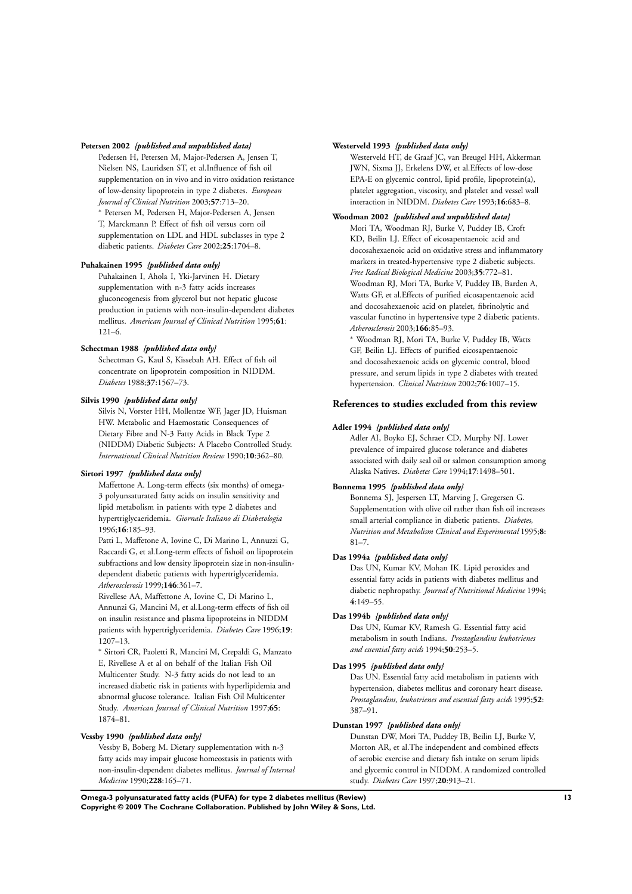#### **Petersen 2002** *{published and unpublished data}*

Pedersen H, Petersen M, Major-Pedersen A, Jensen T, Nielsen NS, Lauridsen ST, et al.Influence of fish oil supplementation on in vivo and in vitro oxidation resistance of low-density lipoprotein in type 2 diabetes. *European Journal of Clinical Nutrition* 2003;**57**:713–20. <sup>∗</sup> Petersen M, Pedersen H, Major-Pedersen A, Jensen T, Marckmann P. Effect of fish oil versus corn oil supplementation on LDL and HDL subclasses in type 2 diabetic patients. *Diabetes Care* 2002;**25**:1704–8.

#### **Puhakainen 1995** *{published data only}*

Puhakainen I, Ahola I, Yki-Jarvinen H. Dietary supplementation with n-3 fatty acids increases gluconeogenesis from glycerol but not hepatic glucose production in patients with non-insulin-dependent diabetes mellitus. *American Journal of Clinical Nutrition* 1995;**61**: 121–6.

### **Schectman 1988** *{published data only}*

Schectman G, Kaul S, Kissebah AH. Effect of fish oil concentrate on lipoprotein composition in NIDDM. *Diabetes* 1988;**37**:1567–73.

# **Silvis 1990** *{published data only}*

Silvis N, Vorster HH, Mollentze WF, Jager JD, Huisman HW. Metabolic and Haemostatic Consequences of Dietary Fibre and N-3 Fatty Acids in Black Type 2 (NIDDM) Diabetic Subjects: A Placebo Controlled Study. *International Clinical Nutrition Review* 1990;**10**:362–80.

#### **Sirtori 1997** *{published data only}*

Maffettone A. Long-term effects (six months) of omega-3 polyunsaturated fatty acids on insulin sensitivity and lipid metabolism in patients with type 2 diabetes and hypertriglycaeridemia. *Giornale Italiano di Diabetologia* 1996;**16**:185–93.

Patti L, Maffetone A, Iovine C, Di Marino L, Annuzzi G, Raccardi G, et al.Long-term effects of fishoil on lipoprotein subfractions and low density lipoprotein size in non-insulindependent diabetic patients with hypertriglyceridemia. *Atherosclerosis* 1999;**146**:361–7.

Rivellese AA, Maffettone A, Iovine C, Di Marino L, Annunzi G, Mancini M, et al.Long-term effects of fish oil on insulin resistance and plasma lipoproteins in NIDDM patients with hypertriglyceridemia. *Diabetes Care* 1996;**19**: 1207–13.

<sup>∗</sup> Sirtori CR, Paoletti R, Mancini M, Crepaldi G, Manzato E, Rivellese A et al on behalf of the Italian Fish Oil Multicenter Study. N-3 fatty acids do not lead to an increased diabetic risk in patients with hyperlipidemia and abnormal glucose tolerance. Italian Fish Oil Multicenter Study. *American Journal of Clinical Nutrition* 1997;**65**: 1874–81.

### **Vessby 1990** *{published data only}*

Vessby B, Boberg M. Dietary supplementation with n-3 fatty acids may impair glucose homeostasis in patients with non-insulin-dependent diabetes mellitus. *Journal of Internal Medicine* 1990;**228**:165–71.

### **Westerveld 1993** *{published data only}*

Westerveld HT, de Graaf JC, van Breugel HH, Akkerman JWN, Sixma JJ, Erkelens DW, et al.Effects of low-dose EPA-E on glycemic control, lipid profile, lipoprotein(a), platelet aggregation, viscosity, and platelet and vessel wall interaction in NIDDM. *Diabetes Care* 1993;**16**:683–8.

# **Woodman 2002** *{published and unpublished data}*

Mori TA, Woodman RJ, Burke V, Puddey IB, Croft KD, Beilin LJ. Effect of eicosapentaenoic acid and docosahexaenoic acid on oxidative stress and inflammatory markers in treated-hypertensive type 2 diabetic subjects. *Free Radical Biological Medicine* 2003;**35**:772–81. Woodman RJ, Mori TA, Burke V, Puddey IB, Barden A, Watts GF, et al.Effects of purified eicosapentaenoic acid and docosahexaenoic acid on platelet, fibrinolytic and vascular functino in hypertensive type 2 diabetic patients. *Atherosclerosis* 2003;**166**:85–93.

<sup>∗</sup> Woodman RJ, Mori TA, Burke V, Puddey IB, Watts GF, Beilin LJ. Effects of purified eicosapentaenoic and docosahexaenoic acids on glycemic control, blood pressure, and serum lipids in type 2 diabetes with treated hypertension. *Clinical Nutrition* 2002;**76**:1007–15.

#### **References to studies excluded from this review**

#### **Adler 1994** *{published data only}*

Adler AI, Boyko EJ, Schraer CD, Murphy NJ. Lower prevalence of impaired glucose tolerance and diabetes associated with daily seal oil or salmon consumption among Alaska Natives. *Diabetes Care* 1994;**17**:1498–501.

# **Bonnema 1995** *{published data only}*

Bonnema SJ, Jespersen LT, Marving J, Gregersen G. Supplementation with olive oil rather than fish oil increases small arterial compliance in diabetic patients. *Diabetes, Nutrition and Metabolism Clinical and Experimental* 1995;**8**: 81–7.

#### **Das 1994a** *{published data only}*

Das UN, Kumar KV, Mohan IK. Lipid peroxides and essential fatty acids in patients with diabetes mellitus and diabetic nephropathy. *Journal of Nutritional Medicine* 1994; **4**:149–55.

#### **Das 1994b** *{published data only}*

Das UN, Kumar KV, Ramesh G. Essential fatty acid metabolism in south Indians. *Prostaglandins leukotrienes and essential fatty acids* 1994;**50**:253–5.

### **Das 1995** *{published data only}*

Das UN. Essential fatty acid metabolism in patients with hypertension, diabetes mellitus and coronary heart disease. *Prostaglandins, leukotrienes and essential fatty acids* 1995;**52**: 387–91.

#### **Dunstan 1997** *{published data only}*

Dunstan DW, Mori TA, Puddey IB, Beilin LJ, Burke V, Morton AR, et al.The independent and combined effects of aerobic exercise and dietary fish intake on serum lipids and glycemic control in NIDDM. A randomized controlled study. *Diabetes Care* 1997;**20**:913–21.

**Omega-3 polyunsaturated fatty acids (PUFA) for type 2 diabetes mellitus (Review) 13 Copyright © 2009 The Cochrane Collaboration. Published by John Wiley & Sons, Ltd.**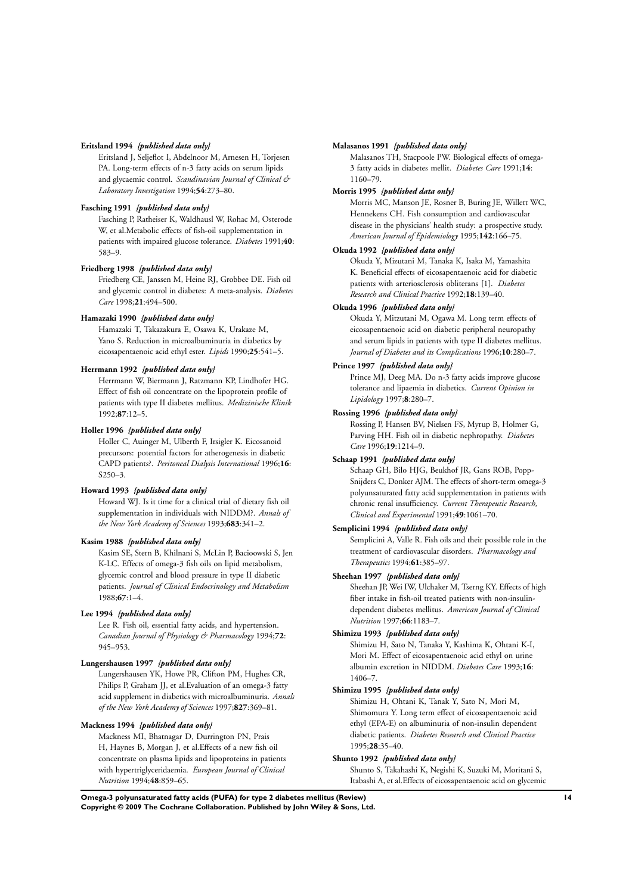#### **Eritsland 1994** *{published data only}*

Eritsland J, Seljeflot I, Abdelnoor M, Arnesen H, Torjesen PA. Long-term effects of n-3 fatty acids on serum lipids and glycaemic control. *Scandinavian Journal of Clinical & Laboratory Investigation* 1994;**54**:273–80.

#### **Fasching 1991** *{published data only}*

Fasching P, Ratheiser K, Waldhausl W, Rohac M, Osterode W, et al.Metabolic effects of fish-oil supplementation in patients with impaired glucose tolerance. *Diabetes* 1991;**40**: 583–9.

### **Friedberg 1998** *{published data only}*

Friedberg CE, Janssen M, Heine RJ, Grobbee DE. Fish oil and glycemic control in diabetes: A meta-analysis. *Diabetes Care* 1998;**21**:494–500.

#### **Hamazaki 1990** *{published data only}*

Hamazaki T, Takazakura E, Osawa K, Urakaze M, Yano S. Reduction in microalbuminuria in diabetics by eicosapentaenoic acid ethyl ester. *Lipids* 1990;**25**:541–5.

#### **Herrmann 1992** *{published data only}*

Herrmann W, Biermann J, Ratzmann KP, Lindhofer HG. Effect of fish oil concentrate on the lipoprotein profile of patients with type II diabetes mellitus. *Medizinische Klinik* 1992;**87**:12–5.

#### **Holler 1996** *{published data only}*

Holler C, Auinger M, Ulberth F, Irsigler K. Eicosanoid precursors: potential factors for atherogenesis in diabetic CAPD patients?. *Peritoneal Dialysis International* 1996;**16**: S250–3.

#### **Howard 1993** *{published data only}*

Howard WJ. Is it time for a clinical trial of dietary fish oil supplementation in individuals with NIDDM?. *Annals of the New York Academy of Sciences* 1993;**683**:341–2.

#### **Kasim 1988** *{published data only}*

Kasim SE, Stern B, Khilnani S, McLin P, Bacioowski S, Jen K-LC. Effects of omega-3 fish oils on lipid metabolism, glycemic control and blood pressure in type II diabetic patients. *Journal of Clinical Endocrinology and Metabolism* 1988;**67**:1–4.

### **Lee 1994** *{published data only}*

Lee R. Fish oil, essential fatty acids, and hypertension. *Canadian Journal of Physiology & Pharmacology* 1994;**72**: 945–953.

# **Lungershausen 1997** *{published data only}*

Lungershausen YK, Howe PR, Clifton PM, Hughes CR, Philips P, Graham JJ, et al. Evaluation of an omega-3 fatty acid supplement in diabetics with microalbuminuria. *Annals of the New York Academy of Sciences* 1997;**827**:369–81.

# **Mackness 1994** *{published data only}*

Mackness MI, Bhatnagar D, Durrington PN, Prais H, Haynes B, Morgan J, et al.Effects of a new fish oil concentrate on plasma lipids and lipoproteins in patients with hypertriglyceridaemia. *European Journal of Clinical Nutrition* 1994;**48**:859–65.

#### **Malasanos 1991** *{published data only}*

Malasanos TH, Stacpoole PW. Biological effects of omega-3 fatty acids in diabetes mellit. *Diabetes Care* 1991;**14**: 1160–79.

# **Morris 1995** *{published data only}*

Morris MC, Manson JE, Rosner B, Buring JE, Willett WC, Hennekens CH. Fish consumption and cardiovascular disease in the physicians' health study: a prospective study. *American Journal of Epidemiology* 1995;**142**:166–75.

### **Okuda 1992** *{published data only}*

Okuda Y, Mizutani M, Tanaka K, Isaka M, Yamashita K. Beneficial effects of eicosapentaenoic acid for diabetic patients with arteriosclerosis obliterans [1]. *Diabetes Research and Clinical Practice* 1992;**18**:139–40.

### **Okuda 1996** *{published data only}*

Okuda Y, Mitzutani M, Ogawa M. Long term effects of eicosapentaenoic acid on diabetic peripheral neuropathy and serum lipids in patients with type II diabetes mellitus. *Journal of Diabetes and its Complications* 1996;**10**:280–7.

### **Prince 1997** *{published data only}*

Prince MJ, Deeg MA. Do n-3 fatty acids improve glucose tolerance and lipaemia in diabetics. *Current Opinion in Lipidology* 1997;**8**:280–7.

### **Rossing 1996** *{published data only}*

Rossing P, Hansen BV, Nielsen FS, Myrup B, Holmer G, Parving HH. Fish oil in diabetic nephropathy. *Diabetes Care* 1996;**19**:1214–9.

#### **Schaap 1991** *{published data only}*

Schaap GH, Bilo HJG, Beukhof JR, Gans ROB, Popp-Snijders C, Donker AJM. The effects of short-term omega-3 polyunsaturated fatty acid supplementation in patients with chronic renal insufficiency. *Current Therapeutic Research, Clinical and Experimental* 1991;**49**:1061–70.

# **Semplicini 1994** *{published data only}*

Semplicini A, Valle R. Fish oils and their possible role in the treatment of cardiovascular disorders. *Pharmacology and Therapeutics* 1994;**61**:385–97.

# **Sheehan 1997** *{published data only}*

Sheehan JP, Wei IW, Ulchaker M, Tserng KY. Effects of high fiber intake in fish-oil treated patients with non-insulindependent diabetes mellitus. *American Journal of Clinical Nutrition* 1997;**66**:1183–7.

# **Shimizu 1993** *{published data only}*

Shimizu H, Sato N, Tanaka Y, Kashima K, Ohtani K-I, Mori M. Effect of eicosapentaenoic acid ethyl on urine albumin excretion in NIDDM. *Diabetes Care* 1993;**16**: 1406–7.

#### **Shimizu 1995** *{published data only}*

Shimizu H, Ohtani K, Tanak Y, Sato N, Mori M, Shimomura Y. Long term effect of eicosapentaenoic acid ethyl (EPA-E) on albuminuria of non-insulin dependent diabetic patients. *Diabetes Research and Clinical Practice* 1995;**28**:35–40.

#### **Shunto 1992** *{published data only}*

Shunto S, Takahashi K, Negishi K, Suzuki M, Moritani S, Itabashi A, et al.Effects of eicosapentaenoic acid on glycemic

**Omega-3 polyunsaturated fatty acids (PUFA) for type 2 diabetes mellitus (Review) 14 Copyright © 2009 The Cochrane Collaboration. Published by John Wiley & Sons, Ltd.**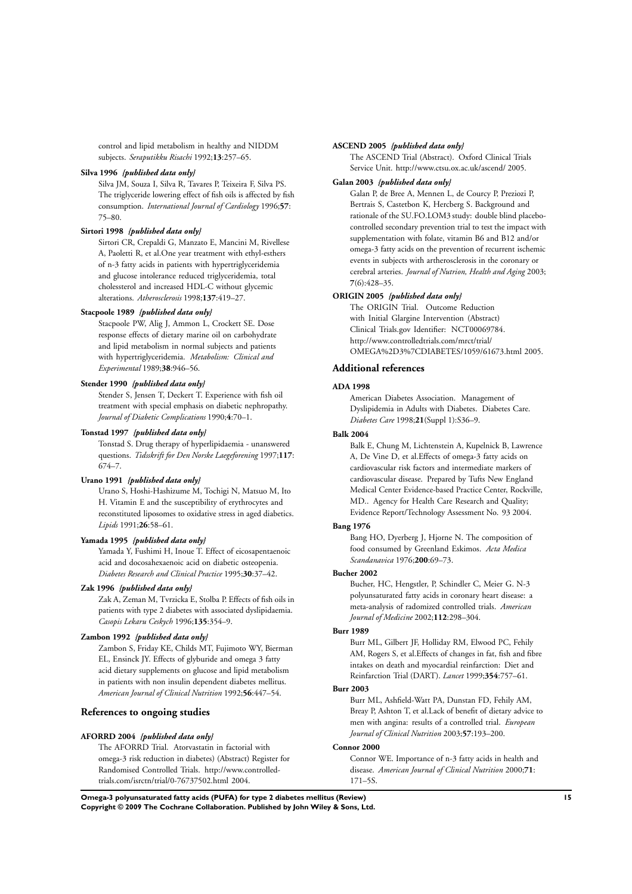control and lipid metabolism in healthy and NIDDM subjects. *Seraputikku Risachi* 1992;**13**:257–65.

### **Silva 1996** *{published data only}*

Silva JM, Souza I, Silva R, Tavares P, Teixeira F, Silva PS. The triglyceride lowering effect of fish oils is affected by fish consumption. *International Journal of Cardiology* 1996;**57**: 75–80.

#### **Sirtori 1998** *{published data only}*

Sirtori CR, Crepaldi G, Manzato E, Mancini M, Rivellese A, Paoletti R, et al.One year treatment with ethyl-esthers of n-3 fatty acids in patients with hypertriglyceridemia and glucose intolerance reduced triglyceridemia, total cholessterol and increased HDL-C without glycemic alterations. *Atherosclerosis* 1998;**137**:419–27.

### **Stacpoole 1989** *{published data only}*

Stacpoole PW, Alig J, Ammon L, Crockett SE. Dose response effects of dietary marine oil on carbohydrate and lipid metabolism in normal subjects and patients with hypertriglyceridemia. *Metabolism: Clinical and Experimental* 1989;**38**:946–56.

#### **Stender 1990** *{published data only}*

Stender S, Jensen T, Deckert T. Experience with fish oil treatment with special emphasis on diabetic nephropathy. *Journal of Diabetic Complications* 1990;**4**:70–1.

#### **Tonstad 1997** *{published data only}*

Tonstad S. Drug therapy of hyperlipidaemia - unanswered questions. *Tidsskrift for Den Norske Laegeforening* 1997;**117**: 674–7.

### **Urano 1991** *{published data only}*

Urano S, Hoshi-Hashizume M, Tochigi N, Matsuo M, Ito H. Vitamin E and the susceptibility of erythrocytes and reconstituted liposomes to oxidative stress in aged diabetics. *Lipids* 1991;**26**:58–61.

# **Yamada 1995** *{published data only}*

Yamada Y, Fushimi H, Inoue T. Effect of eicosapentaenoic acid and docosahexaenoic acid on diabetic osteopenia. *Diabetes Research and Clinical Practice* 1995;**30**:37–42.

### **Zak 1996** *{published data only}*

Zak A, Zeman M, Tvrzicka E, Stolba P. Effects of fish oils in patients with type 2 diabetes with associated dyslipidaemia. *Casopis Lekaru Ceskych* 1996;**135**:354–9.

#### **Zambon 1992** *{published data only}*

Zambon S, Friday KE, Childs MT, Fujimoto WY, Bierman EL, Ensinck JY. Effects of glyburide and omega 3 fatty acid dietary supplements on glucose and lipid metabolism in patients with non insulin dependent diabetes mellitus. *American Journal of Clinical Nutrition* 1992;**56**:447–54.

# **References to ongoing studies**

### **AFORRD 2004** *{published data only}*

The AFORRD Trial. Atorvastatin in factorial with omega-3 risk reduction in diabetes) (Abstract) Register for Randomised Controlled Trials. http://www.controlledtrials.com/isrctn/trial/0-76737502.html 2004.

#### **ASCEND 2005** *{published data only}*

The ASCEND Trial (Abstract). Oxford Clinical Trials Service Unit. http://www.ctsu.ox.ac.uk/ascend/ 2005.

# **Galan 2003** *{published data only}*

Galan P, de Bree A, Mennen L, de Courcy P, Preziozi P, Bertrais S, Castetbon K, Hercberg S. Background and rationale of the SU.FO.LOM3 study: double blind placebocontrolled secondary prevention trial to test the impact with supplementation with folate, vitamin B6 and B12 and/or omega-3 fatty acids on the prevention of recurrent ischemic events in subjects with artherosclerosis in the coronary or cerebral arteries. *Journal of Nutrion, Health and Aging* 2003; **7**(6):428–35.

#### **ORIGIN 2005** *{published data only}*

The ORIGIN Trial. Outcome Reduction with Initial Glargine Intervention (Abstract) Clinical Trials.gov Identifier: NCT00069784. http://www.controlledtrials.com/mrct/trial/ OMEGA%2D3%7CDIABETES/1059/61673.html 2005.

#### **Additional references**

#### **ADA 1998**

American Diabetes Association. Management of Dyslipidemia in Adults with Diabetes. Diabetes Care. *Diabetes Care* 1998;**21**(Suppl 1):S36–9.

#### **Balk 2004**

Balk E, Chung M, Lichtenstein A, Kupelnick B, Lawrence A, De Vine D, et al.Effects of omega-3 fatty acids on cardiovascular risk factors and intermediate markers of cardiovascular disease. Prepared by Tufts New England Medical Center Evidence-based Practice Center, Rockville, MD.. Agency for Health Care Research and Quality; Evidence Report/Technology Assessment No. 93 2004.

#### **Bang 1976**

Bang HO, Dyerberg J, Hjorne N. The composition of food consumed by Greenland Eskimos. *Acta Medica Scandanavica* 1976;**200**:69–73.

### **Bucher 2002**

Bucher, HC, Hengstler, P, Schindler C, Meier G. N-3 polyunsaturated fatty acids in coronary heart disease: a meta-analysis of radomized controlled trials. *American Journal of Medicine* 2002;**112**:298–304.

### **Burr 1989**

Burr ML, Gilbert JF, Holliday RM, Elwood PC, Fehily AM, Rogers S, et al.Effects of changes in fat, fish and fibre intakes on death and myocardial reinfarction: Diet and Reinfarction Trial (DART). *Lancet* 1999;**354**:757–61.

### **Burr 2003**

Burr ML, Ashfield-Watt PA, Dunstan FD, Fehily AM, Breay P, Ashton T, et al.Lack of benefit of dietary advice to men with angina: results of a controlled trial. *European Journal of Clinical Nutrition* 2003;**57**:193–200.

#### **Connor 2000**

Connor WE. Importance of n-3 fatty acids in health and disease. *American Journal of Clinical Nutrition* 2000;**71**: 171–5S.

**Omega-3 polyunsaturated fatty acids (PUFA) for type 2 diabetes mellitus (Review) 15 Copyright © 2009 The Cochrane Collaboration. Published by John Wiley & Sons, Ltd.**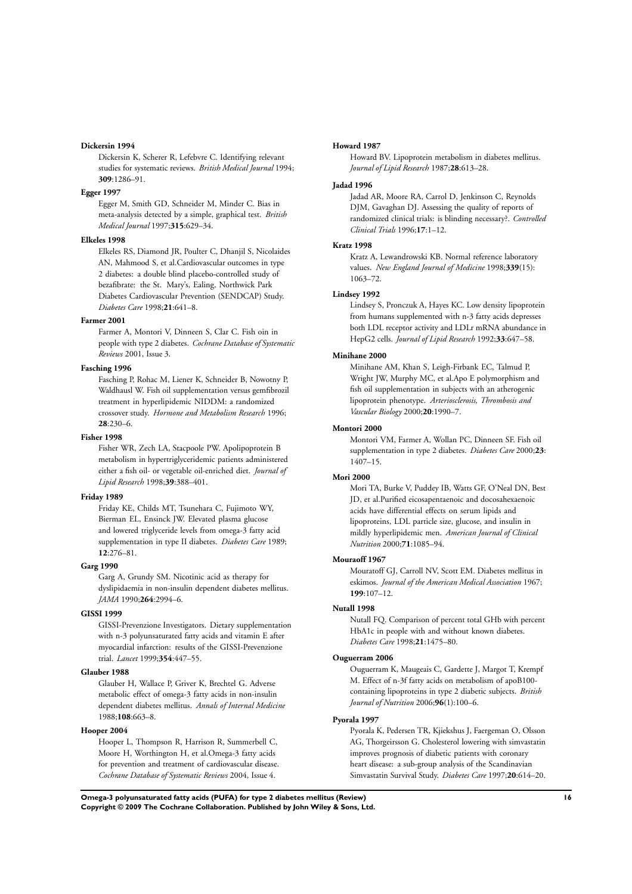### **Dickersin 1994**

Dickersin K, Scherer R, Lefebvre C. Identifying relevant studies for systematic reviews. *British Medical Journal* 1994; **309**:1286–91.

### **Egger 1997**

Egger M, Smith GD, Schneider M, Minder C. Bias in meta-analysis detected by a simple, graphical test. *British Medical Journal* 1997;**315**:629–34.

### **Elkeles 1998**

Elkeles RS, Diamond JR, Poulter C, Dhanjil S, Nicolaides AN, Mahmood S, et al.Cardiovascular outcomes in type 2 diabetes: a double blind placebo-controlled study of bezafibrate: the St. Mary's, Ealing, Northwick Park Diabetes Cardiovascular Prevention (SENDCAP) Study. *Diabetes Care* 1998;**21**:641–8.

### **Farmer 2001**

Farmer A, Montori V, Dinneen S, Clar C. Fish oin in people with type 2 diabetes. *Cochrane Database of Systematic Reviews* 2001, Issue 3.

# **Fasching 1996**

Fasching P, Rohac M, Liener K, Schneider B, Nowotny P, Waldhausl W. Fish oil supplementation versus gemfibrozil treatment in hyperlipidemic NIDDM: a randomized crossover study. *Hormone and Metabolism Research* 1996; **28**:230–6.

#### **Fisher 1998**

Fisher WR, Zech LA, Stacpoole PW. Apolipoprotein B metabolism in hypertriglyceridemic patients administered either a fish oil- or vegetable oil-enriched diet. *Journal of Lipid Research* 1998;**39**:388–401.

#### **Friday 1989**

Friday KE, Childs MT, Tsunehara C, Fujimoto WY, Bierman EL, Ensinck JW. Elevated plasma glucose and lowered triglyceride levels from omega-3 fatty acid supplementation in type II diabetes. *Diabetes Care* 1989; **12**:276–81.

#### **Garg 1990**

Garg A, Grundy SM. Nicotinic acid as therapy for dyslipidaemia in non-insulin dependent diabetes mellitus. *JAMA* 1990;**264**:2994–6.

#### **GISSI 1999**

GISSI-Prevenzione Investigators. Dietary supplementation with n-3 polyunsaturated fatty acids and vitamin E after myocardial infarction: results of the GISSI-Prevenzione trial. *Lancet* 1999;**354**:447–55.

# **Glauber 1988**

Glauber H, Wallace P, Griver K, Brechtel G. Adverse metabolic effect of omega-3 fatty acids in non-insulin dependent diabetes mellitus. *Annals of Internal Medicine* 1988;**108**:663–8.

#### **Hooper 2004**

Hooper L, Thompson R, Harrison R, Summerbell C, Moore H, Worthington H, et al.Omega-3 fatty acids for prevention and treatment of cardiovascular disease. *Cochrane Database of Systematic Reviews* 2004, Issue 4.

#### **Howard 1987**

Howard BV. Lipoprotein metabolism in diabetes mellitus. *Journal of Lipid Research* 1987;**28**:613–28.

#### **Jadad 1996**

Jadad AR, Moore RA, Carrol D, Jenkinson C, Reynolds DJM, Gavaghan DJ. Assessing the quality of reports of randomized clinical trials: is blinding necessary?. *Controlled Clinical Trials* 1996;**17**:1–12.

#### **Kratz 1998**

Kratz A, Lewandrowski KB. Normal reference laboratory values. *New England Journal of Medicine* 1998;**339**(15): 1063–72.

#### **Lindsey 1992**

Lindsey S, Pronczuk A, Hayes KC. Low density lipoprotein from humans supplemented with n-3 fatty acids depresses both LDL receptor activity and LDLr mRNA abundance in HepG2 cells. *Journal of Lipid Research* 1992;**33**:647–58.

#### **Minihane 2000**

Minihane AM, Khan S, Leigh-Firbank EC, Talmud P, Wright JW, Murphy MC, et al.Apo E polymorphism and fish oil supplementation in subjects with an atherogenic lipoprotein phenotype. *Arteriosclerosis, Thrombosis and Vascular Biology* 2000;**20**:1990–7.

#### **Montori 2000**

Montori VM, Farmer A, Wollan PC, Dinneen SF. Fish oil supplementation in type 2 diabetes. *Diabetes Care* 2000;**23**: 1407–15.

#### **Mori 2000**

Mori TA, Burke V, Puddey IB, Watts GF, O'Neal DN, Best JD, et al.Purified eicosapentaenoic and docosahexaenoic acids have differential effects on serum lipids and lipoproteins, LDL particle size, glucose, and insulin in mildly hyperlipidemic men. *American Journal of Clinical Nutrition* 2000;**71**:1085–94.

#### **Mouraoff 1967**

Mouratoff GJ, Carroll NV, Scott EM. Diabetes mellitus in eskimos. *Journal of the American Medical Association* 1967; **199**:107–12.

#### **Nutall 1998**

Nutall FQ. Comparison of percent total GHb with percent HbA1c in people with and without known diabetes. *Diabetes Care* 1998;**21**:1475–80.

#### **Ouguerram 2006**

Ouguerram K, Maugeais C, Gardette J, Margot T, Krempf M. Effect of n-3f fatty acids on metabolism of apoB100 containing lipoproteins in type 2 diabetic subjects. *British Journal of Nutrition* 2006;**96**(1):100–6.

### **Pyorala 1997**

Pyorala K, Pedersen TR, Kjiekshus J, Faergeman O, Olsson AG, Thorgeirsson G. Cholesterol lowering with simvastatin improves prognosis of diabetic patients with coronary heart disease: a sub-group analysis of the Scandinavian Simvastatin Survival Study. *Diabetes Care* 1997;**20**:614–20.

**Omega-3 polyunsaturated fatty acids (PUFA) for type 2 diabetes mellitus (Review) 16 Copyright © 2009 The Cochrane Collaboration. Published by John Wiley & Sons, Ltd.**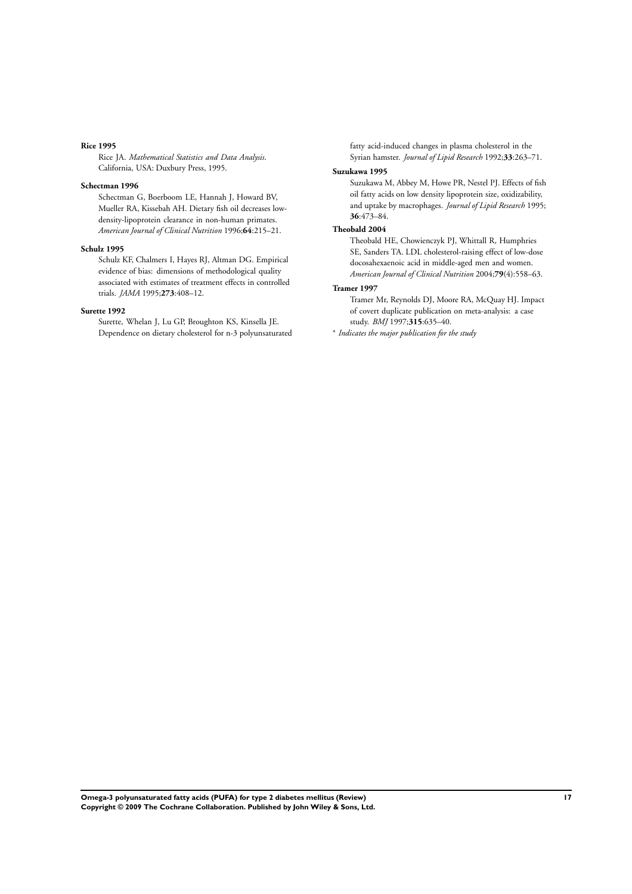### **Rice 1995**

Rice JA. *Mathematical Statistics and Data Analysis*. California, USA: Duxbury Press, 1995.

#### **Schectman 1996**

Schectman G, Boerboom LE, Hannah J, Howard BV, Mueller RA, Kissebah AH. Dietary fish oil decreases lowdensity-lipoprotein clearance in non-human primates. *American Journal of Clinical Nutrition* 1996;**64**:215–21.

### **Schulz 1995**

Schulz KF, Chalmers I, Hayes RJ, Altman DG. Empirical evidence of bias: dimensions of methodological quality associated with estimates of treatment effects in controlled trials. *JAMA* 1995;**273**:408–12.

# **Surette 1992**

Surette, Whelan J, Lu GP, Broughton KS, Kinsella JE. Dependence on dietary cholesterol for n-3 polyunsaturated fatty acid-induced changes in plasma cholesterol in the Syrian hamster. *Journal of Lipid Research* 1992;**33**:263–71.

# **Suzukawa 1995**

Suzukawa M, Abbey M, Howe PR, Nestel PJ. Effects of fish oil fatty acids on low density lipoprotein size, oxidizability, and uptake by macrophages. *Journal of Lipid Research* 1995; **36**:473–84.

### **Theobald 2004**

Theobald HE, Chowienczyk PJ, Whittall R, Humphries SE, Sanders TA. LDL cholesterol-raising effect of low-dose docosahexaenoic acid in middle-aged men and women. *American Journal of Clinical Nutrition* 2004;**79**(4):558–63.

#### **Tramer 1997**

Tramer Mr, Reynolds DJ, Moore RA, McQuay HJ. Impact of covert duplicate publication on meta-analysis: a case study. *BMJ* 1997;**315**:635–40.

∗ *Indicates the major publication for the study*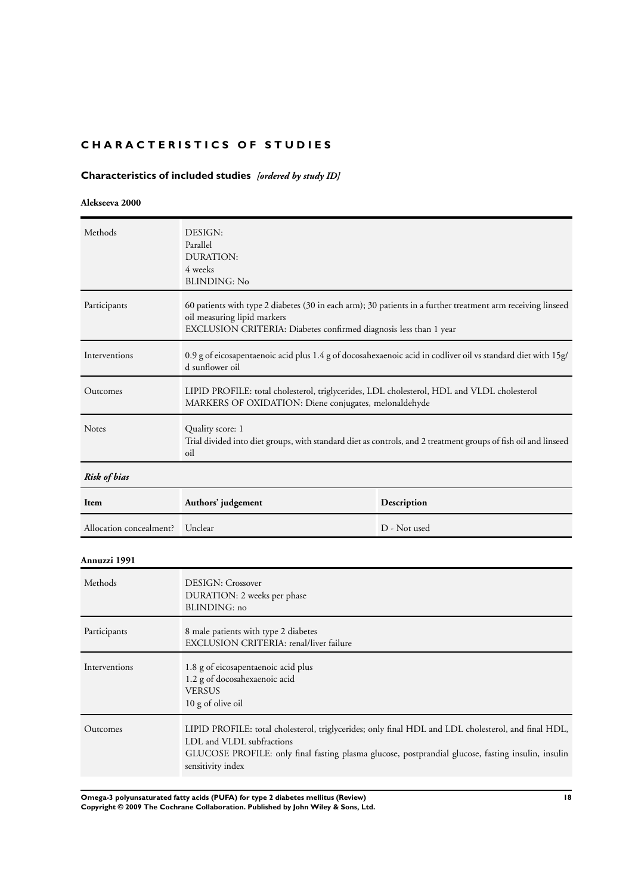# <span id="page-19-0"></span>**CHARACTERISTICS OF STUDIES**

# **Characteristics of included studies** *[ordered by study ID]*

**Alekseeva 2000**

| Methods                 | DESIGN:<br>Parallel<br>DURATION:<br>4 weeks<br><b>BLINDING: No</b>                                                                                                                                                                                          |                                                                                                                                                     |  |
|-------------------------|-------------------------------------------------------------------------------------------------------------------------------------------------------------------------------------------------------------------------------------------------------------|-----------------------------------------------------------------------------------------------------------------------------------------------------|--|
| Participants            | 60 patients with type 2 diabetes (30 in each arm); 30 patients in a further treatment arm receiving linseed<br>oil measuring lipid markers<br>EXCLUSION CRITERIA: Diabetes confirmed diagnosis less than 1 year                                             |                                                                                                                                                     |  |
| Interventions           | d sunflower oil                                                                                                                                                                                                                                             | 0.9 g of eicosapentaenoic acid plus 1.4 g of docosahexaenoic acid in codliver oil vs standard diet with 15g/                                        |  |
| Outcomes                |                                                                                                                                                                                                                                                             | LIPID PROFILE: total cholesterol, triglycerides, LDL cholesterol, HDL and VLDL cholesterol<br>MARKERS OF OXIDATION: Diene conjugates, melonaldehyde |  |
| Notes                   | Quality score: 1<br>Trial divided into diet groups, with standard diet as controls, and 2 treatment groups of fish oil and linseed<br>oil                                                                                                                   |                                                                                                                                                     |  |
| <b>Risk of bias</b>     |                                                                                                                                                                                                                                                             |                                                                                                                                                     |  |
| Item                    | Authors' judgement                                                                                                                                                                                                                                          | Description                                                                                                                                         |  |
| Allocation concealment? | Unclear                                                                                                                                                                                                                                                     | D - Not used                                                                                                                                        |  |
| Annuzzi 1991            |                                                                                                                                                                                                                                                             |                                                                                                                                                     |  |
| Methods                 | DESIGN: Crossover<br>DURATION: 2 weeks per phase<br><b>BLINDING</b> : no                                                                                                                                                                                    |                                                                                                                                                     |  |
| Participants            | 8 male patients with type 2 diabetes<br>EXCLUSION CRITERIA: renal/liver failure                                                                                                                                                                             |                                                                                                                                                     |  |
| Interventions           | 1.8 g of eicosapentaenoic acid plus<br>1.2 g of docosahexaenoic acid<br><b>VERSUS</b><br>10 g of olive oil                                                                                                                                                  |                                                                                                                                                     |  |
| Outcomes                | LIPID PROFILE: total cholesterol, triglycerides; only final HDL and LDL cholesterol, and final HDL,<br>LDL and VLDL subfractions<br>GLUCOSE PROFILE: only final fasting plasma glucose, postprandial glucose, fasting insulin, insulin<br>sensitivity index |                                                                                                                                                     |  |

**Omega-3 polyunsaturated fatty acids (PUFA) for type 2 diabetes mellitus (Review) 18 Copyright © 2009 The Cochrane Collaboration. Published by John Wiley & Sons, Ltd.**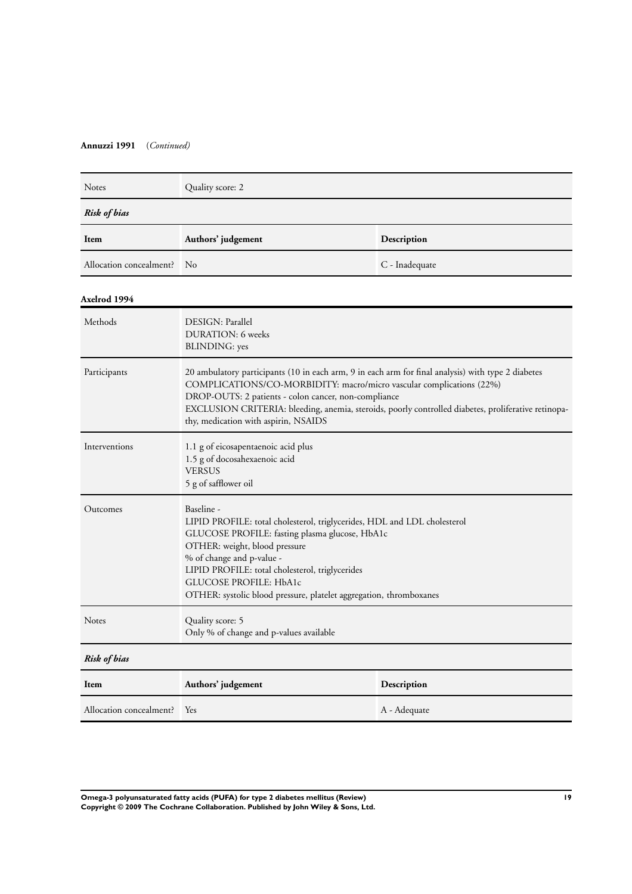# **Annuzzi 1991** (*Continued)*

| <b>Notes</b>            | Quality score: 2                                                                                                                                                                                                                                                                                                                                                                  |                |
|-------------------------|-----------------------------------------------------------------------------------------------------------------------------------------------------------------------------------------------------------------------------------------------------------------------------------------------------------------------------------------------------------------------------------|----------------|
| Risk of bias            |                                                                                                                                                                                                                                                                                                                                                                                   |                |
| Item                    | Authors' judgement                                                                                                                                                                                                                                                                                                                                                                | Description    |
| Allocation concealment? | No                                                                                                                                                                                                                                                                                                                                                                                | C - Inadequate |
| Axelrod 1994            |                                                                                                                                                                                                                                                                                                                                                                                   |                |
| Methods                 | DESIGN: Parallel<br>DURATION: 6 weeks<br><b>BLINDING:</b> yes                                                                                                                                                                                                                                                                                                                     |                |
| Participants            | 20 ambulatory participants (10 in each arm, 9 in each arm for final analysis) with type 2 diabetes<br>COMPLICATIONS/CO-MORBIDITY: macro/micro vascular complications (22%)<br>DROP-OUTS: 2 patients - colon cancer, non-compliance<br>EXCLUSION CRITERIA: bleeding, anemia, steroids, poorly controlled diabetes, proliferative retinopa-<br>thy, medication with aspirin, NSAIDS |                |
| Interventions           | 1.1 g of eicosapentaenoic acid plus<br>1.5 g of docosahexaenoic acid<br><b>VERSUS</b><br>5 g of safflower oil                                                                                                                                                                                                                                                                     |                |
| Outcomes                | Baseline -<br>LIPID PROFILE: total cholesterol, triglycerides, HDL and LDL cholesterol<br>GLUCOSE PROFILE: fasting plasma glucose, HbA1c<br>OTHER: weight, blood pressure<br>% of change and p-value -<br>LIPID PROFILE: total cholesterol, triglycerides<br><b>GLUCOSE PROFILE: HbA1c</b><br>OTHER: systolic blood pressure, platelet aggregation, thromboxanes                  |                |
| <b>Notes</b>            | Quality score: 5<br>Only % of change and p-values available                                                                                                                                                                                                                                                                                                                       |                |
| <b>Risk of bias</b>     |                                                                                                                                                                                                                                                                                                                                                                                   |                |
| Item                    | Authors' judgement<br>Description                                                                                                                                                                                                                                                                                                                                                 |                |
| Allocation concealment? | Yes                                                                                                                                                                                                                                                                                                                                                                               | A - Adequate   |

**Omega-3 polyunsaturated fatty acids (PUFA) for type 2 diabetes mellitus (Review) 19 Copyright © 2009 The Cochrane Collaboration. Published by John Wiley & Sons, Ltd.**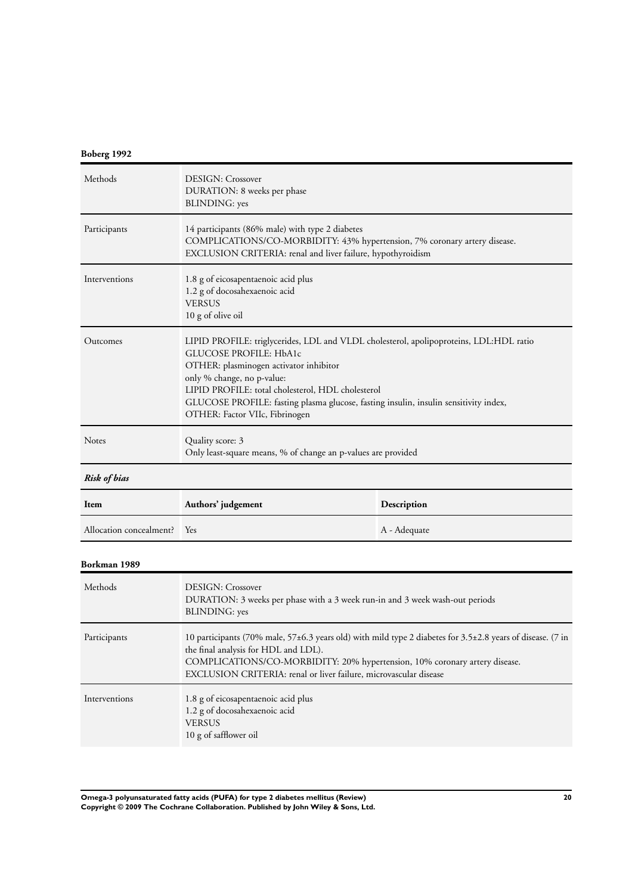# **Boberg 1992**

| Methods                 | DESIGN: Crossover<br>DURATION: 8 weeks per phase<br><b>BLINDING:</b> yes                                                                                                                                                                                                                                                                                                       |              |  |
|-------------------------|--------------------------------------------------------------------------------------------------------------------------------------------------------------------------------------------------------------------------------------------------------------------------------------------------------------------------------------------------------------------------------|--------------|--|
| Participants            | 14 participants (86% male) with type 2 diabetes<br>COMPLICATIONS/CO-MORBIDITY: 43% hypertension, 7% coronary artery disease.<br>EXCLUSION CRITERIA: renal and liver failure, hypothyroidism                                                                                                                                                                                    |              |  |
| Interventions           | 1.8 g of eicosapentaenoic acid plus<br>1.2 g of docosahexaenoic acid<br><b>VERSUS</b><br>10 g of olive oil                                                                                                                                                                                                                                                                     |              |  |
| Outcomes                | LIPID PROFILE: triglycerides, LDL and VLDL cholesterol, apolipoproteins, LDL:HDL ratio<br><b>GLUCOSE PROFILE: HbA1c</b><br>OTHER: plasminogen activator inhibitor<br>only % change, no p-value:<br>LIPID PROFILE: total cholesterol, HDL cholesterol<br>GLUCOSE PROFILE: fasting plasma glucose, fasting insulin, insulin sensitivity index,<br>OTHER: Factor VIIc, Fibrinogen |              |  |
| Notes                   | Quality score: 3<br>Only least-square means, % of change an p-values are provided                                                                                                                                                                                                                                                                                              |              |  |
| <b>Risk of bias</b>     |                                                                                                                                                                                                                                                                                                                                                                                |              |  |
| Item                    | Authors' judgement                                                                                                                                                                                                                                                                                                                                                             | Description  |  |
| Allocation concealment? | Yes                                                                                                                                                                                                                                                                                                                                                                            | A - Adequate |  |
| Borkman 1989            |                                                                                                                                                                                                                                                                                                                                                                                |              |  |
| Methods                 | DESIGN: Crossover<br>DURATION: 3 weeks per phase with a 3 week run-in and 3 week wash-out periods<br><b>BLINDING:</b> yes                                                                                                                                                                                                                                                      |              |  |
| Participants            | 10 participants (70% male, 57±6.3 years old) with mild type 2 diabetes for 3.5±2.8 years of disease. (7 in<br>the final analysis for HDL and LDL).<br>COMPLICATIONS/CO-MORBIDITY: 20% hypertension, 10% coronary artery disease.<br>EXCLUSION CRITERIA: renal or liver failure, microvascular disease                                                                          |              |  |
| Interventions           | 1.8 g of eicosapentaenoic acid plus<br>1.2 g of docosahexaenoic acid<br><b>VERSUS</b>                                                                                                                                                                                                                                                                                          |              |  |

**Omega-3 polyunsaturated fatty acids (PUFA) for type 2 diabetes mellitus (Review) 20 Copyright © 2009 The Cochrane Collaboration. Published by John Wiley & Sons, Ltd.**

10 g of safflower oil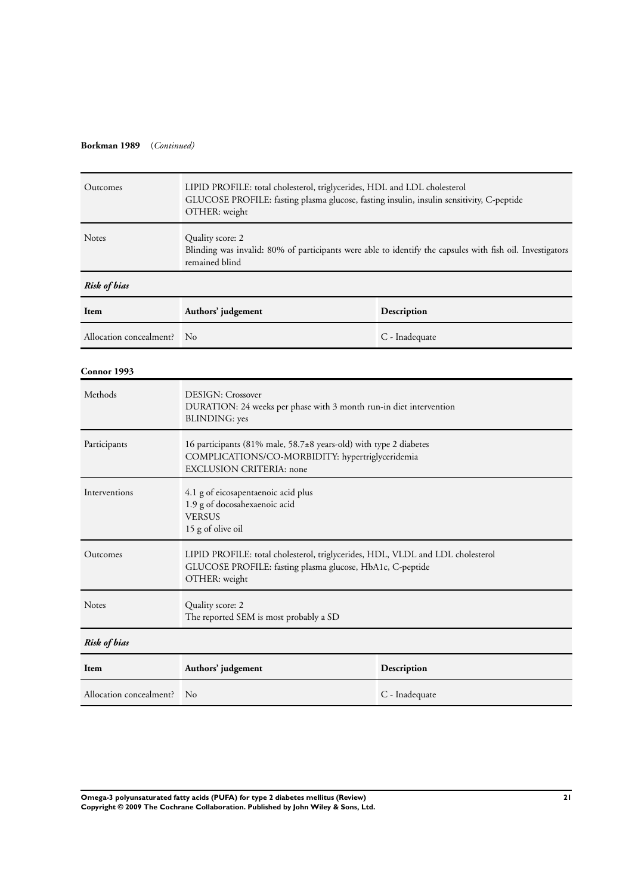# **Borkman 1989** (*Continued)*

| Outcomes                | LIPID PROFILE: total cholesterol, triglycerides, HDL and LDL cholesterol<br>GLUCOSE PROFILE: fasting plasma glucose, fasting insulin, insulin sensitivity, C-peptide<br>OTHER: weight |                |
|-------------------------|---------------------------------------------------------------------------------------------------------------------------------------------------------------------------------------|----------------|
| Notes                   | Quality score: 2<br>Blinding was invalid: 80% of participants were able to identify the capsules with fish oil. Investigators<br>remained blind                                       |                |
| Risk of bias            |                                                                                                                                                                                       |                |
| Item                    | Authors' judgement                                                                                                                                                                    | Description    |
| Allocation concealment? | N <sub>0</sub>                                                                                                                                                                        | C - Inadequate |
| Connor 1993             |                                                                                                                                                                                       |                |
| Methods                 | DESIGN: Crossover<br>DURATION: 24 weeks per phase with 3 month run-in diet intervention<br><b>BLINDING:</b> yes                                                                       |                |
| Participants            | 16 participants (81% male, $58.7\pm8$ years-old) with type 2 diabetes<br>COMPLICATIONS/CO-MORBIDITY: hypertriglyceridemia<br><b>EXCLUSION CRITERIA: none</b>                          |                |
| Interventions           | 4.1 g of eicosapentaenoic acid plus<br>1.9 g of docosahexaenoic acid<br><b>VERSUS</b><br>15 g of olive oil                                                                            |                |
| Outcomes                | LIPID PROFILE: total cholesterol, triglycerides, HDL, VLDL and LDL cholesterol<br>GLUCOSE PROFILE: fasting plasma glucose, HbA1c, C-peptide<br>OTHER: weight                          |                |
| Notes                   | Quality score: 2<br>The reported SEM is most probably a SD                                                                                                                            |                |
| <b>Risk of bias</b>     |                                                                                                                                                                                       |                |
| Item                    | Authors' judgement<br>Description                                                                                                                                                     |                |
| Allocation concealment? | No<br>C - Inadequate                                                                                                                                                                  |                |

**Omega-3 polyunsaturated fatty acids (PUFA) for type 2 diabetes mellitus (Review) 21 Copyright © 2009 The Cochrane Collaboration. Published by John Wiley & Sons, Ltd.**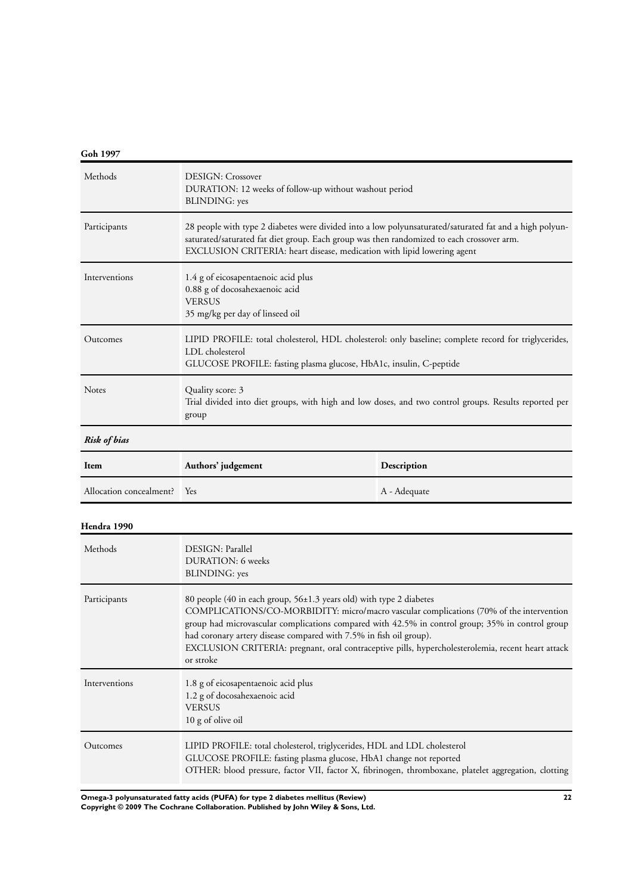# **Goh 1997**

| Methods                 | DESIGN: Crossover<br>DURATION: 12 weeks of follow-up without washout period<br><b>BLINDING:</b> yes                                                                                                                                                                                                                                                                                                                                                        |              |  |
|-------------------------|------------------------------------------------------------------------------------------------------------------------------------------------------------------------------------------------------------------------------------------------------------------------------------------------------------------------------------------------------------------------------------------------------------------------------------------------------------|--------------|--|
| Participants            | 28 people with type 2 diabetes were divided into a low polyunsaturated/saturated fat and a high polyun-<br>saturated/saturated fat diet group. Each group was then randomized to each crossover arm.<br>EXCLUSION CRITERIA: heart disease, medication with lipid lowering agent                                                                                                                                                                            |              |  |
| Interventions           | 1.4 g of eicosapentaenoic acid plus<br>0.88 g of docosahexaenoic acid<br><b>VERSUS</b><br>35 mg/kg per day of linseed oil                                                                                                                                                                                                                                                                                                                                  |              |  |
| Outcomes                | LIPID PROFILE: total cholesterol, HDL cholesterol: only baseline; complete record for triglycerides,<br>LDL cholesterol<br>GLUCOSE PROFILE: fasting plasma glucose, HbA1c, insulin, C-peptide                                                                                                                                                                                                                                                              |              |  |
| Notes                   | Quality score: 3<br>Trial divided into diet groups, with high and low doses, and two control groups. Results reported per<br>group                                                                                                                                                                                                                                                                                                                         |              |  |
| <b>Risk of bias</b>     |                                                                                                                                                                                                                                                                                                                                                                                                                                                            |              |  |
| Item                    | Authors' judgement                                                                                                                                                                                                                                                                                                                                                                                                                                         | Description  |  |
| Allocation concealment? | Yes                                                                                                                                                                                                                                                                                                                                                                                                                                                        | A - Adequate |  |
| Hendra 1990             |                                                                                                                                                                                                                                                                                                                                                                                                                                                            |              |  |
| Methods                 | DESIGN: Parallel<br>DURATION: 6 weeks<br><b>BLINDING:</b> yes                                                                                                                                                                                                                                                                                                                                                                                              |              |  |
| Participants            | 80 people (40 in each group, 56±1.3 years old) with type 2 diabetes<br>COMPLICATIONS/CO-MORBIDITY: micro/macro vascular complications (70% of the intervention<br>group had microvascular complications compared with 42.5% in control group; 35% in control group<br>had coronary artery disease compared with 7.5% in fish oil group).<br>EXCLUSION CRITERIA: pregnant, oral contraceptive pills, hypercholesterolemia, recent heart attack<br>or stroke |              |  |
| Interventions           | 1.8 g of eicosapentaenoic acid plus<br>1.2 g of docosahexaenoic acid<br><b>VERSUS</b><br>10 g of olive oil                                                                                                                                                                                                                                                                                                                                                 |              |  |
| Outcomes                | LIPID PROFILE: total cholesterol, triglycerides, HDL and LDL cholesterol<br>GLUCOSE PROFILE: fasting plasma glucose, HbA1 change not reported<br>OTHER: blood pressure, factor VII, factor X, fibrinogen, thromboxane, platelet aggregation, clotting                                                                                                                                                                                                      |              |  |

**Omega-3 polyunsaturated fatty acids (PUFA) for type 2 diabetes mellitus (Review) 22 Copyright © 2009 The Cochrane Collaboration. Published by John Wiley & Sons, Ltd.**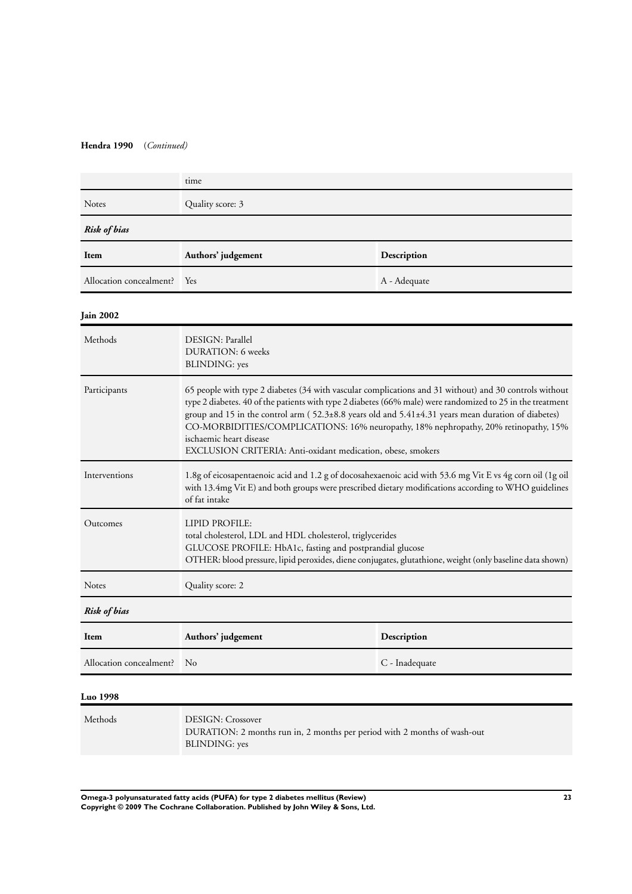# **Hendra 1990** (*Continued)*

| time                                                                                                                                                                                                                                                                                                                                                                                                                                                                                                                 |  |  |
|----------------------------------------------------------------------------------------------------------------------------------------------------------------------------------------------------------------------------------------------------------------------------------------------------------------------------------------------------------------------------------------------------------------------------------------------------------------------------------------------------------------------|--|--|
| Quality score: 3                                                                                                                                                                                                                                                                                                                                                                                                                                                                                                     |  |  |
| <b>Risk of bias</b>                                                                                                                                                                                                                                                                                                                                                                                                                                                                                                  |  |  |
| Authors' judgement<br>Description                                                                                                                                                                                                                                                                                                                                                                                                                                                                                    |  |  |
| A - Adequate<br><b>Yes</b>                                                                                                                                                                                                                                                                                                                                                                                                                                                                                           |  |  |
|                                                                                                                                                                                                                                                                                                                                                                                                                                                                                                                      |  |  |
| DESIGN: Parallel<br><b>DURATION: 6 weeks</b><br><b>BLINDING:</b> yes                                                                                                                                                                                                                                                                                                                                                                                                                                                 |  |  |
| 65 people with type 2 diabetes (34 with vascular complications and 31 without) and 30 controls without<br>type 2 diabetes. 40 of the patients with type 2 diabetes (66% male) were randomized to 25 in the treatment<br>group and 15 in the control arm ( $52.3\pm8.8$ years old and $5.41\pm4.31$ years mean duration of diabetes)<br>CO-MORBIDITIES/COMPLICATIONS: 16% neuropathy, 18% nephropathy, 20% retinopathy, 15%<br>ischaemic heart disease<br>EXCLUSION CRITERIA: Anti-oxidant medication, obese, smokers |  |  |
| 1.8g of eicosapentaenoic acid and 1.2 g of docosahexaenoic acid with 53.6 mg Vit E vs 4g corn oil (1g oil<br>with 13.4mg Vit E) and both groups were prescribed dietary modifications according to WHO guidelines<br>of fat intake                                                                                                                                                                                                                                                                                   |  |  |
| LIPID PROFILE:<br>total cholesterol, LDL and HDL cholesterol, triglycerides<br>GLUCOSE PROFILE: HbA1c, fasting and postprandial glucose<br>OTHER: blood pressure, lipid peroxides, diene conjugates, glutathione, weight (only baseline data shown)                                                                                                                                                                                                                                                                  |  |  |
| Quality score: 2                                                                                                                                                                                                                                                                                                                                                                                                                                                                                                     |  |  |
|                                                                                                                                                                                                                                                                                                                                                                                                                                                                                                                      |  |  |
| Authors' judgement<br>Description                                                                                                                                                                                                                                                                                                                                                                                                                                                                                    |  |  |
| C - Inadequate<br>- No                                                                                                                                                                                                                                                                                                                                                                                                                                                                                               |  |  |
| Luo 1998                                                                                                                                                                                                                                                                                                                                                                                                                                                                                                             |  |  |
| DESIGN: Crossover<br>DURATION: 2 months run in, 2 months per period with 2 months of wash-out<br><b>BLINDING:</b> yes                                                                                                                                                                                                                                                                                                                                                                                                |  |  |
|                                                                                                                                                                                                                                                                                                                                                                                                                                                                                                                      |  |  |

**Omega-3 polyunsaturated fatty acids (PUFA) for type 2 diabetes mellitus (Review) 23 Copyright © 2009 The Cochrane Collaboration. Published by John Wiley & Sons, Ltd.**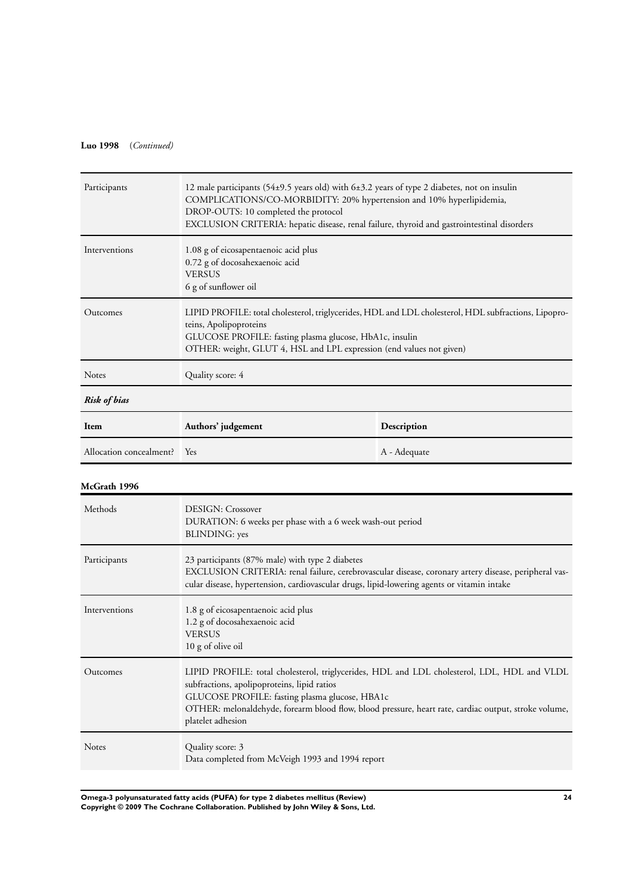# **Luo 1998** (*Continued)*

| Participants            | 12 male participants (54±9.5 years old) with 6±3.2 years of type 2 diabetes, not on insulin<br>COMPLICATIONS/CO-MORBIDITY: 20% hypertension and 10% hyperlipidemia,<br>DROP-OUTS: 10 completed the protocol                                                       |              |
|-------------------------|-------------------------------------------------------------------------------------------------------------------------------------------------------------------------------------------------------------------------------------------------------------------|--------------|
| Interventions           | EXCLUSION CRITERIA: hepatic disease, renal failure, thyroid and gastrointestinal disorders<br>1.08 g of eicosapentaenoic acid plus<br>0.72 g of docosahexaenoic acid<br><b>VERSUS</b><br>6 g of sunflower oil                                                     |              |
| Outcomes                | LIPID PROFILE: total cholesterol, triglycerides, HDL and LDL cholesterol, HDL subfractions, Lipopro-<br>teins, Apolipoproteins<br>GLUCOSE PROFILE: fasting plasma glucose, HbA1c, insulin<br>OTHER: weight, GLUT 4, HSL and LPL expression (end values not given) |              |
| <b>Notes</b>            | Quality score: 4                                                                                                                                                                                                                                                  |              |
| <b>Risk of bias</b>     |                                                                                                                                                                                                                                                                   |              |
| Item                    | Authors' judgement<br>Description                                                                                                                                                                                                                                 |              |
| Allocation concealment? | Yes                                                                                                                                                                                                                                                               | A - Adequate |
| McGrath 1996            |                                                                                                                                                                                                                                                                   |              |
| <b>Brit</b>             | <b>DECIONI</b>                                                                                                                                                                                                                                                    |              |

| Methods       | DESIGN: Crossover<br>DURATION: 6 weeks per phase with a 6 week wash-out period<br><b>BLINDING:</b> yes                                                                                                                                                                                                                    |
|---------------|---------------------------------------------------------------------------------------------------------------------------------------------------------------------------------------------------------------------------------------------------------------------------------------------------------------------------|
| Participants  | 23 participants (87% male) with type 2 diabetes<br>EXCLUSION CRITERIA: renal failure, cerebrovascular disease, coronary artery disease, peripheral vas-<br>cular disease, hypertension, cardiovascular drugs, lipid-lowering agents or vitamin intake                                                                     |
| Interventions | 1.8 g of eicosapentaenoic acid plus<br>1.2 g of docosahexaenoic acid<br><b>VERSUS</b><br>10 g of olive oil                                                                                                                                                                                                                |
| Outcomes      | LIPID PROFILE: total cholesterol, triglycerides, HDL and LDL cholesterol, LDL, HDL and VLDL<br>subfractions, apolipoproteins, lipid ratios<br>GLUCOSE PROFILE: fasting plasma glucose, HBA1c<br>OTHER: melonaldehyde, forearm blood flow, blood pressure, heart rate, cardiac output, stroke volume,<br>platelet adhesion |
| Notes         | Quality score: 3<br>Data completed from McVeigh 1993 and 1994 report                                                                                                                                                                                                                                                      |

**Omega-3 polyunsaturated fatty acids (PUFA) for type 2 diabetes mellitus (Review) 24 Copyright © 2009 The Cochrane Collaboration. Published by John Wiley & Sons, Ltd.**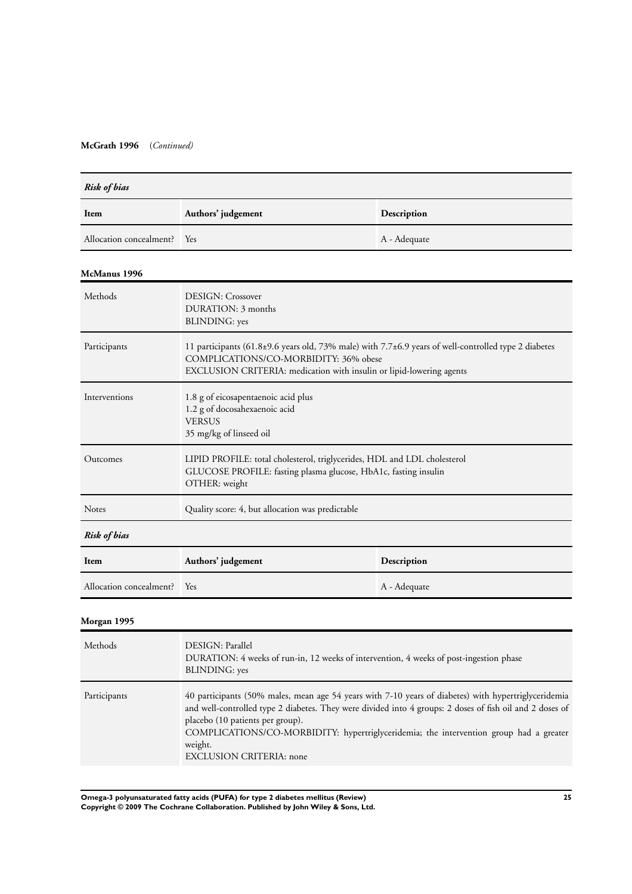# **McGrath 1996** (*Continued)*

| <b>Risk of bias</b>     |                                                                                                                                                                                                                       |              |  |
|-------------------------|-----------------------------------------------------------------------------------------------------------------------------------------------------------------------------------------------------------------------|--------------|--|
| Item                    | Authors' judgement                                                                                                                                                                                                    | Description  |  |
| Allocation concealment? | Yes                                                                                                                                                                                                                   | A - Adequate |  |
| McManus 1996            |                                                                                                                                                                                                                       |              |  |
| Methods                 | DESIGN: Crossover<br>DURATION: 3 months<br><b>BLINDING:</b> yes                                                                                                                                                       |              |  |
| Participants            | 11 participants (61.8±9.6 years old, 73% male) with 7.7±6.9 years of well-controlled type 2 diabetes<br>COMPLICATIONS/CO-MORBIDITY: 36% obese<br>EXCLUSION CRITERIA: medication with insulin or lipid-lowering agents |              |  |
| Interventions           | 1.8 g of eicosapentaenoic acid plus<br>1.2 g of docosahexaenoic acid<br><b>VERSUS</b><br>35 mg/kg of linseed oil                                                                                                      |              |  |
| Outcomes                | LIPID PROFILE: total cholesterol, triglycerides, HDL and LDL cholesterol<br>GLUCOSE PROFILE: fasting plasma glucose, HbA1c, fasting insulin<br>OTHER: weight                                                          |              |  |
| <b>Notes</b>            | Quality score: 4, but allocation was predictable                                                                                                                                                                      |              |  |
| <b>Risk of bias</b>     |                                                                                                                                                                                                                       |              |  |
| Item                    | Authors' judgement                                                                                                                                                                                                    | Description  |  |
| Allocation concealment? | Yes                                                                                                                                                                                                                   | A - Adequate |  |

# **Morgan 1995**

| Methods      | DESIGN: Parallel<br>DURATION: 4 weeks of run-in, 12 weeks of intervention, 4 weeks of post-ingestion phase<br><b>BLINDING:</b> yes                                                                                                                                                                                                                                                           |
|--------------|----------------------------------------------------------------------------------------------------------------------------------------------------------------------------------------------------------------------------------------------------------------------------------------------------------------------------------------------------------------------------------------------|
| Participants | 40 participants (50% males, mean age 54 years with 7-10 years of diabetes) with hypertriglyceridemia<br>and well-controlled type 2 diabetes. They were divided into 4 groups: 2 doses of fish oil and 2 doses of<br>placebo (10 patients per group).<br>COMPLICATIONS/CO-MORBIDITY: hypertriglyceridemia; the intervention group had a greater<br>weight.<br><b>EXCLUSION CRITERIA: none</b> |

**Omega-3 polyunsaturated fatty acids (PUFA) for type 2 diabetes mellitus (Review) 25 Copyright © 2009 The Cochrane Collaboration. Published by John Wiley & Sons, Ltd.**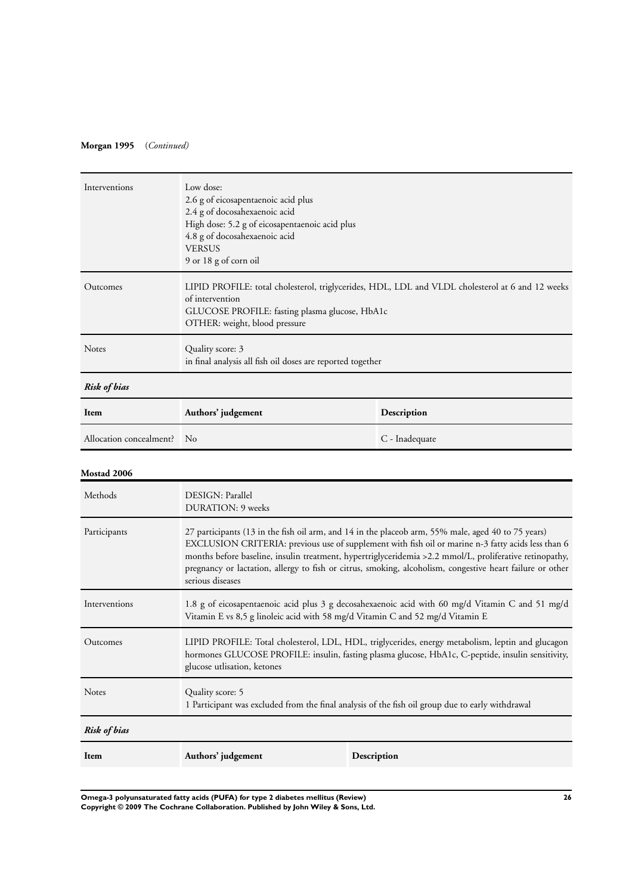# **Morgan 1995** (*Continued)*

| Item          | Authors' judgement                                                                                                                                                                                             | Description |
|---------------|----------------------------------------------------------------------------------------------------------------------------------------------------------------------------------------------------------------|-------------|
| Risk of bias  |                                                                                                                                                                                                                |             |
| <b>Notes</b>  | Quality score: 3<br>in final analysis all fish oil doses are reported together                                                                                                                                 |             |
| Outcomes      | LIPID PROFILE: total cholesterol, triglycerides, HDL, LDL and VLDL cholesterol at 6 and 12 weeks<br>of intervention<br>GLUCOSE PROFILE: fasting plasma glucose, HbA1c<br>OTHER: weight, blood pressure         |             |
| Interventions | Low dose:<br>2.6 g of eicosapentaenoic acid plus<br>2.4 g of docosahexaenoic acid<br>High dose: 5.2 g of eicosapentaenoic acid plus<br>4.8 g of docosahexaenoic acid<br><b>VERSUS</b><br>9 or 18 g of corn oil |             |

Allocation concealment? No C - Inadequate

# **Mostad 2006**

| Methods             | DESIGN: Parallel<br>DURATION: 9 weeks                                                                                                                                                                                                                                                                                                                                                                                                                |             |  |
|---------------------|------------------------------------------------------------------------------------------------------------------------------------------------------------------------------------------------------------------------------------------------------------------------------------------------------------------------------------------------------------------------------------------------------------------------------------------------------|-------------|--|
| Participants        | 27 participants (13 in the fish oil arm, and 14 in the placeob arm, 55% male, aged 40 to 75 years)<br>EXCLUSION CRITERIA: previous use of supplement with fish oil or marine n-3 fatty acids less than 6<br>months before baseline, insulin treatment, hypertriglyceridemia >2.2 mmol/L, proliferative retinopathy,<br>pregnancy or lactation, allergy to fish or citrus, smoking, alcoholism, congestive heart failure or other<br>serious diseases |             |  |
| Interventions       | 1.8 g of eicosapentaenoic acid plus 3 g decosahexaenoic acid with 60 mg/d Vitamin C and 51 mg/d<br>Vitamin E vs 8,5 g linoleic acid with 58 mg/d Vitamin C and 52 mg/d Vitamin E                                                                                                                                                                                                                                                                     |             |  |
| Outcomes            | LIPID PROFILE: Total cholesterol, LDL, HDL, triglycerides, energy metabolism, leptin and glucagon<br>hormones GLUCOSE PROFILE: insulin, fasting plasma glucose, HbA1c, C-peptide, insulin sensitivity,<br>glucose utlisation, ketones                                                                                                                                                                                                                |             |  |
| <b>Notes</b>        | Quality score: 5<br>1 Participant was excluded from the final analysis of the fish oil group due to early withdrawal                                                                                                                                                                                                                                                                                                                                 |             |  |
| <b>Risk of bias</b> |                                                                                                                                                                                                                                                                                                                                                                                                                                                      |             |  |
| Item                | Authors' judgement                                                                                                                                                                                                                                                                                                                                                                                                                                   | Description |  |
|                     |                                                                                                                                                                                                                                                                                                                                                                                                                                                      |             |  |

**Omega-3 polyunsaturated fatty acids (PUFA) for type 2 diabetes mellitus (Review) 26 Copyright © 2009 The Cochrane Collaboration. Published by John Wiley & Sons, Ltd.**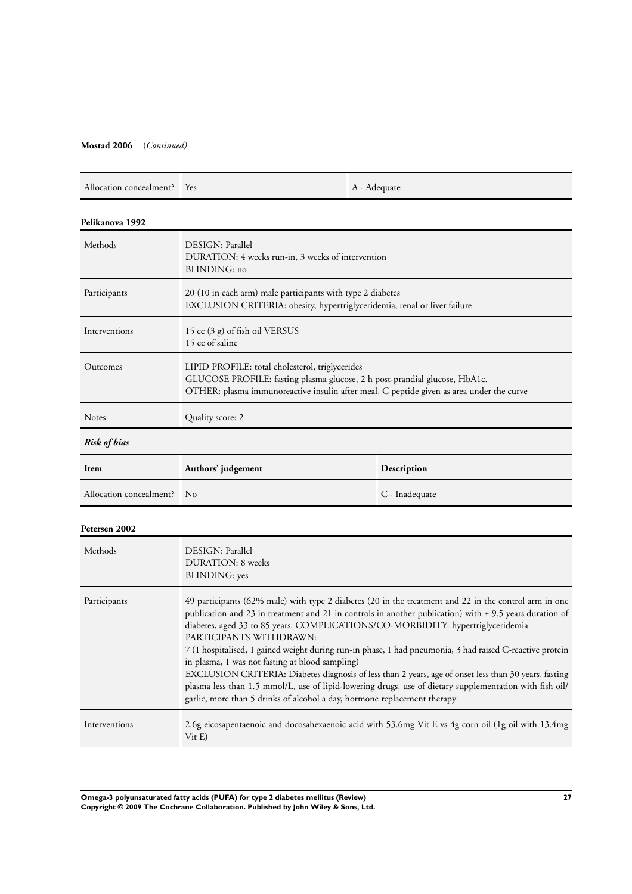# **Mostad 2006** (*Continued)*

| Allocation concealment? | Yes                                                                                                                                                                                                                                                                                                                                                                                                                                                                                                                                                                                                                                                                                                                                                                                               | A - Adequate   |  |  |
|-------------------------|---------------------------------------------------------------------------------------------------------------------------------------------------------------------------------------------------------------------------------------------------------------------------------------------------------------------------------------------------------------------------------------------------------------------------------------------------------------------------------------------------------------------------------------------------------------------------------------------------------------------------------------------------------------------------------------------------------------------------------------------------------------------------------------------------|----------------|--|--|
| Pelikanova 1992         |                                                                                                                                                                                                                                                                                                                                                                                                                                                                                                                                                                                                                                                                                                                                                                                                   |                |  |  |
| Methods                 | DESIGN: Parallel<br>DURATION: 4 weeks run-in, 3 weeks of intervention<br><b>BLINDING</b> : no                                                                                                                                                                                                                                                                                                                                                                                                                                                                                                                                                                                                                                                                                                     |                |  |  |
| Participants            | 20 (10 in each arm) male participants with type 2 diabetes<br>EXCLUSION CRITERIA: obesity, hypertriglyceridemia, renal or liver failure                                                                                                                                                                                                                                                                                                                                                                                                                                                                                                                                                                                                                                                           |                |  |  |
| Interventions           | 15 cc $(3 g)$ of fish oil VERSUS<br>15 cc of saline                                                                                                                                                                                                                                                                                                                                                                                                                                                                                                                                                                                                                                                                                                                                               |                |  |  |
| Outcomes                | LIPID PROFILE: total cholesterol, triglycerides<br>GLUCOSE PROFILE: fasting plasma glucose, 2 h post-prandial glucose, HbA1c.<br>OTHER: plasma immunoreactive insulin after meal, C peptide given as area under the curve                                                                                                                                                                                                                                                                                                                                                                                                                                                                                                                                                                         |                |  |  |
| <b>Notes</b>            | Quality score: 2                                                                                                                                                                                                                                                                                                                                                                                                                                                                                                                                                                                                                                                                                                                                                                                  |                |  |  |
| <b>Risk of bias</b>     |                                                                                                                                                                                                                                                                                                                                                                                                                                                                                                                                                                                                                                                                                                                                                                                                   |                |  |  |
| Item                    | Authors' judgement                                                                                                                                                                                                                                                                                                                                                                                                                                                                                                                                                                                                                                                                                                                                                                                | Description    |  |  |
| Allocation concealment? | No                                                                                                                                                                                                                                                                                                                                                                                                                                                                                                                                                                                                                                                                                                                                                                                                | C - Inadequate |  |  |
| Petersen 2002           |                                                                                                                                                                                                                                                                                                                                                                                                                                                                                                                                                                                                                                                                                                                                                                                                   |                |  |  |
| Methods                 | DESIGN: Parallel<br><b>DURATION: 8 weeks</b><br><b>BLINDING:</b> yes                                                                                                                                                                                                                                                                                                                                                                                                                                                                                                                                                                                                                                                                                                                              |                |  |  |
| Participants            | 49 participants (62% male) with type 2 diabetes (20 in the treatment and 22 in the control arm in one<br>publication and 23 in treatment and 21 in controls in another publication) with $\pm$ 9.5 years duration of<br>diabetes, aged 33 to 85 years. COMPLICATIONS/CO-MORBIDITY: hypertriglyceridemia<br>PARTICIPANTS WITHDRAWN:<br>7 (1 hospitalised, 1 gained weight during run-in phase, 1 had pneumonia, 3 had raised C-reactive protein<br>in plasma, 1 was not fasting at blood sampling)<br>EXCLUSION CRITERIA: Diabetes diagnosis of less than 2 years, age of onset less than 30 years, fasting<br>plasma less than 1.5 mmol/L, use of lipid-lowering drugs, use of dietary supplementation with fish oil/<br>garlic, more than 5 drinks of alcohol a day, hormone replacement therapy |                |  |  |
| Interventions           | 2.6g eicosapentaenoic and docosahexaenoic acid with 53.6mg Vit E vs 4g corn oil (1g oil with 13.4mg<br>Vir E                                                                                                                                                                                                                                                                                                                                                                                                                                                                                                                                                                                                                                                                                      |                |  |  |

**Omega-3 polyunsaturated fatty acids (PUFA) for type 2 diabetes mellitus (Review) 27 Copyright © 2009 The Cochrane Collaboration. Published by John Wiley & Sons, Ltd.**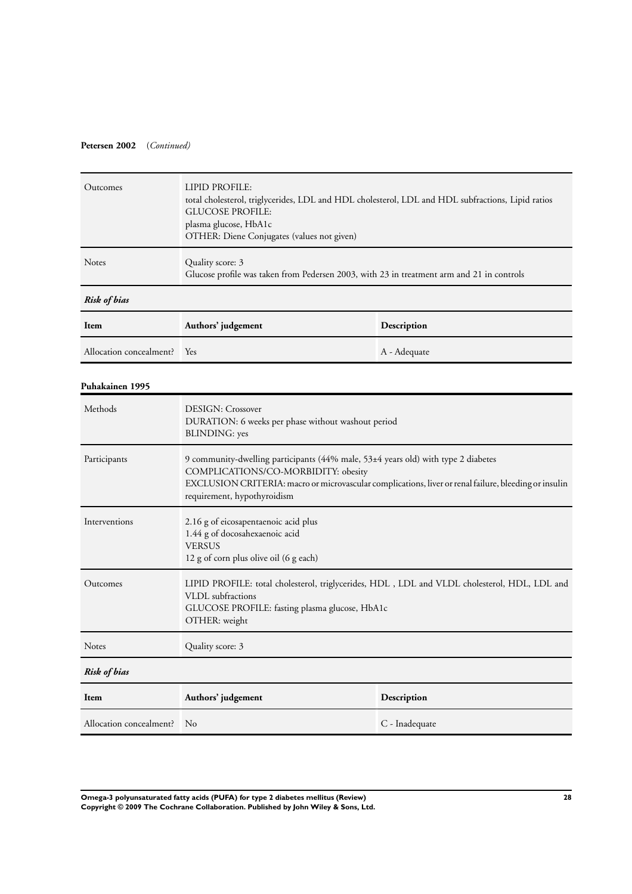# **Petersen 2002** (*Continued)*

| Outcomes                | LIPID PROFILE:<br>total cholesterol, triglycerides, LDL and HDL cholesterol, LDL and HDL subfractions, Lipid ratios<br><b>GLUCOSE PROFILE:</b><br>plasma glucose, HbA1c<br>OTHER: Diene Conjugates (values not given)                                            |              |  |  |
|-------------------------|------------------------------------------------------------------------------------------------------------------------------------------------------------------------------------------------------------------------------------------------------------------|--------------|--|--|
| Notes                   | Quality score: 3<br>Glucose profile was taken from Pedersen 2003, with 23 in treatment arm and 21 in controls                                                                                                                                                    |              |  |  |
| <b>Risk of bias</b>     |                                                                                                                                                                                                                                                                  |              |  |  |
| Item                    | Authors' judgement                                                                                                                                                                                                                                               | Description  |  |  |
| Allocation concealment? | Yes                                                                                                                                                                                                                                                              | A - Adequate |  |  |
| Puhakainen 1995         |                                                                                                                                                                                                                                                                  |              |  |  |
| Methods                 | DESIGN: Crossover<br>DURATION: 6 weeks per phase without washout period<br><b>BLINDING:</b> yes                                                                                                                                                                  |              |  |  |
| Participants            | 9 community-dwelling participants (44% male, 53±4 years old) with type 2 diabetes<br>COMPLICATIONS/CO-MORBIDITY: obesity<br>EXCLUSION CRITERIA: macro or microvascular complications, liver or renal failure, bleeding or insulin<br>requirement, hypothyroidism |              |  |  |
| Interventions           | 2.16 g of eicosapentaenoic acid plus<br>1.44 g of docosahexaenoic acid<br><b>VERSUS</b><br>12 g of corn plus olive oil (6 g each)                                                                                                                                |              |  |  |
| Outcomes                | LIPID PROFILE: total cholesterol, triglycerides, HDL, LDL and VLDL cholesterol, HDL, LDL and<br>VLDL subfractions<br>GLUCOSE PROFILE: fasting plasma glucose, HbA1c<br>OTHER: weight                                                                             |              |  |  |
| Notes                   | Quality score: 3                                                                                                                                                                                                                                                 |              |  |  |
| Risk of bias            |                                                                                                                                                                                                                                                                  |              |  |  |
| Item                    | Authors' judgement<br>Description                                                                                                                                                                                                                                |              |  |  |
| Allocation concealment? | No<br>C - Inadequate                                                                                                                                                                                                                                             |              |  |  |

**Omega-3 polyunsaturated fatty acids (PUFA) for type 2 diabetes mellitus (Review) 28 Copyright © 2009 The Cochrane Collaboration. Published by John Wiley & Sons, Ltd.**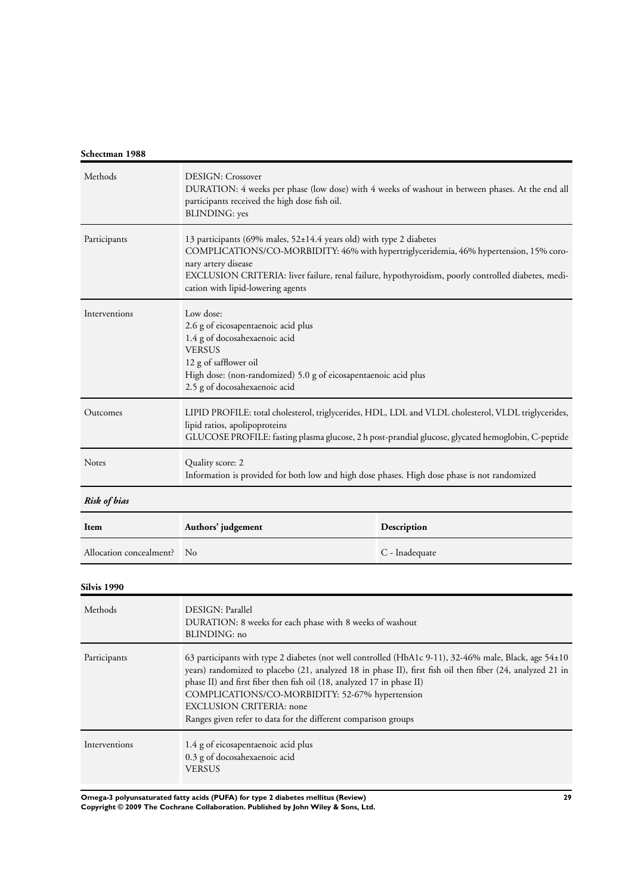# **Schectman 1988**

| Methods                 | DESIGN: Crossover<br>DURATION: 4 weeks per phase (low dose) with 4 weeks of washout in between phases. At the end all<br>participants received the high dose fish oil.<br><b>BLINDING:</b> yes                                                                                                                                                                                                                                                      |                |  |
|-------------------------|-----------------------------------------------------------------------------------------------------------------------------------------------------------------------------------------------------------------------------------------------------------------------------------------------------------------------------------------------------------------------------------------------------------------------------------------------------|----------------|--|
| Participants            | 13 participants (69% males, 52±14.4 years old) with type 2 diabetes<br>COMPLICATIONS/CO-MORBIDITY: 46% with hypertriglyceridemia, 46% hypertension, 15% coro-<br>nary artery disease<br>EXCLUSION CRITERIA: liver failure, renal failure, hypothyroidism, poorly controlled diabetes, medi-<br>cation with lipid-lowering agents                                                                                                                    |                |  |
| Interventions           | Low dose:<br>2.6 g of eicosapentaenoic acid plus<br>1.4 g of docosahexaenoic acid<br><b>VERSUS</b><br>12 g of safflower oil<br>High dose: (non-randomized) 5.0 g of eicosapentaenoic acid plus<br>2.5 g of docosahexaenoic acid                                                                                                                                                                                                                     |                |  |
| Outcomes                | LIPID PROFILE: total cholesterol, triglycerides, HDL, LDL and VLDL cholesterol, VLDL triglycerides,<br>lipid ratios, apolipoproteins<br>GLUCOSE PROFILE: fasting plasma glucose, 2 h post-prandial glucose, glycated hemoglobin, C-peptide                                                                                                                                                                                                          |                |  |
| Notes                   | Quality score: 2<br>Information is provided for both low and high dose phases. High dose phase is not randomized                                                                                                                                                                                                                                                                                                                                    |                |  |
| <b>Risk of bias</b>     |                                                                                                                                                                                                                                                                                                                                                                                                                                                     |                |  |
| Item                    | Authors' judgement                                                                                                                                                                                                                                                                                                                                                                                                                                  | Description    |  |
| Allocation concealment? | No                                                                                                                                                                                                                                                                                                                                                                                                                                                  | C - Inadequate |  |
| <b>Silvis 1990</b>      |                                                                                                                                                                                                                                                                                                                                                                                                                                                     |                |  |
| Methods                 | DESIGN: Parallel<br>DURATION: 8 weeks for each phase with 8 weeks of washout<br><b>BLINDING:</b> no                                                                                                                                                                                                                                                                                                                                                 |                |  |
| Participants            | 63 participants with type 2 diabetes (not well controlled (HbA1c 9-11), 32-46% male, Black, age 54±10<br>years) randomized to placebo (21, analyzed 18 in phase II), first fish oil then fiber (24, analyzed 21 in<br>phase II) and first fiber then fish oil (18, analyzed 17 in phase II)<br>COMPLICATIONS/CO-MORBIDITY: 52-67% hypertension<br><b>EXCLUSION CRITERIA: none</b><br>Ranges given refer to data for the different comparison groups |                |  |
| Interventions           | 1.4 g of eicosapentaenoic acid plus<br>0.3 g of docosahexaenoic acid<br><b>VERSUS</b>                                                                                                                                                                                                                                                                                                                                                               |                |  |

**Omega-3 polyunsaturated fatty acids (PUFA) for type 2 diabetes mellitus (Review) 29 Copyright © 2009 The Cochrane Collaboration. Published by John Wiley & Sons, Ltd.**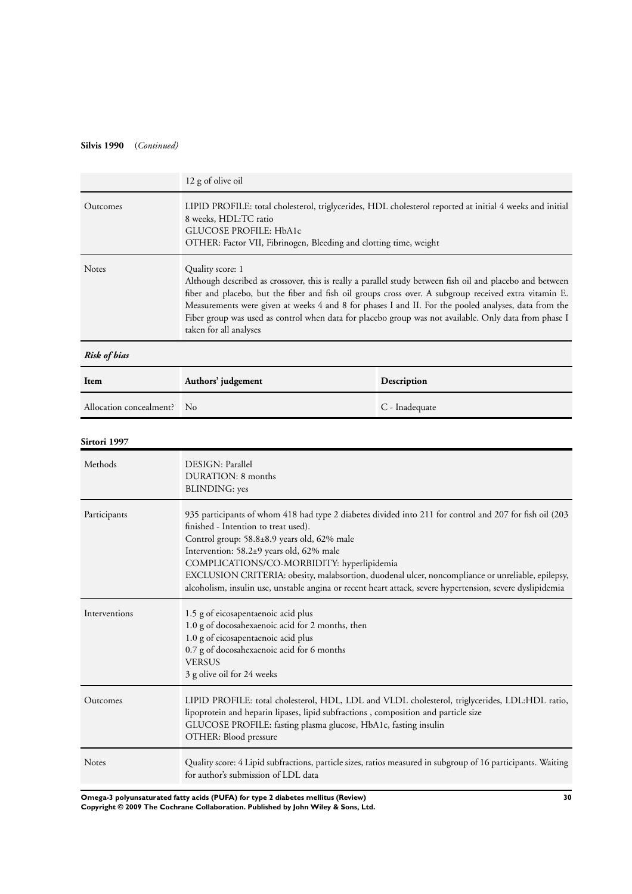# **Silvis 1990** (*Continued)*

|                         | 12 g of olive oil                                                                                                                                                                                                                                                                                                                                                                                                                                                                 |                                                                                                                                                                                                                                                                                                                           |  |
|-------------------------|-----------------------------------------------------------------------------------------------------------------------------------------------------------------------------------------------------------------------------------------------------------------------------------------------------------------------------------------------------------------------------------------------------------------------------------------------------------------------------------|---------------------------------------------------------------------------------------------------------------------------------------------------------------------------------------------------------------------------------------------------------------------------------------------------------------------------|--|
| Outcomes                | LIPID PROFILE: total cholesterol, triglycerides, HDL cholesterol reported at initial 4 weeks and initial<br>8 weeks, HDL:TC ratio<br>GLUCOSE PROFILE: HbA1c<br>OTHER: Factor VII, Fibrinogen, Bleeding and clotting time, weight                                                                                                                                                                                                                                                  |                                                                                                                                                                                                                                                                                                                           |  |
| Notes                   | Quality score: 1<br>Although described as crossover, this is really a parallel study between fish oil and placebo and between<br>fiber and placebo, but the fiber and fish oil groups cross over. A subgroup received extra vitamin E.<br>Measurements were given at weeks 4 and 8 for phases I and II. For the pooled analyses, data from the<br>Fiber group was used as control when data for placebo group was not available. Only data from phase I<br>taken for all analyses |                                                                                                                                                                                                                                                                                                                           |  |
| Risk of bias            |                                                                                                                                                                                                                                                                                                                                                                                                                                                                                   |                                                                                                                                                                                                                                                                                                                           |  |
| Item                    | Authors' judgement                                                                                                                                                                                                                                                                                                                                                                                                                                                                | Description                                                                                                                                                                                                                                                                                                               |  |
| Allocation concealment? | No                                                                                                                                                                                                                                                                                                                                                                                                                                                                                | C - Inadequate                                                                                                                                                                                                                                                                                                            |  |
| Sirtori 1997            |                                                                                                                                                                                                                                                                                                                                                                                                                                                                                   |                                                                                                                                                                                                                                                                                                                           |  |
| Methods                 | DESIGN: Parallel<br>DURATION: 8 months<br><b>BLINDING:</b> yes                                                                                                                                                                                                                                                                                                                                                                                                                    |                                                                                                                                                                                                                                                                                                                           |  |
| Participants            | finished - Intention to treat used).<br>Control group: 58.8±8.9 years old, 62% male<br>Intervention: 58.2±9 years old, 62% male<br>COMPLICATIONS/CO-MORBIDITY: hyperlipidemia                                                                                                                                                                                                                                                                                                     | 935 participants of whom 418 had type 2 diabetes divided into 211 for control and 207 for fish oil (203<br>EXCLUSION CRITERIA: obesity, malabsortion, duodenal ulcer, noncompliance or unreliable, epilepsy,<br>alcoholism, insulin use, unstable angina or recent heart attack, severe hypertension, severe dyslipidemia |  |
| Interventions           | 1.5 g of eicosapentaenoic acid plus<br>1.0 g of docosahexaenoic acid for 2 months, then<br>1.0 g of eicosapentaenoic acid plus<br>0.7 g of docosahexaenoic acid for 6 months<br><b>VERSUS</b><br>3 g olive oil for 24 weeks                                                                                                                                                                                                                                                       |                                                                                                                                                                                                                                                                                                                           |  |
| Outcomes                | LIPID PROFILE: total cholesterol, HDL, LDL and VLDL cholesterol, triglycerides, LDL:HDL ratio,<br>lipoprotein and heparin lipases, lipid subfractions, composition and particle size<br>GLUCOSE PROFILE: fasting plasma glucose, HbA1c, fasting insulin<br>OTHER: Blood pressure                                                                                                                                                                                                  |                                                                                                                                                                                                                                                                                                                           |  |
| Notes                   | Quality score: 4 Lipid subfractions, particle sizes, ratios measured in subgroup of 16 participants. Waiting<br>for author's submission of LDL data                                                                                                                                                                                                                                                                                                                               |                                                                                                                                                                                                                                                                                                                           |  |

**Omega-3 polyunsaturated fatty acids (PUFA) for type 2 diabetes mellitus (Review) 30 Copyright © 2009 The Cochrane Collaboration. Published by John Wiley & Sons, Ltd.**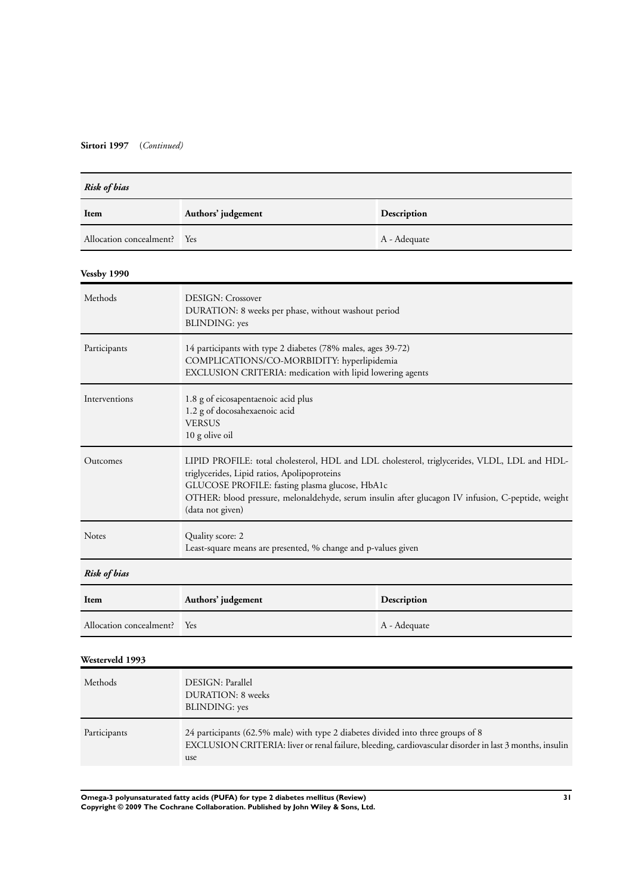# **Sirtori 1997** (*Continued)*

| <b>Risk of bias</b>     |                                                                                                                                                                                                                                                                                                                         |                                                     |  |  |
|-------------------------|-------------------------------------------------------------------------------------------------------------------------------------------------------------------------------------------------------------------------------------------------------------------------------------------------------------------------|-----------------------------------------------------|--|--|
| Item                    | Authors' judgement<br>Description                                                                                                                                                                                                                                                                                       |                                                     |  |  |
| Allocation concealment? | Yes                                                                                                                                                                                                                                                                                                                     | A - Adequate                                        |  |  |
| <b>Vessby 1990</b>      |                                                                                                                                                                                                                                                                                                                         |                                                     |  |  |
| Methods                 | DESIGN: Crossover<br><b>BLINDING:</b> yes                                                                                                                                                                                                                                                                               | DURATION: 8 weeks per phase, without washout period |  |  |
| Participants            | 14 participants with type 2 diabetes (78% males, ages 39-72)<br>COMPLICATIONS/CO-MORBIDITY: hyperlipidemia<br>EXCLUSION CRITERIA: medication with lipid lowering agents                                                                                                                                                 |                                                     |  |  |
| Interventions           | 1.8 g of eicosapentaenoic acid plus<br>1.2 g of docosahexaenoic acid<br><b>VERSUS</b><br>10 g olive oil                                                                                                                                                                                                                 |                                                     |  |  |
| Outcomes                | LIPID PROFILE: total cholesterol, HDL and LDL cholesterol, triglycerides, VLDL, LDL and HDL-<br>triglycerides, Lipid ratios, Apolipoproteins<br>GLUCOSE PROFILE: fasting plasma glucose, HbA1c<br>OTHER: blood pressure, melonaldehyde, serum insulin after glucagon IV infusion, C-peptide, weight<br>(data not given) |                                                     |  |  |
| Notes                   | Quality score: 2<br>Least-square means are presented, % change and p-values given                                                                                                                                                                                                                                       |                                                     |  |  |
| <b>Risk of bias</b>     |                                                                                                                                                                                                                                                                                                                         |                                                     |  |  |
| Item                    | Authors' judgement                                                                                                                                                                                                                                                                                                      | Description                                         |  |  |
| Allocation concealment? | Yes                                                                                                                                                                                                                                                                                                                     | A - Adequate                                        |  |  |
| Westerveld 1993         |                                                                                                                                                                                                                                                                                                                         |                                                     |  |  |
| Methods                 | DESIGN: Parallel<br><b>DURATION: 8 weeks</b><br><b>BLINDING:</b> yes                                                                                                                                                                                                                                                    |                                                     |  |  |
| Participants            | 24 participants (62.5% male) with type 2 diabetes divided into three groups of 8<br>EXCLUSION CRITERIA: liver or renal failure, bleeding, cardiovascular disorder in last 3 months, insulin<br>use                                                                                                                      |                                                     |  |  |

**Omega-3 polyunsaturated fatty acids (PUFA) for type 2 diabetes mellitus (Review) 31 Copyright © 2009 The Cochrane Collaboration. Published by John Wiley & Sons, Ltd.**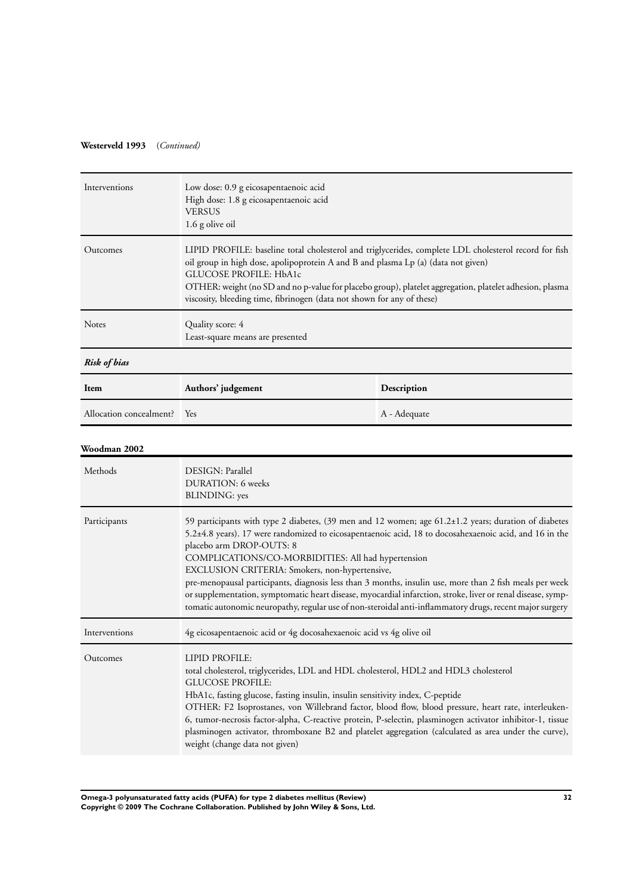# **Westerveld 1993** (*Continued)*

| Interventions               | Low dose: 0.9 g eicosapentaenoic acid<br>High dose: 1.8 g eicosapentaenoic acid<br><b>VERSUS</b><br>1.6 g olive oil                                                                                                                                                                                                                                                                                       |  |  |  |  |
|-----------------------------|-----------------------------------------------------------------------------------------------------------------------------------------------------------------------------------------------------------------------------------------------------------------------------------------------------------------------------------------------------------------------------------------------------------|--|--|--|--|
| Outcomes                    | LIPID PROFILE: baseline total cholesterol and triglycerides, complete LDL cholesterol record for fish<br>oil group in high dose, apolipoprotein A and B and plasma Lp (a) (data not given)<br>GLUCOSE PROFILE: HbA1c<br>OTHER: weight (no SD and no p-value for placebo group), platelet aggregation, platelet adhesion, plasma<br>viscosity, bleeding time, fibrinogen (data not shown for any of these) |  |  |  |  |
| <b>Notes</b>                | Quality score: 4<br>Least-square means are presented                                                                                                                                                                                                                                                                                                                                                      |  |  |  |  |
| Risk of bias                |                                                                                                                                                                                                                                                                                                                                                                                                           |  |  |  |  |
| Item                        | Authors' judgement<br>Description                                                                                                                                                                                                                                                                                                                                                                         |  |  |  |  |
| Allocation concealment? Yes | A - Adequate                                                                                                                                                                                                                                                                                                                                                                                              |  |  |  |  |

# **Woodman 2002**

| Methods       | DESIGN: Parallel<br>DURATION: 6 weeks<br><b>BLINDING:</b> yes                                                                                                                                                                                                                                                                                                                                                                                                                                                                                                                                                                                                                            |
|---------------|------------------------------------------------------------------------------------------------------------------------------------------------------------------------------------------------------------------------------------------------------------------------------------------------------------------------------------------------------------------------------------------------------------------------------------------------------------------------------------------------------------------------------------------------------------------------------------------------------------------------------------------------------------------------------------------|
| Participants  | 59 participants with type 2 diabetes, (39 men and 12 women; age 61.2±1.2 years; duration of diabetes<br>5.2±4.8 years). 17 were randomized to eicosapentaenoic acid, 18 to docosahexaenoic acid, and 16 in the<br>placebo arm DROP-OUTS: 8<br>COMPLICATIONS/CO-MORBIDITIES: All had hypertension<br>EXCLUSION CRITERIA: Smokers, non-hypertensive,<br>pre-menopausal participants, diagnosis less than 3 months, insulin use, more than 2 fish meals per week<br>or supplementation, symptomatic heart disease, myocardial infarction, stroke, liver or renal disease, symp-<br>tomatic autonomic neuropathy, regular use of non-steroidal anti-inflammatory drugs, recent major surgery |
| Interventions | 4g eicosapentaenoic acid or 4g docosahexaenoic acid vs 4g olive oil                                                                                                                                                                                                                                                                                                                                                                                                                                                                                                                                                                                                                      |
| Outcomes      | LIPID PROFILE:<br>total cholesterol, triglycerides, LDL and HDL cholesterol, HDL2 and HDL3 cholesterol<br><b>GLUCOSE PROFILE:</b><br>HbA1c, fasting glucose, fasting insulin, insulin sensitivity index, C-peptide<br>OTHER: F2 Isoprostanes, von Willebrand factor, blood flow, blood pressure, heart rate, interleuken-<br>6, tumor-necrosis factor-alpha, C-reactive protein, P-selectin, plasminogen activator inhibitor-1, tissue<br>plasminogen activator, thromboxane B2 and platelet aggregation (calculated as area under the curve),<br>weight (change data not given)                                                                                                         |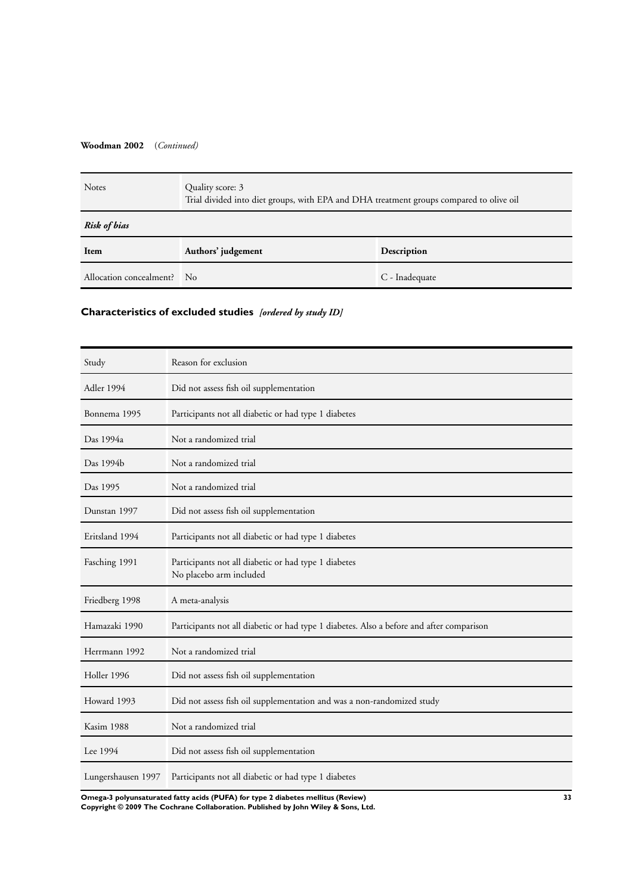# <span id="page-34-0"></span>**Woodman 2002** (*Continued)*

| <b>Notes</b>               | Quality score: 3<br>Trial divided into diet groups, with EPA and DHA treatment groups compared to olive oil |                |  |
|----------------------------|-------------------------------------------------------------------------------------------------------------|----------------|--|
| <b>Risk of bias</b>        |                                                                                                             |                |  |
| Item                       | Authors' judgement                                                                                          | Description    |  |
| Allocation concealment? No |                                                                                                             | C - Inadequate |  |

# **Characteristics of excluded studies** *[ordered by study ID]*

| Study              | Reason for exclusion                                                                     |
|--------------------|------------------------------------------------------------------------------------------|
| Adler 1994         | Did not assess fish oil supplementation                                                  |
| Bonnema 1995       | Participants not all diabetic or had type 1 diabetes                                     |
| Das 1994a          | Not a randomized trial                                                                   |
| Das 1994b          | Not a randomized trial                                                                   |
| Das 1995           | Not a randomized trial                                                                   |
| Dunstan 1997       | Did not assess fish oil supplementation                                                  |
| Eritsland 1994     | Participants not all diabetic or had type 1 diabetes                                     |
| Fasching 1991      | Participants not all diabetic or had type 1 diabetes<br>No placebo arm included          |
| Friedberg 1998     | A meta-analysis                                                                          |
| Hamazaki 1990      | Participants not all diabetic or had type 1 diabetes. Also a before and after comparison |
| Herrmann 1992      | Not a randomized trial                                                                   |
| Holler 1996        | Did not assess fish oil supplementation                                                  |
| Howard 1993        | Did not assess fish oil supplementation and was a non-randomized study                   |
| Kasim 1988         | Not a randomized trial                                                                   |
| Lee 1994           | Did not assess fish oil supplementation                                                  |
| Lungershausen 1997 | Participants not all diabetic or had type 1 diabetes                                     |

**Omega-3 polyunsaturated fatty acids (PUFA) for type 2 diabetes mellitus (Review) 33 Copyright © 2009 The Cochrane Collaboration. Published by John Wiley & Sons, Ltd.**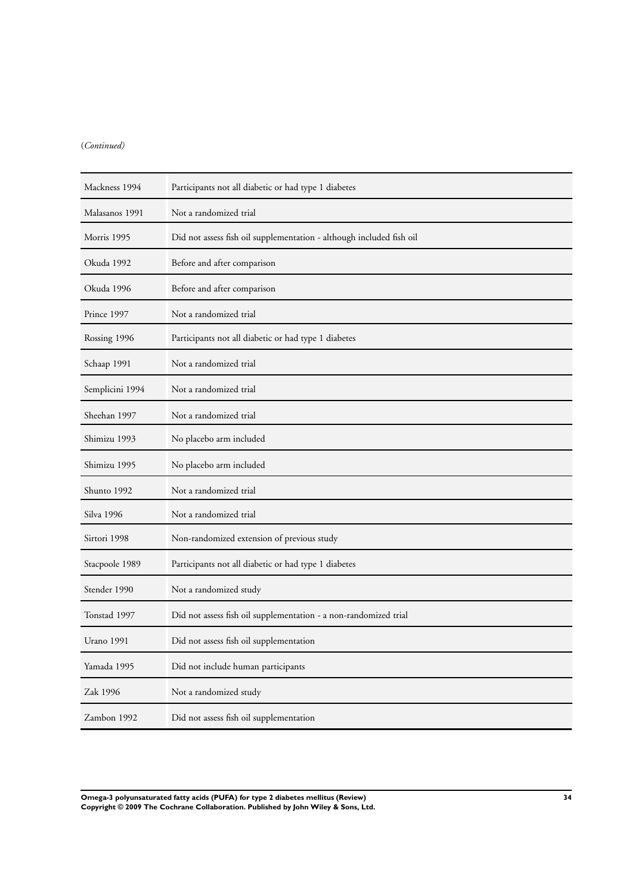# (*Continued)*

| Mackness 1994   | Participants not all diabetic or had type 1 diabetes                 |
|-----------------|----------------------------------------------------------------------|
| Malasanos 1991  | Not a randomized trial                                               |
| Morris 1995     | Did not assess fish oil supplementation - although included fish oil |
| Okuda 1992      | Before and after comparison                                          |
| Okuda 1996      | Before and after comparison                                          |
| Prince 1997     | Not a randomized trial                                               |
| Rossing 1996    | Participants not all diabetic or had type 1 diabetes                 |
| Schaap 1991     | Not a randomized trial                                               |
| Semplicini 1994 | Not a randomized trial                                               |
| Sheehan 1997    | Not a randomized trial                                               |
| Shimizu 1993    | No placebo arm included                                              |
| Shimizu 1995    | No placebo arm included                                              |
| Shunto 1992     | Not a randomized trial                                               |
| Silva 1996      | Not a randomized trial                                               |
| Sirtori 1998    | Non-randomized extension of previous study                           |
| Stacpoole 1989  | Participants not all diabetic or had type 1 diabetes                 |
| Stender 1990    | Not a randomized study                                               |
| Tonstad 1997    | Did not assess fish oil supplementation - a non-randomized trial     |
| Urano 1991      | Did not assess fish oil supplementation                              |
| Yamada 1995     | Did not include human participants                                   |
| Zak 1996        | Not a randomized study                                               |
| Zambon 1992     | Did not assess fish oil supplementation                              |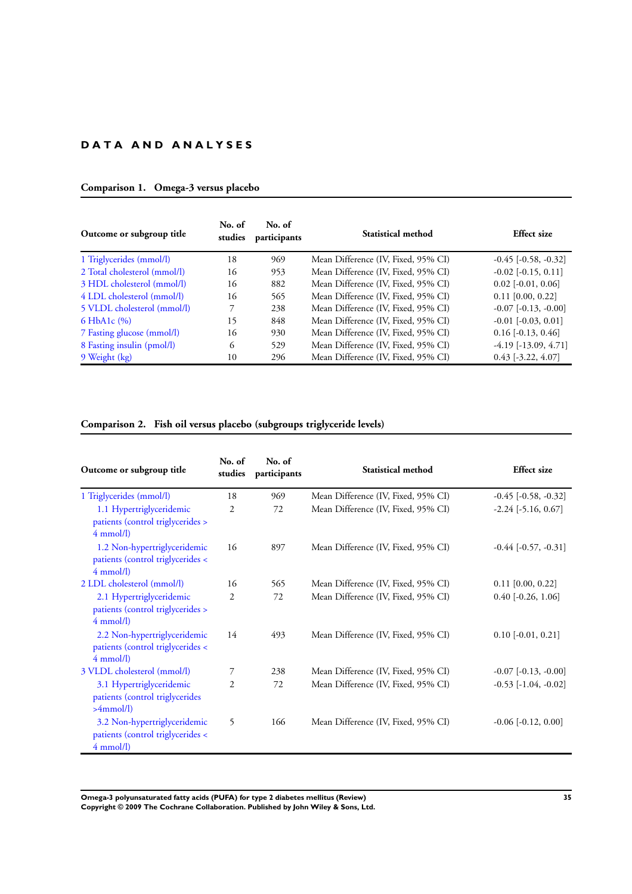# **D A T A A N D A N A L Y S E S**

| Outcome or subgroup title    | No. of<br>studies | No. of<br>participants | <b>Statistical method</b>           | <b>Effect</b> size            |
|------------------------------|-------------------|------------------------|-------------------------------------|-------------------------------|
| 1 Triglycerides (mmol/l)     | 18                | 969                    | Mean Difference (IV, Fixed, 95% CI) | $-0.45$ [ $-0.58$ , $-0.32$ ] |
| 2 Total cholesterol (mmol/l) | 16                | 953                    | Mean Difference (IV, Fixed, 95% CI) | $-0.02$ $[-0.15, 0.11]$       |
| 3 HDL cholesterol (mmol/l)   | 16                | 882                    | Mean Difference (IV, Fixed, 95% CI) | $0.02$ [-0.01, 0.06]          |
| 4 LDL cholesterol (mmol/l)   | 16                | 565                    | Mean Difference (IV, Fixed, 95% CI) | $0.11$ [0.00, 0.22]           |
| 5 VLDL cholesterol (mmol/l)  | 7                 | 238                    | Mean Difference (IV, Fixed, 95% CI) | $-0.07$ $[-0.13, -0.00]$      |
| $6$ HbA1c $(%)$              | 15                | 848                    | Mean Difference (IV, Fixed, 95% CI) | $-0.01$ $[-0.03, 0.01]$       |
| 7 Fasting glucose (mmol/l)   | 16                | 930                    | Mean Difference (IV, Fixed, 95% CI) | $0.16$ [-0.13, 0.46]          |
| 8 Fasting insulin (pmol/l)   | 6                 | 529                    | Mean Difference (IV, Fixed, 95% CI) | $-4.19$ [ $-13.09, 4.71$ ]    |
| 9 Weight (kg)                | 10                | 296                    | Mean Difference (IV, Fixed, 95% CI) | $0.43$ [-3.22, 4.07]          |

# **Comparison 1. Omega-3 versus placebo**

# **Comparison 2. Fish oil versus placebo (subgroups triglyceride levels)**

| No. of<br>Outcome or subgroup title<br>studies                                          |                | No. of<br>participants | Statistical method                  | <b>Effect</b> size            |  |
|-----------------------------------------------------------------------------------------|----------------|------------------------|-------------------------------------|-------------------------------|--|
| 1 Triglycerides (mmol/l)                                                                | 18             | 969                    | Mean Difference (IV, Fixed, 95% CI) | $-0.45$ [ $-0.58$ , $-0.32$ ] |  |
| 1.1 Hypertriglyceridemic<br>patients (control triglycerides ><br>$4 \text{ mmol/l}$     | 2              | 72                     | Mean Difference (IV, Fixed, 95% CI) | $-2.24$ [ $-5.16$ , 0.67]     |  |
| 1.2 Non-hypertriglyceridemic<br>patients (control triglycerides <<br>$4 \text{ mmol/l}$ | 16             | 897                    | Mean Difference (IV, Fixed, 95% CI) | $-0.44$ $[-0.57, -0.31]$      |  |
| 2 LDL cholesterol (mmol/l)                                                              | 16             | 565                    | Mean Difference (IV, Fixed, 95% CI) | $0.11$ [0.00, 0.22]           |  |
| 2.1 Hypertriglyceridemic<br>patients (control triglycerides ><br>$4 \text{ mmol/l}$     | 2              | 72                     | Mean Difference (IV, Fixed, 95% CI) | $0.40$ [-0.26, 1.06]          |  |
| 2.2 Non-hypertriglyceridemic<br>patients (control triglycerides <<br>$4 \text{ mmol/l}$ | 14             | 493                    | Mean Difference (IV, Fixed, 95% CI) | $0.10$ [-0.01, 0.21]          |  |
| 3 VLDL cholesterol (mmol/l)                                                             | 7              | 238                    | Mean Difference (IV, Fixed, 95% CI) | $-0.07$ $[-0.13, -0.00]$      |  |
| 3.1 Hypertriglyceridemic<br>patients (control triglycerides<br>$>4$ mmol/l)             | $\overline{2}$ | 72                     | Mean Difference (IV, Fixed, 95% CI) | $-0.53$ $[-1.04, -0.02]$      |  |
| 3.2 Non-hypertriglyceridemic<br>patients (control triglycerides <<br>$4 \text{ mmol/l}$ | 5              | 166                    | Mean Difference (IV, Fixed, 95% CI) | $-0.06$ $[-0.12, 0.00]$       |  |

**Omega-3 polyunsaturated fatty acids (PUFA) for type 2 diabetes mellitus (Review) 35 Copyright © 2009 The Cochrane Collaboration. Published by John Wiley & Sons, Ltd.**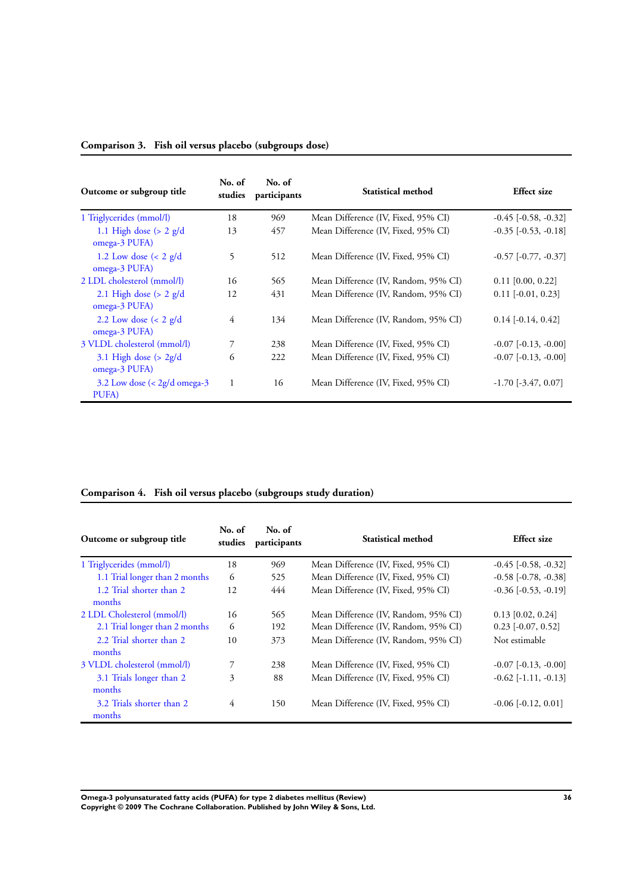| No. of<br>No. of<br>Outcome or subgroup title<br>studies<br>participants     |              | Statistical method | <b>Effect</b> size                   |                               |
|------------------------------------------------------------------------------|--------------|--------------------|--------------------------------------|-------------------------------|
| 1 Triglycerides (mmol/l)                                                     | 18           | 969                | Mean Difference (IV, Fixed, 95% CI)  | $-0.45$ [ $-0.58$ , $-0.32$ ] |
| 1.1 High dose $(> 2 \text{ g/d})$<br>omega-3 PUFA)                           | 13           | 457                | Mean Difference (IV, Fixed, 95% CI)  | $-0.35$ $[-0.53, -0.18]$      |
| 1.2 Low dose $\left( < 2 \frac{\text{g}}{\text{d}} \right)$<br>omega-3 PUFA) | 5            | 512                | Mean Difference (IV, Fixed, 95% CI)  | $-0.57$ $[-0.77, -0.37]$      |
| 2 LDL cholesterol (mmol/l)                                                   | 16           | 565                | Mean Difference (IV, Random, 95% CI) | $0.11$ [0.00, 0.22]           |
| 2.1 High dose $(> 2 \text{ g/d})$<br>omega-3 PUFA)                           | 12           | 431                | Mean Difference (IV, Random, 95% CI) | $0.11$ [-0.01, 0.23]          |
| 2.2 Low dose $\left( < 2 \frac{\rho}{d} \right)$<br>omega-3 PUFA)            | 4            | 134                | Mean Difference (IV, Random, 95% CI) | $0.14$ [-0.14, 0.42]          |
| 3 VLDL cholesterol (mmol/l)                                                  | 7            | 238                | Mean Difference (IV, Fixed, 95% CI)  | $-0.07$ $[-0.13, -0.00]$      |
| 3.1 High dose $(> 2g/d)$<br>omega-3 PUFA)                                    | 6            | 222                | Mean Difference (IV, Fixed, 95% CI)  | $-0.07$ $[-0.13, -0.00]$      |
| 3.2 Low dose $(< 2g/d$ omega-3<br>PUFA)                                      | $\mathbf{1}$ | 16                 | Mean Difference (IV, Fixed, 95% CI)  | $-1.70$ [ $-3.47, 0.07$ ]     |

**Comparison 3. Fish oil versus placebo (subgroups dose)**

# **Comparison 4. Fish oil versus placebo (subgroups study duration)**

| Outcome or subgroup title           | No. of<br>No. of<br>participants<br>studies |     | Statistical method                   | <b>Effect size</b>         |
|-------------------------------------|---------------------------------------------|-----|--------------------------------------|----------------------------|
| 1 Triglycerides (mmol/l)            | 18                                          | 969 | Mean Difference (IV, Fixed, 95% CI)  | $-0.45$ $[-0.58, -0.32]$   |
| 1.1 Trial longer than 2 months      | 6                                           | 525 | Mean Difference (IV, Fixed, 95% CI)  | $-0.58$ $[-0.78, -0.38]$   |
| 1.2 Trial shorter than 2<br>months  | 12                                          | 444 | Mean Difference (IV, Fixed, 95% CI)  | $-0.36$ $[-0.53, -0.19]$   |
| 2 LDL Cholesterol (mmol/l)          | 16                                          | 565 | Mean Difference (IV, Random, 95% CI) | $0.13$ [0.02, 0.24]        |
| 2.1 Trial longer than 2 months      | 6                                           | 192 | Mean Difference (IV, Random, 95% CI) | $0.23$ [-0.07, 0.52]       |
| 2.2 Trial shorter than 2<br>months  | 10                                          | 373 | Mean Difference (IV, Random, 95% CI) | Not estimable              |
| 3 VLDL cholesterol (mmol/l)         | 7                                           | 238 | Mean Difference (IV, Fixed, 95% CI)  | $-0.07$ $[-0.13, -0.00]$   |
| 3.1 Trials longer than 2<br>months  | 3                                           | 88  | Mean Difference (IV, Fixed, 95% CI)  | $-0.62$ [ $-1.11, -0.13$ ] |
| 3.2 Trials shorter than 2<br>months | 4                                           | 150 | Mean Difference (IV, Fixed, 95% CI)  | $-0.06$ $[-0.12, 0.01]$    |

**Omega-3 polyunsaturated fatty acids (PUFA) for type 2 diabetes mellitus (Review) 36 Copyright © 2009 The Cochrane Collaboration. Published by John Wiley & Sons, Ltd.**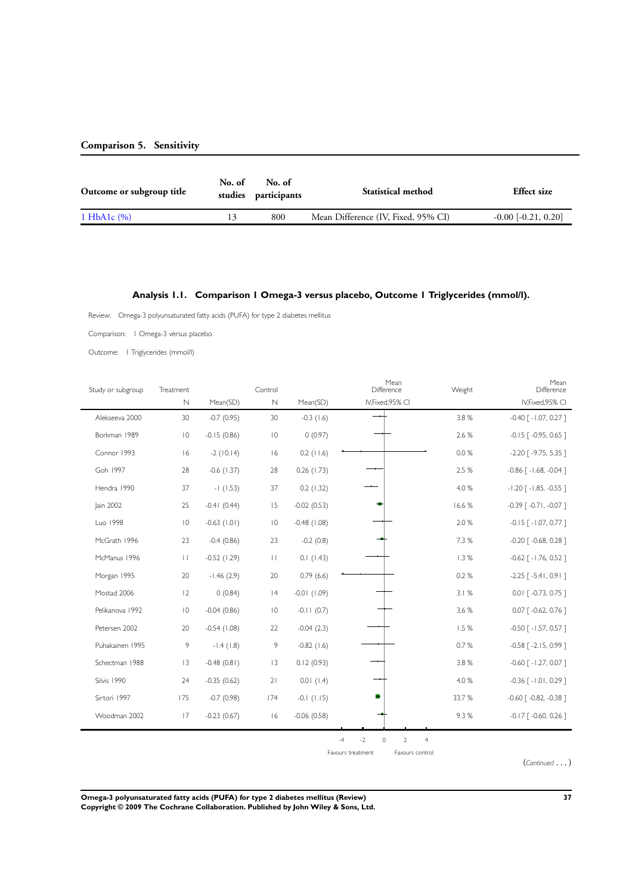# **Comparison 5. Sensitivity**

| Outcome or subgroup title | No. of | No. of<br>studies participants | <b>Statistical method</b>           | <b>Effect</b> size      |
|---------------------------|--------|--------------------------------|-------------------------------------|-------------------------|
| $1$ HbA1c $(% )$          | 13     | 800                            | Mean Difference (IV, Fixed, 95% CI) | $-0.00$ $[-0.21, 0.20]$ |

# **Analysis 1.1. Comparison 1 Omega-3 versus placebo, Outcome 1 Triglycerides (mmol/l).**

Review: Omega-3 polyunsaturated fatty acids (PUFA) for type 2 diabetes mellitus

Comparison: 1 Omega-3 versus placebo

Outcome: 1 Triglycerides (mmol/l)

| Study or subgroup | Treatment<br>$\mathbb N$ | Mean(SD)       | Control<br>$\mathbb N$ | Mean(SD)       | Mean<br>Difference<br>IV,Fixed,95% CI | Weight         | Mean<br>Difference<br>IV, Fixed, 95% CI |
|-------------------|--------------------------|----------------|------------------------|----------------|---------------------------------------|----------------|-----------------------------------------|
| Alekseeva 2000    | 30                       | $-0.7(0.95)$   | 30                     | $-0.3$ (1.6)   |                                       | 3.8 %          | $-0.40$ $\lceil -1.07, 0.27 \rceil$     |
| Borkman 1989      | $\vert 0$                | $-0.15(0.86)$  | $ 0\rangle$            | 0(0.97)        |                                       | 2.6 %          | $-0.15$ [ $-0.95$ , 0.65 ]              |
| Connor 1993       | 6                        | $-2(10.14)$    | 16                     | $0.2$ (11.6)   |                                       | 0.0 %          | $-2.20$ [ $-9.75$ , 5.35]               |
| Goh 1997          | 28                       | $-0.6$ (1.37)  | 28                     | $0.26$ (1.73)  |                                       | 2.5 %          | $-0.86$ $\lceil -1.68, -0.04 \rceil$    |
| Hendra 1990       | 37                       | $-1(1.53)$     | 37                     | $0.2$ (1.32)   |                                       | 4.0 %          | $-1.20$ [ $-1.85$ , $-0.55$ ]           |
| Jain 2002         | 25                       | $-0.41(0.44)$  | 15                     | $-0.02(0.53)$  | ٠                                     | 16.6%          | $-0.39$ $[-0.71, -0.07]$                |
| Luo 1998          | $\overline{0}$           | $-0.63$ (1.01) | $\overline{10}$        | $-0.48$ (1.08) |                                       | 2.0 %          | $-0.15$ [ $-1.07, 0.77$ ]               |
| McGrath 1996      | 23                       | $-0.4(0.86)$   | 23                     | $-0.2$ (0.8)   |                                       | 7.3 %          | $-0.20$ [ $-0.68$ , 0.28 ]              |
| McManus 1996      | $\vert \vert$            | $-0.52$ (1.29) | $\perp$                | 0.1(1.43)      |                                       | 1.3%           | $-0.62$ [ $-1.76$ , 0.52]               |
| Morgan 1995       | 20                       | $-1.46(2.9)$   | 20                     | 0.79(6.6)      |                                       | 0.2 %          | $-2.25$ [ $-5.41$ , 0.91]               |
| Mostad 2006       | 12                       | 0(0.84)        | 4                      | $-0.01(1.09)$  |                                       | 3.1%           | 0.01 [ -0.73, 0.75 ]                    |
| Pelikanova 1992   | $\overline{0}$           | $-0.04(0.86)$  | $\overline{0}$         | $-0.11(0.7)$   |                                       | 3.6 %          | $0.07$ $\lceil -0.62, 0.76 \rceil$      |
| Petersen 2002     | 20                       | $-0.54$ (1.08) | 22                     | $-0.04(2.3)$   |                                       | 1.5%           | $-0.50$ [ $-1.57$ , 0.57]               |
| Puhakainen 1995   | 9                        | $-1.4(1.8)$    | 9                      | $-0.82$ (1.6)  |                                       | 0.7%           | $-0.58$ [ $-2.15$ , 0.99 ]              |
| Schectman 1988    | 3                        | $-0.48(0.81)$  | 3                      | 0.12(0.93)     |                                       | 3.8 %          | $-0.60$ $[-1.27, 0.07]$                 |
| Silvis 1990       | 24                       | $-0.35(0.62)$  | 21                     | 0.01(1.4)      |                                       | 4.0 %          | $-0.36$ $\lceil -1.01, 0.29 \rceil$     |
| Sirtori 1997      | 175                      | $-0.7(0.98)$   | 174                    | $-0.1$ (1.15)  | ÷                                     | 33.7 %         | $-0.60$ $\lceil -0.82, -0.38 \rceil$    |
| Woodman 2002      | 17                       | $-0.23(0.67)$  | 16                     | $-0.06(0.58)$  |                                       | 9.3%           | $-0.17$ [ $-0.60$ , 0.26]               |
|                   |                          |                |                        |                | $-2$<br>0<br>$\mathbf 2$<br>$-4$      | $\overline{4}$ |                                         |

Favours treatment Favours control

(*Continued* ... )

**Omega-3 polyunsaturated fatty acids (PUFA) for type 2 diabetes mellitus (Review) 37 Copyright © 2009 The Cochrane Collaboration. Published by John Wiley & Sons, Ltd.**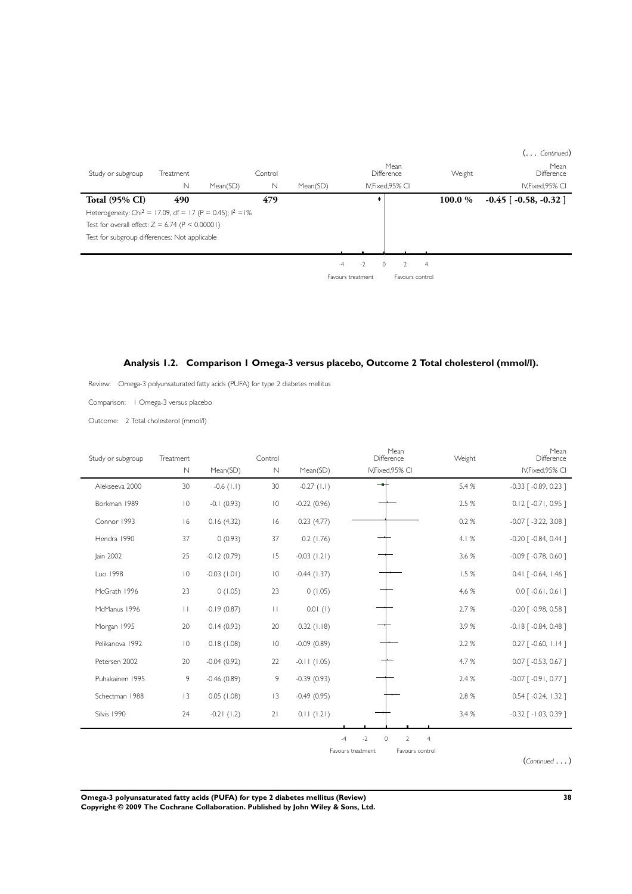<span id="page-39-0"></span>

### **Analysis 1.2. Comparison 1 Omega-3 versus placebo, Outcome 2 Total cholesterol (mmol/l).**

Review: Omega-3 polyunsaturated fatty acids (PUFA) for type 2 diabetes mellitus

Comparison: 1 Omega-3 versus placebo

Outcome: 2 Total cholesterol (mmol/l)

| Study or subgroup | Treatment      |                  | Control                               |                | Mean<br>Difference | Weight | Mean<br>Difference                  |
|-------------------|----------------|------------------|---------------------------------------|----------------|--------------------|--------|-------------------------------------|
|                   | $\mathbb N$    | Mean(SD)         | $\hbox{N}$                            | Mean(SD)       | IV, Fixed, 95% CI  |        | IV, Fixed, 95% CI                   |
| Alekseeva 2000    | 30             | $-0.6$ (1.1)     | 30                                    | $-0.27$ (1.1)  |                    | 5.4 %  | $-0.33$ $\lceil -0.89, 0.23 \rceil$ |
| Borkman 1989      | $\overline{0}$ | $-0.1(0.93)$     | $\overline{0}$                        | $-0.22(0.96)$  |                    | 2.5 %  | $0.12$ [ -0.71, 0.95 ]              |
| Connor 1993       | 6              | 0.16(4.32)       | 16                                    | 0.23(4.77)     |                    | 0.2%   | $-0.07$ [ $-3.22$ , 3.08 ]          |
| Hendra 1990       | 37             | 0(0.93)          | 37                                    | $0.2$ (1.76)   |                    | 4.1%   | $-0.20$ $\lceil -0.84, 0.44 \rceil$ |
| Jain 2002         | 25             | $-0.12(0.79)$    | 15                                    | $-0.03$ (1.21) |                    | 3.6 %  | $-0.09$ $[-0.78, 0.60]$             |
| Luo 1998          | $\overline{0}$ | $-0.03(1.01)$    | $\overline{0}$                        | $-0.44(1.37)$  |                    | 1.5%   | $0.41$ $[ -0.64, 1.46 ]$            |
| McGrath 1996      | 23             | 0(1.05)          | 23                                    | 0(1.05)        |                    | 4.6 %  | $0.0$ [ -0.61, 0.61 ]               |
| McManus 1996      | $\mathbf{H}$   | $-0.19(0.87)$    | $\begin{array}{c} \hline \end{array}$ | 0.01(1)        |                    | 2.7%   | $-0.20$ $\lceil -0.98, 0.58 \rceil$ |
| Morgan 1995       | 20             | 0.14(0.93)       | 20                                    | $0.32$ (1.18)  |                    | 3.9%   | $-0.18$ $\lceil -0.84, 0.48 \rceil$ |
| Pelikanova 1992   | $\overline{0}$ | 0.18(1.08)       | $\overline{10}$                       | $-0.09(0.89)$  |                    | 2.2%   | $0.27$ [ -0.60, 1.14 ]              |
| Petersen 2002     | 20             | $-0.04(0.92)$    | 22                                    | $-0.11(1.05)$  |                    | 4.7 %  | $0.07$ $\lceil -0.53, 0.67 \rceil$  |
| Puhakainen 1995   | 9              | $-0.46(0.89)$    | 9                                     | $-0.39(0.93)$  |                    | 2.4 %  | $-0.07$ [ $-0.9$ ], 0.77]           |
| Schectman 1988    | 3              | 0.05(1.08)       | 3                                     | $-0.49(0.95)$  |                    | 2.8 %  | $0.54$ $\lceil -0.24, 1.32 \rceil$  |
| Silvis 1990       | 24             | $-0.2$   $(1.2)$ | 21                                    | 0.11(1.21)     |                    | 3.4%   | $-0.32$ $\lceil -1.03, 0.39 \rceil$ |
|                   |                |                  |                                       |                |                    |        |                                     |

-4 -2 0 2 4

Favours treatment Favours control

(*Continued* ... )

**Omega-3 polyunsaturated fatty acids (PUFA) for type 2 diabetes mellitus (Review) 38 Copyright © 2009 The Cochrane Collaboration. Published by John Wiley & Sons, Ltd.**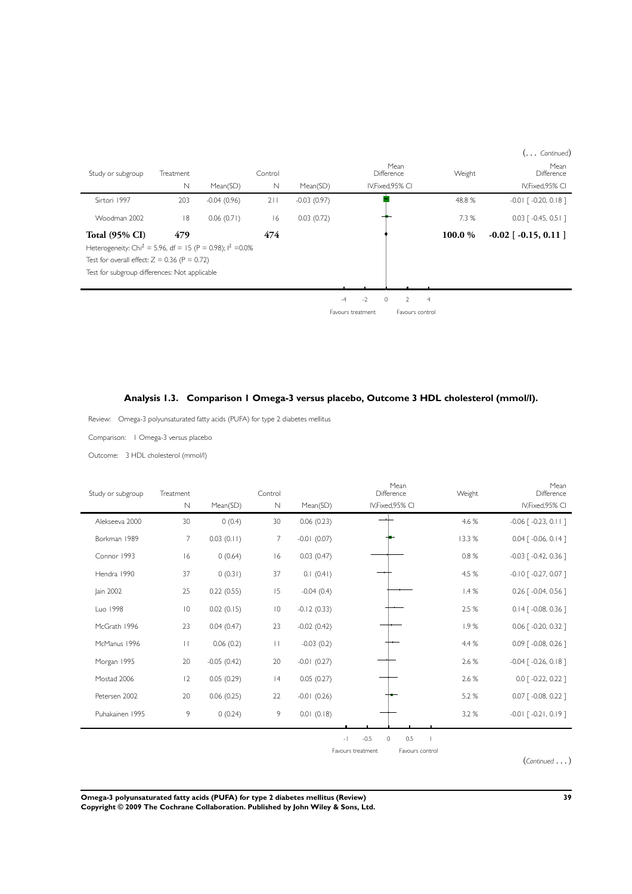<span id="page-40-0"></span>

|                                                                          |              |               |              |               |      |                   |                    |                |         | $(\ldots$ Continued)               |
|--------------------------------------------------------------------------|--------------|---------------|--------------|---------------|------|-------------------|--------------------|----------------|---------|------------------------------------|
| Study or subgroup                                                        | Treatment    |               | Control      |               |      |                   | Mean<br>Difference |                | Weight  | Mean<br>Difference                 |
|                                                                          | $\mathsf{N}$ | Mean(SD)      | $\mathsf{N}$ | Mean(SD)      |      |                   | IV, Fixed, 95% CI  |                |         | IV, Fixed, 95% CI                  |
| Sirtori 1997                                                             | 203          | $-0.04(0.96)$ | 211          | $-0.03(0.97)$ |      |                   |                    |                | 48.8%   | $-0.01$ $[-0.20, 0.18]$            |
| Woodman 2002                                                             | 18           | 0.06(0.71)    | 16           | 0.03(0.72)    |      |                   |                    |                | 7.3 %   | $0.03$ $\lceil -0.45, 0.51 \rceil$ |
| <b>Total (95% CI)</b>                                                    | 479          |               | 474          |               |      |                   |                    |                | 100.0 % | $-0.02$ [ $-0.15$ , 0.11 ]         |
| Heterogeneity: Chi <sup>2</sup> = 5.96, df = 15 (P = 0.98); $1^2$ = 0.0% |              |               |              |               |      |                   |                    |                |         |                                    |
| Test for overall effect: $Z = 0.36$ (P = 0.72)                           |              |               |              |               |      |                   |                    |                |         |                                    |
| Test for subgroup differences: Not applicable                            |              |               |              |               |      |                   |                    |                |         |                                    |
|                                                                          |              |               |              |               |      |                   |                    |                |         |                                    |
|                                                                          |              |               |              |               | $-4$ | $-2$              | $\mathcal{L}$      | $\overline{4}$ |         |                                    |
|                                                                          |              |               |              |               |      | Favours treatment | Favours control    |                |         |                                    |



Review: Omega-3 polyunsaturated fatty acids (PUFA) for type 2 diabetes mellitus

Comparison: 1 Omega-3 versus placebo

Outcome: 3 HDL cholesterol (mmol/l)

| Study or subgroup | Treatment      |               | Control        |               | Mean<br>Difference | Weight | Mean<br>Difference                  |
|-------------------|----------------|---------------|----------------|---------------|--------------------|--------|-------------------------------------|
|                   | $\mathbb N$    | Mean(SD)      | $\mathbb N$    | Mean(SD)      | IV, Fixed, 95% CI  |        | IV, Fixed, 95% CI                   |
| Alekseeva 2000    | 30             | 0(0.4)        | 30             | 0.06(0.23)    |                    | 4.6 %  | $-0.06$ $[-0.23, 0.11]$             |
| Borkman 1989      | 7              | 0.03(0.11)    | $\overline{7}$ | $-0.01(0.07)$ |                    | 13.3%  | $0.04$ $[ -0.06, 0.14]$             |
| Connor 1993       | 16             | 0(0.64)       | 16             | 0.03(0.47)    |                    | 0.8%   | $-0.03$ $\lceil -0.42, 0.36 \rceil$ |
| Hendra 1990       | 37             | 0(0.31)       | 37             | 0.1(0.41)     |                    | 4.5 %  | $-0.10$ $\lceil -0.27, 0.07 \rceil$ |
| Jain 2002         | 25             | 0.22(0.55)    | 15             | $-0.04(0.4)$  |                    | 1.4%   | $0.26$ $\lceil -0.04, 0.56 \rceil$  |
| Luo 1998          | $\overline{0}$ | 0.02(0.15)    | $\overline{0}$ | $-0.12(0.33)$ |                    | 2.5 %  | $0.14$ $[ -0.08, 0.36]$             |
| McGrath 1996      | 23             | 0.04(0.47)    | 23             | $-0.02(0.42)$ |                    | 1.9%   | $0.06$ $\lceil -0.20, 0.32 \rceil$  |
| McManus 1996      | $\mathbf{H}$   | 0.06(0.2)     | $\perp$        | $-0.03(0.2)$  |                    | 4.4 %  | $0.09$ $[ -0.08, 0.26 ]$            |
| Morgan 1995       | 20             | $-0.05(0.42)$ | 20             | $-0.01(0.27)$ |                    | 2.6 %  | $-0.04$ $\lceil -0.26, 0.18 \rceil$ |
| Mostad 2006       | 2              | 0.05(0.29)    | 4              | 0.05(0.27)    |                    | 2.6 %  | $0.0$ $\lceil -0.22, 0.22 \rceil$   |
| Petersen 2002     | 20             | 0.06(0.25)    | 22             | $-0.01(0.26)$ |                    | 5.2 %  | $0.07$ $\lceil -0.08, 0.22 \rceil$  |
| Puhakainen 1995   | 9              | 0(0.24)       | 9              | 0.01(0.18)    |                    | 3.2%   | $-0.01$ [ $-0.21$ , $0.19$ ]        |

 $-1$   $-0.5$  0 0.5 1

Favours treatment Favours control

(*Continued* ... )

**Omega-3 polyunsaturated fatty acids (PUFA) for type 2 diabetes mellitus (Review) 39 Copyright © 2009 The Cochrane Collaboration. Published by John Wiley & Sons, Ltd.**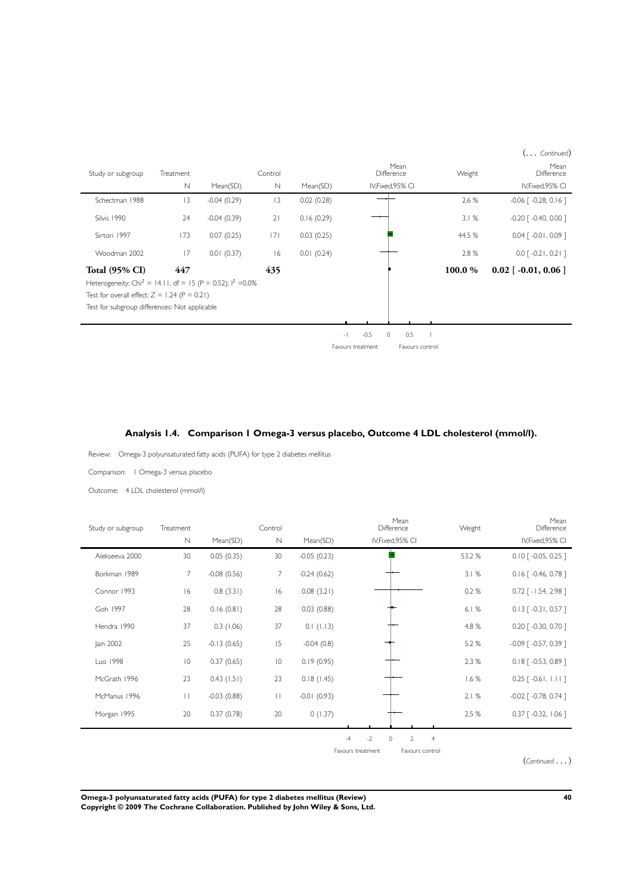<span id="page-41-0"></span>

|                                                                          |             |               |             |            |                                      |        | $(\ldots$ Continued)                |
|--------------------------------------------------------------------------|-------------|---------------|-------------|------------|--------------------------------------|--------|-------------------------------------|
| Study or subgroup                                                        | Treatment   |               | Control     |            | Mean<br>Difference                   | Weight | Mean<br>Difference                  |
|                                                                          | $\mathbb N$ | Mean(SD)      | $\mathbb N$ | Mean(SD)   | IV, Fixed, 95% CI                    |        | IV, Fixed, 95% CI                   |
| Schectman 1988                                                           | 3           | $-0.04(0.29)$ | 3           | 0.02(0.28) |                                      | 2.6 %  | $-0.06$ $\lceil -0.28, 0.16 \rceil$ |
| Silvis 1990                                                              | 24          | $-0.04(0.39)$ | 21          | 0.16(0.29) |                                      | 3.1%   | $-0.20$ $\lceil -0.40, 0.00 \rceil$ |
| Sirtori 1997                                                             | 173         | 0.07(0.25)    | 7           | 0.03(0.25) |                                      | 44.5 % | $0.04$ [ $-0.01$ , 0.09 ]           |
| Woodman 2002                                                             | 17          | 0.01(0.37)    | 16          | 0.01(0.24) |                                      | 2.8%   | $0.0$ [ -0.21, 0.21 ]               |
| <b>Total (95% CI)</b>                                                    | 447         |               | 435         |            |                                      | 100.0% | $0.02$ [ -0.01, 0.06 ]              |
| Heterogeneity: Chi <sup>2</sup> = 14.11, df = 15 (P = 0.52); $1^2$ =0.0% |             |               |             |            |                                      |        |                                     |
| Test for overall effect: $Z = 1.24$ (P = 0.21)                           |             |               |             |            |                                      |        |                                     |
| Test for subgroup differences: Not applicable                            |             |               |             |            |                                      |        |                                     |
|                                                                          |             |               |             |            |                                      |        |                                     |
|                                                                          |             |               |             |            | $-0.5$<br>0.5<br>$-1$<br>$\Omega$    |        |                                     |
|                                                                          |             |               |             |            | Favours control<br>Favours treatment |        |                                     |

# **Analysis 1.4. Comparison 1 Omega-3 versus placebo, Outcome 4 LDL cholesterol (mmol/l).**

Review: Omega-3 polyunsaturated fatty acids (PUFA) for type 2 diabetes mellitus

Comparison: 1 Omega-3 versus placebo

Outcome: 4 LDL cholesterol (mmol/l)

| Study or subgroup | Treatment       |               | Control         |               | Mean<br>Difference | Weight | Mean<br>Difference                  |
|-------------------|-----------------|---------------|-----------------|---------------|--------------------|--------|-------------------------------------|
|                   | $\mathbb N$     | Mean(SD)      | $\mathbb N$     | Mean(SD)      | IV, Fixed, 95% CI  |        | IV, Fixed, 95% CI                   |
| Alekseeva 2000    | 30              | 0.05(0.35)    | 30              | $-0.05(0.23)$ |                    | 53.2 % | $0.10$ $\lceil -0.05, 0.25 \rceil$  |
| Borkman 1989      | $\overline{7}$  | $-0.08(0.56)$ | $\overline{7}$  | $-0.24(0.62)$ |                    | 3.1%   | $0.16$ $[-0.46, 0.78]$              |
| Connor 1993       | 16              | 0.8(3.31)     | 16              | 0.08(3.21)    |                    | 0.2%   | $0.72$ [ $-1.54$ , 2.98]            |
| Goh 1997          | 28              | 0.16(0.81)    | 28              | 0.03(0.88)    |                    | 6.1%   | $0.13$ [ -0.31, 0.57 ]              |
| Hendra 1990       | 37              | $0.3$ (1.06)  | 37              | 0.1(1.13)     |                    | 4.8%   | $0.20$ $\lceil -0.30, 0.70 \rceil$  |
| Jain 2002         | 25              | $-0.13(0.65)$ | 15              | $-0.04(0.8)$  |                    | 5.2 %  | $-0.09$ $[-0.57, 0.39]$             |
| Luo 1998          | $\overline{10}$ | 0.37(0.65)    | $\overline{10}$ | 0.19(0.95)    |                    | 2.3%   | $0.18$ [ -0.53, 0.89 ]              |
| McGrath 1996      | 23              | 0.43(1.51)    | 23              | 0.18(1.45)    |                    | 1.6%   | $0.25$ [ -0.61, 1.11 ]              |
| McManus 1996      | $\vert \vert$   | $-0.03(0.88)$ | $\perp$         | $-0.01(0.93)$ |                    | 2.1%   | $-0.02$ $\lceil -0.78, 0.74 \rceil$ |
| Morgan 1995       | 20              | 0.37(0.78)    | 20              | 0(1.37)       |                    | 2.5 %  | $0.37$ [ $-0.32$ , 1.06 ]           |

-4 -2 0 2 4

Favours treatment Favours control

(*Continued* ... )

**Omega-3 polyunsaturated fatty acids (PUFA) for type 2 diabetes mellitus (Review) 40 Copyright © 2009 The Cochrane Collaboration. Published by John Wiley & Sons, Ltd.**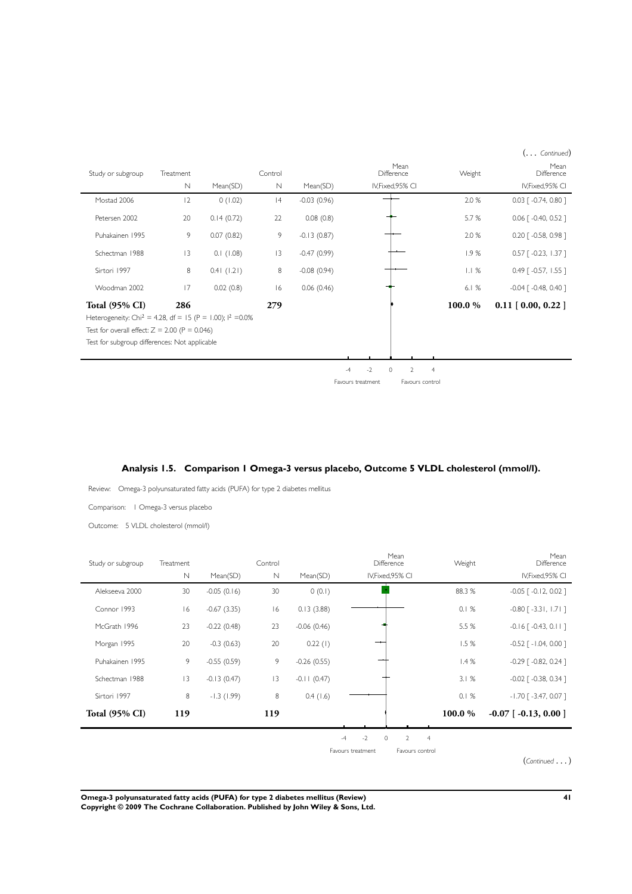<span id="page-42-0"></span>

|                                                                         |             |            |             |               |                   |                                  |         | $(\ldots$ Continued)                |
|-------------------------------------------------------------------------|-------------|------------|-------------|---------------|-------------------|----------------------------------|---------|-------------------------------------|
| Study or subgroup                                                       | Treatment   |            | Control     |               | Difference        | Mean                             | Weight  | Mean<br>Difference                  |
|                                                                         | $\mathbb N$ | Mean(SD)   | $\mathbb N$ | Mean(SD)      |                   | IV, Fixed, 95% CI                |         | IV, Fixed, 95% CI                   |
| Mostad 2006                                                             | $ 2\rangle$ | 0(1.02)    | 4           | $-0.03(0.96)$ |                   |                                  | 2.0 %   | $0.03$ $\lceil -0.74, 0.80 \rceil$  |
| Petersen 2002                                                           | 20          | 0.14(0.72) | 22          | 0.08(0.8)     |                   |                                  | 5.7%    | $0.06$ $\lceil -0.40, 0.52 \rceil$  |
| Puhakainen 1995                                                         | 9           | 0.07(0.82) | 9           | $-0.13(0.87)$ |                   |                                  | 2.0 %   | $0.20$ $\lceil -0.58, 0.98 \rceil$  |
| Schectman 1988                                                          | 3           | 0.1(1.08)  | 3           | $-0.47(0.99)$ |                   |                                  | 1.9%    | $0.57$ [ $-0.23$ , 1.37 ]           |
| Sirtori 1997                                                            | 8           | 0.41(1.21) | 8           | $-0.08(0.94)$ |                   |                                  | 1.1%    | $0.49$ [ $-0.57$ , 1.55 ]           |
| Woodman 2002                                                            | 17          | 0.02(0.8)  | 16          | 0.06(0.46)    |                   |                                  | 6.1%    | $-0.04$ $\lceil -0.48, 0.40 \rceil$ |
| <b>Total (95% CI)</b>                                                   | 286         |            | 279         |               |                   |                                  | 100.0 % | $0.11$ [ $0.00, 0.22$ ]             |
| Heterogeneity: Chi <sup>2</sup> = 4.28, df = 15 (P = 1.00); $1^2$ =0.0% |             |            |             |               |                   |                                  |         |                                     |
| Test for overall effect: $Z = 2.00$ (P = 0.046)                         |             |            |             |               |                   |                                  |         |                                     |
| Test for subgroup differences: Not applicable                           |             |            |             |               |                   |                                  |         |                                     |
|                                                                         |             |            |             |               |                   |                                  |         |                                     |
|                                                                         |             |            |             |               | $-2$<br>$-4$      | $\overline{2}$<br>$\overline{4}$ |         |                                     |
|                                                                         |             |            |             |               | Favours treatment | Favours control                  |         |                                     |

# **Analysis 1.5. Comparison 1 Omega-3 versus placebo, Outcome 5 VLDL cholesterol (mmol/l).**

Review: Omega-3 polyunsaturated fatty acids (PUFA) for type 2 diabetes mellitus

Comparison: 1 Omega-3 versus placebo

Outcome: 5 VLDL cholesterol (mmol/l)

| Study or subgroup     | Treatment   |               | Control     |               | Mean<br><b>Difference</b>           | Weight  | Mean<br>Difference                  |
|-----------------------|-------------|---------------|-------------|---------------|-------------------------------------|---------|-------------------------------------|
|                       | $\mathbb N$ | Mean(SD)      | $\mathbb N$ | Mean(SD)      | IV, Fixed, 95% CI                   |         | IV, Fixed, 95% CI                   |
| Alekseeva 2000        | 30          | $-0.05(0.16)$ | 30          | 0(0.1)        |                                     | 88.3%   | $-0.05$ $\lceil -0.12, 0.02 \rceil$ |
| Connor 1993           | 16          | $-0.67(3.35)$ | 16          | 0.13(3.88)    |                                     | 0.1%    | $-0.80$ [ $-3.31$ , $1.71$ ]        |
| McGrath 1996          | 23          | $-0.22(0.48)$ | 23          | $-0.06(0.46)$ |                                     | 5.5 %   | $-0.16$ $\lceil -0.43, 0.11 \rceil$ |
| Morgan 1995           | 20          | $-0.3(0.63)$  | 20          | 0.22(1)       |                                     | 1.5%    | $-0.52$ $\lceil -1.04, 0.00 \rceil$ |
| Puhakainen 1995       | 9           | $-0.55(0.59)$ | 9           | $-0.26(0.55)$ |                                     | 1.4%    | $-0.29$ $\lceil -0.82, 0.24 \rceil$ |
| Schectman 1988        | 3           | $-0.13(0.47)$ | 13          | $-0.11(0.47)$ |                                     | 3.1%    | $-0.02$ $[-0.38, 0.34]$             |
| Sirtori 1997          | 8           | $-1.3(1.99)$  | 8           | 0.4(1.6)      |                                     | 0.1%    | $-1.70$ [ $-3.47$ , 0.07 ]          |
| <b>Total (95% CI)</b> | 119         |               | 119         |               |                                     | 100.0 % | $-0.07$ [ $-0.13$ , 0.00 ]          |
|                       |             |               |             |               | $-2$<br>2<br>$-4$<br>$\overline{4}$ |         |                                     |

Favours treatment Favours control

(*Continued* ... )

**Omega-3 polyunsaturated fatty acids (PUFA) for type 2 diabetes mellitus (Review) 41 Copyright © 2009 The Cochrane Collaboration. Published by John Wiley & Sons, Ltd.**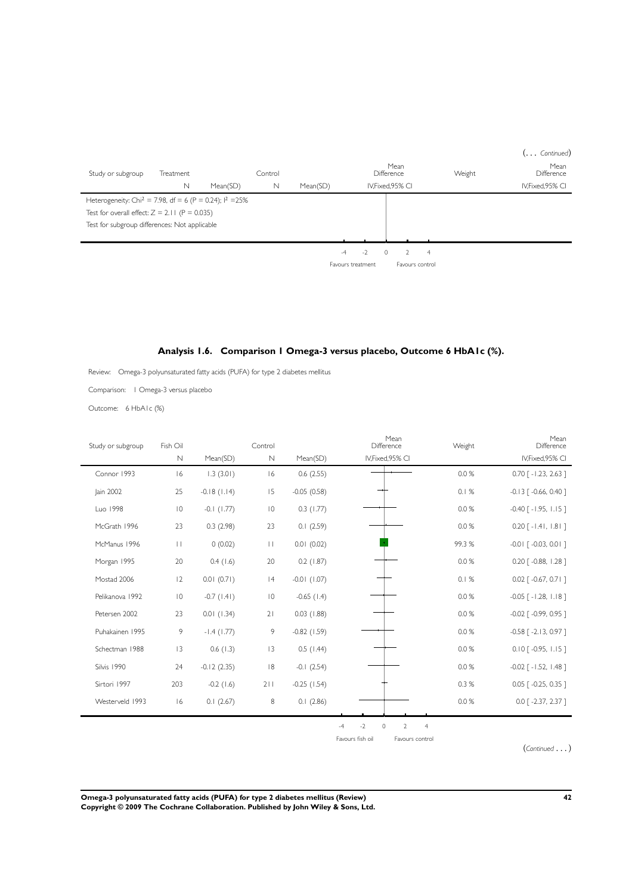<span id="page-43-0"></span>

|                                                                        |              |          |             |          |                   |                                  |        | $(\ldots$ Continued) |
|------------------------------------------------------------------------|--------------|----------|-------------|----------|-------------------|----------------------------------|--------|----------------------|
| Study or subgroup                                                      | Treatment    |          | Control     |          |                   | Mean<br>Difference               | Weight | Mean<br>Difference   |
|                                                                        | $\mathsf{N}$ | Mean(SD) | $\mathbb N$ | Mean(SD) |                   | IV, Fixed, 95% CI                |        | IV, Fixed, 95% CI    |
| Heterogeneity: Chi <sup>2</sup> = 7.98, df = 6 (P = 0.24); $1^2$ = 25% |              |          |             |          |                   |                                  |        |                      |
| Test for overall effect: $Z = 2.11$ (P = 0.035)                        |              |          |             |          |                   |                                  |        |                      |
| Test for subgroup differences: Not applicable                          |              |          |             |          |                   |                                  |        |                      |
|                                                                        |              |          |             |          |                   |                                  |        |                      |
|                                                                        |              |          |             |          | $-2$<br>$-4$      | $\overline{2}$<br>$\overline{4}$ |        |                      |
|                                                                        |              |          |             |          | Favours treatment | Favours control                  |        |                      |
|                                                                        |              |          |             |          |                   |                                  |        |                      |
|                                                                        |              |          |             |          |                   |                                  |        |                      |
|                                                                        |              |          |             |          |                   |                                  |        |                      |

# **Analysis 1.6. Comparison 1 Omega-3 versus placebo, Outcome 6 HbA1c (%).**

Review: Omega-3 polyunsaturated fatty acids (PUFA) for type 2 diabetes mellitus

Comparison: 1 Omega-3 versus placebo

Outcome: 6 HbA1c (%)

| Study or subgroup | Fish Oil        |                | Control        |                | Mean<br>Difference | Weight | Mean<br>Difference                  |
|-------------------|-----------------|----------------|----------------|----------------|--------------------|--------|-------------------------------------|
|                   | $\mathsf{N}$    | Mean(SD)       | $\mathbb N$    | Mean(SD)       | IV, Fixed, 95% CI  |        | IV, Fixed, 95% CI                   |
| Connor 1993       | 16              | 1.3(3.01)      | 16             | 0.6(2.55)      |                    | 0.0%   | $0.70$ $\lceil -1.23, 2.63 \rceil$  |
| Jain 2002         | 25              | $-0.18$ (1.14) | 15             | $-0.05(0.58)$  |                    | 0.1%   | $-0.13$ $[-0.66, 0.40]$             |
| Luo 1998          | $\overline{10}$ | $-0.1$ (1.77)  | $\overline{0}$ | $0.3$ (1.77)   |                    | 0.0%   | $-0.40$ $\lceil -1.95, 1.15 \rceil$ |
| McGrath 1996      | 23              | 0.3(2.98)      | 23             | 0.1(2.59)      |                    | 0.0%   | $0.20$ [-1.41, 1.81]                |
| McManus 1996      | $\vert \vert$   | 0(0.02)        | $\perp$        | 0.01(0.02)     |                    | 99.3%  | $-0.01$ $[-0.03, 0.01]$             |
| Morgan 1995       | 20              | 0.4(1.6)       | 20             | $0.2$ (1.87)   |                    | 0.0%   | $0.20$ $\lceil -0.88, 1.28 \rceil$  |
| Mostad 2006       | 12              | 0.01(0.71)     | 4              | $-0.01(1.07)$  |                    | 0.1%   | $0.02$ $\lceil -0.67, 0.71 \rceil$  |
| Pelikanova 1992   | $ 0\rangle$     | $-0.7$ (1.41)  | $\overline{0}$ | $-0.65$ (1.4)  |                    | 0.0%   | $-0.05$ $[-1.28, 1.18]$             |
| Petersen 2002     | 23              | 0.01(1.34)     | 21             | 0.03(1.88)     |                    | 0.0%   | $-0.02$ $[-0.99, 0.95]$             |
| Puhakainen 1995   | 9               | $-1.4$ (1.77)  | 9              | $-0.82$ (1.59) |                    | 0.0%   | $-0.58$ $[-2.13, 0.97]$             |
| Schectman 1988    | 3               | 0.6(1.3)       | 3              | $0.5$ (1.44)   |                    | 0.0%   | $0.10$ $[-0.95, 1.15]$              |
| Silvis 1990       | 24              | $-0.12(2.35)$  | 8              | $-0.1(2.54)$   |                    | 0.0%   | $-0.02$ [ $-1.52$ , $1.48$ ]        |
| Sirtori 1997      | 203             | $-0.2$ (1.6)   | 211            | $-0.25$ (1.54) |                    | 0.3%   | $0.05$ $[ -0.25, 0.35 ]$            |
| Westerveld 1993   | 16              | 0.1(2.67)      | 8              | 0.1(2.86)      |                    | 0.0%   | $0.0$ [ $-2.37$ , 2.37 ]            |
|                   |                 |                |                |                |                    |        |                                     |

 $-4$   $-2$  0 2 4 Favours fish oil | Favours control

(*Continued* ... )

**Omega-3 polyunsaturated fatty acids (PUFA) for type 2 diabetes mellitus (Review) 42 Copyright © 2009 The Cochrane Collaboration. Published by John Wiley & Sons, Ltd.**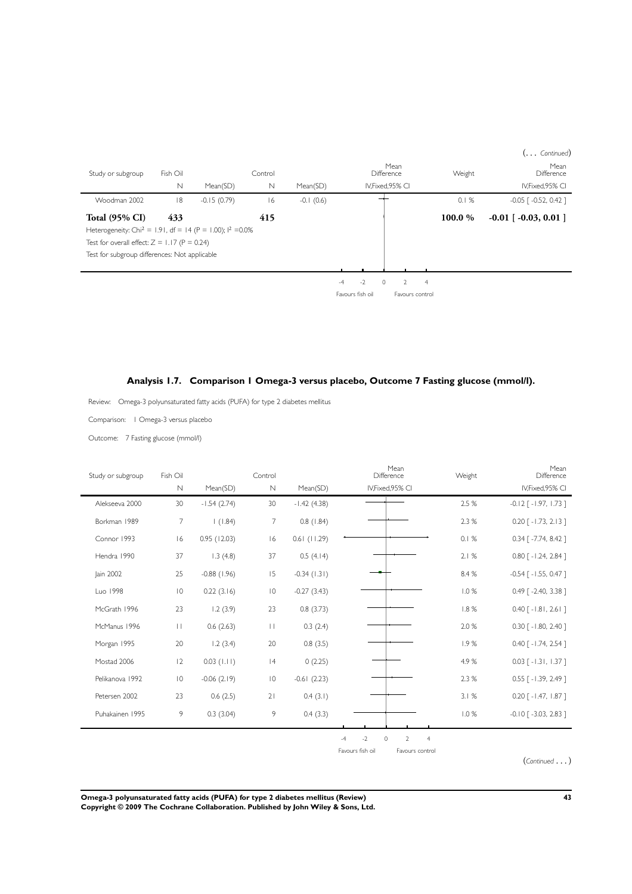<span id="page-44-0"></span>

# **Analysis 1.7. Comparison 1 Omega-3 versus placebo, Outcome 7 Fasting glucose (mmol/l).**

Review: Omega-3 polyunsaturated fatty acids (PUFA) for type 2 diabetes mellitus

Comparison: 1 Omega-3 versus placebo

Outcome: 7 Fasting glucose (mmol/l)

| Study or subgroup | Fish Oil<br>$\mathbb N$ | Mean(SD)       | Control<br>$\mathbb N$ | Mean(SD)       | Mean<br>Difference<br>IV, Fixed, 95% CI | Weight | Mean<br>Difference<br>IV, Fixed, 95% CI |
|-------------------|-------------------------|----------------|------------------------|----------------|-----------------------------------------|--------|-----------------------------------------|
| Alekseeva 2000    | 30                      | $-1.54(2.74)$  | 30                     | $-1.42(4.38)$  |                                         | 2.5 %  | $-0.12$ [ $-1.97$ , $1.73$ ]            |
| Borkman 1989      | $\overline{7}$          | (1.84)         | $\overline{7}$         | 0.8(1.84)      |                                         | 2.3 %  | $0.20$ $\lceil -1.73, 2.13 \rceil$      |
| Connor 1993       | 16                      | 0.95(12.03)    | 16                     | $0.61$ (11.29) |                                         | 0.1%   | $0.34$ $\lceil -7.74, 8.42 \rceil$      |
| Hendra 1990       | 37                      | 1.3(4.8)       | 37                     | 0.5(4.14)      |                                         | 2.1%   | $0.80$ $\lceil -1.24, 2.84 \rceil$      |
| Jain 2002         | 25                      | $-0.88$ (1.96) | 15                     | $-0.34(1.31)$  |                                         | 8.4 %  | $-0.54$ [ $-1.55$ , 0.47]               |
| Luo 1998          | $\overline{10}$         | 0.22(3.16)     | $\overline{0}$         | $-0.27(3.43)$  |                                         | 1.0%   | 0.49 [ -2.40, 3.38 ]                    |
| McGrath 1996      | 23                      | 1.2(3.9)       | 23                     | 0.8(3.73)      |                                         | 1.8%   | $0.40$ [ $-1.81$ , $2.61$ ]             |
| McManus 1996      | $\perp$                 | 0.6(2.63)      | $\mathbf{H}$           | 0.3(2.4)       |                                         | 2.0 %  | $0.30$ $\lceil -1.80, 2.40 \rceil$      |
| Morgan 1995       | 20                      | 1.2(3.4)       | 20                     | 0.8(3.5)       |                                         | 1.9%   | $0.40$ $\lceil -1.74, 2.54 \rceil$      |
| Mostad 2006       | 12                      | $0.03$ (1.11)  | 4                      | 0(2.25)        |                                         | 4.9%   | $0.03$ [ $-1.31$ , $1.37$ ]             |
| Pelikanova 1992   | $\overline{10}$         | $-0.06(2.19)$  | $\overline{0}$         | $-0.61(2.23)$  |                                         | 2.3 %  | $0.55$ $\lceil -1.39, 2.49 \rceil$      |
| Petersen 2002     | 23                      | 0.6(2.5)       | 21                     | 0.4(3.1)       |                                         | 3.1%   | $0.20$ [ -1.47, 1.87 ]                  |
| Puhakainen 1995   | 9                       | 0.3(3.04)      | 9                      | 0.4(3.3)       |                                         | 1.0%   | $-0.10$ [ $-3.03$ , 2.83 ]              |
|                   |                         |                |                        |                |                                         |        |                                         |

-4 -2 0 2 4

Favours fish oil Favours control

(*Continued* ... )

**Omega-3 polyunsaturated fatty acids (PUFA) for type 2 diabetes mellitus (Review) 43 Copyright © 2009 The Cochrane Collaboration. Published by John Wiley & Sons, Ltd.**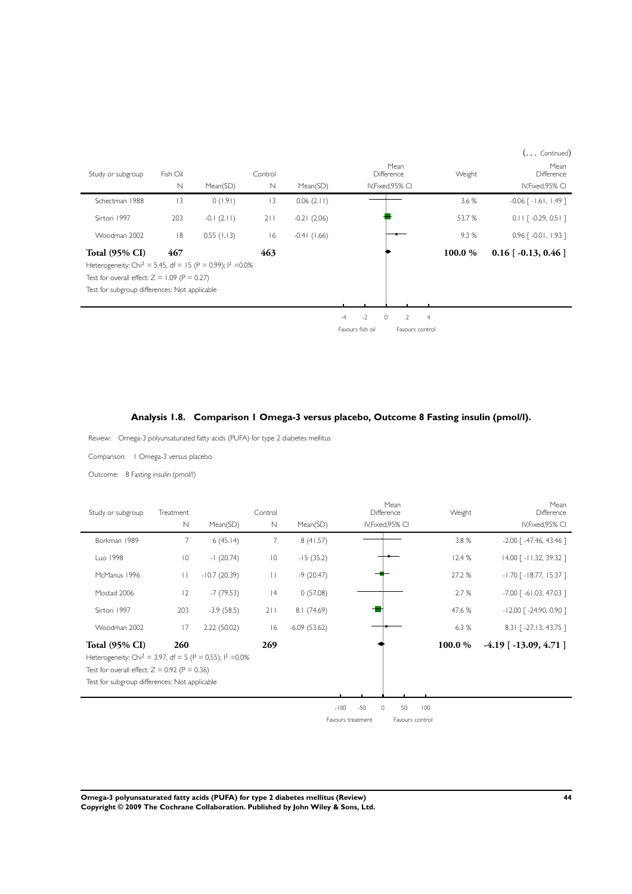<span id="page-45-0"></span>

|                                                                         |             |               |             |               |    |      |                    |                |        | $(\ldots$ Continued)               |
|-------------------------------------------------------------------------|-------------|---------------|-------------|---------------|----|------|--------------------|----------------|--------|------------------------------------|
| Study or subgroup                                                       | Fish Oil    |               | Control     |               |    |      | Mean<br>Difference |                | Weight | Mean<br>Difference                 |
|                                                                         | $\mathbb N$ | Mean(SD)      | $\mathbb N$ | Mean(SD)      |    |      | IV, Fixed, 95% CI  |                |        | IV, Fixed, 95% CI                  |
| Schectman 1988                                                          | 3           | 0(1.91)       | 3           | 0.06(2.11)    |    |      |                    |                | 3.6 %  | $-0.06$ [ $-1.61$ , $1.49$ ]       |
| Sirtori 1997                                                            | 203         | $-0.1(2.11)$  | 211         | $-0.21(2.06)$ |    |      |                    |                | 53.7 % | $0.11$ $[-0.29, 0.51]$             |
| Woodman 2002                                                            | 8           | $0.55$ (1.13) | 16          | $-0.41(1.66)$ |    |      |                    |                | 9.3%   | $0.96$ $\lceil -0.01, 1.93 \rceil$ |
| <b>Total (95% CI)</b>                                                   | 467         |               | 463         |               |    |      |                    |                | 100.0% | $0.16$ [ -0.13, 0.46 ]             |
| Heterogeneity: Chi <sup>2</sup> = 5.45, df = 15 (P = 0.99); $1^2$ =0.0% |             |               |             |               |    |      |                    |                |        |                                    |
| Test for overall effect: $Z = 1.09$ (P = 0.27)                          |             |               |             |               |    |      |                    |                |        |                                    |
| Test for subgroup differences: Not applicable                           |             |               |             |               |    |      |                    |                |        |                                    |
|                                                                         |             |               |             |               |    |      |                    |                |        |                                    |
|                                                                         |             |               |             |               | -4 | $-2$ | 0                  | $\overline{4}$ |        |                                    |

# **Analysis 1.8. Comparison 1 Omega-3 versus placebo, Outcome 8 Fasting insulin (pmol/l).**

Favours fish oil Favours control

| Review: Omega-3 polyunsaturated fatty acids (PUFA) for type 2 diabetes mellitus                                                                                                                     |                |                |                |                |                                      |        |                              |
|-----------------------------------------------------------------------------------------------------------------------------------------------------------------------------------------------------|----------------|----------------|----------------|----------------|--------------------------------------|--------|------------------------------|
| Comparison:   Omega-3 versus placebo                                                                                                                                                                |                |                |                |                |                                      |        |                              |
| Outcome: 8 Fasting insulin (pmol/l)                                                                                                                                                                 |                |                |                |                |                                      |        |                              |
|                                                                                                                                                                                                     |                |                |                |                |                                      |        |                              |
| Study or subgroup                                                                                                                                                                                   | Treatment      |                | Control        |                | Mean<br>Difference                   | Weight | Mean<br>Difference           |
|                                                                                                                                                                                                     | $\mathbb N$    | Mean(SD)       | $\mathbb N$    | Mean(SD)       | IV, Fixed, 95% CI                    |        | IV, Fixed, 95% CI            |
| Borkman 1989                                                                                                                                                                                        | 7              | 6(45.14)       | $\overline{7}$ | 8(41.57)       |                                      | 3.8%   | $-2.00$ [ $-47.46$ , 43.46 ] |
| Luo 1998                                                                                                                                                                                            | $\overline{0}$ | $-1(20.74)$    | $\overline{0}$ | $-15(35.2)$    |                                      | 12.4 % | 14.00 [-11.32, 39.32]        |
| McManus 1996                                                                                                                                                                                        | $\mathbf{H}$   | $-10.7(20.39)$ | $\mathbf{H}$   | $-9(20.47)$    |                                      | 27.2 % | $-1.70$ [ $-18.77$ , 15.37]  |
| Mostad 2006                                                                                                                                                                                         | 2              | $-7(79.53)$    | 4              | 0(57.08)       |                                      | 2.7 %  | $-7.00$ [ $-61.03$ , 47.03]  |
| Sirtori 1997                                                                                                                                                                                        | 203            | $-3.9(58.5)$   | 211            | 8.1 (74.69)    |                                      | 47.6 % | $-12.00$ [ $-24.90$ , 0.90 ] |
| Woodman 2002                                                                                                                                                                                        | 17             | 2.22(50.02)    | 16             | $-6.09(53.62)$ |                                      | 6.3%   | 8.31 [ -27.13, 43.75 ]       |
| <b>Total (95% CI)</b><br>Heterogeneity: Chi <sup>2</sup> = 3.97, df = 5 (P = 0.55); $1^2$ = 0.0%<br>Test for overall effect: $Z = 0.92$ (P = 0.36)<br>Test for subgroup differences: Not applicable | 260            |                | 269            |                |                                      | 100.0% | $-4.19$ [ $-13.09, 4.71$ ]   |
|                                                                                                                                                                                                     |                |                |                |                | $-50$<br>$-100$<br>50<br>100<br>0    |        |                              |
|                                                                                                                                                                                                     |                |                |                |                | Favours control<br>Favours treatment |        |                              |
|                                                                                                                                                                                                     |                |                |                |                |                                      |        |                              |
|                                                                                                                                                                                                     |                |                |                |                |                                      |        |                              |
|                                                                                                                                                                                                     |                |                |                |                |                                      |        |                              |

**Omega-3 polyunsaturated fatty acids (PUFA) for type 2 diabetes mellitus (Review) 44 Copyright © 2009 The Cochrane Collaboration. Published by John Wiley & Sons, Ltd.**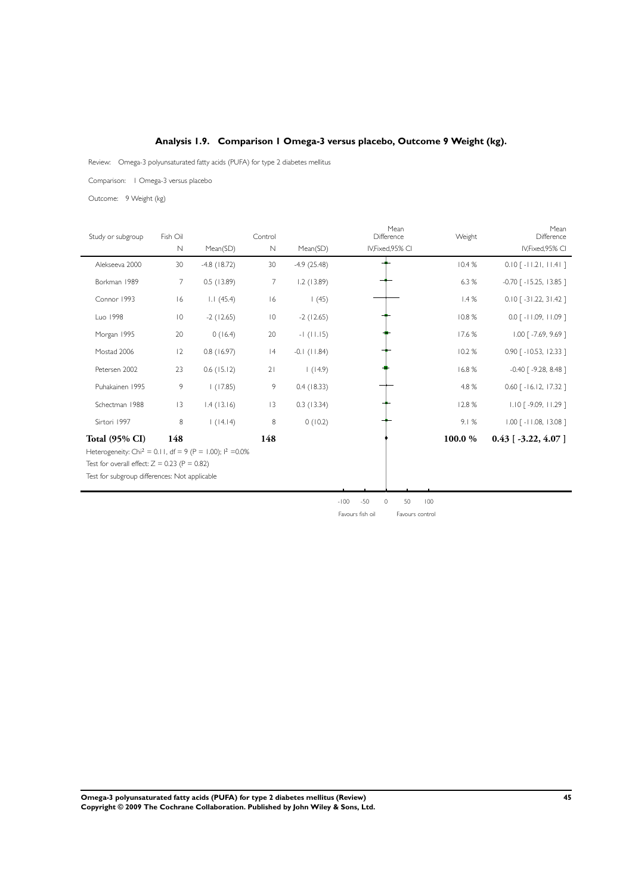# **Analysis 1.9. Comparison 1 Omega-3 versus placebo, Outcome 9 Weight (kg).**

<span id="page-46-0"></span>Review: Omega-3 polyunsaturated fatty acids (PUFA) for type 2 diabetes mellitus

Comparison: 1 Omega-3 versus placebo

Outcome: 9 Weight (kg)

| Study or subgroup | Fish Oil<br>$\hbox{N}$ | Mean(SD)       | Control<br>$\hbox{N}$ | Mean(SD)       | Mean<br>Difference<br>IV, Fixed, 95% CI | Weight | Mean<br>Difference<br>IV, Fixed, 95% CI |
|-------------------|------------------------|----------------|-----------------------|----------------|-----------------------------------------|--------|-----------------------------------------|
| Alekseeva 2000    | $30\,$                 | $-4.8$ (18.72) | 30                    | $-4.9(25.48)$  |                                         | 10.4%  | $0.10$ [-11.21, 11.41]                  |
| Borkman 1989      | 7                      | 0.5(13.89)     | 7                     | 1.2(13.89)     |                                         | 6.3 %  | $-0.70$ [ $-15.25$ , $13.85$ ]          |
| Connor 1993       | 6                      | 1.1(45.4)      | 6                     | 1(45)          |                                         | 1.4%   | $0.10$ [ -31.22, 31.42 ]                |
| Luo 1998          | $\overline{0}$         | $-2(12.65)$    | $\overline{0}$        | $-2(12.65)$    |                                         | 10.8%  | $0.0$ [-11.09, 11.09]                   |
| Morgan 1995       | $20\,$                 | 0(16.4)        | $20\,$                | $-1$ (11.15)   |                                         | 17.6 % | 1.00 [ -7.69, 9.69 ]                    |
| Mostad 2006       | 12                     | $0.8$ (16.97)  | 4                     | $-0.1$ (11.84) |                                         | 10.2%  | 0.90 [-10.53, 12.33]                    |
| Petersen 2002     | 23                     | $0.6$ (15.12)  | 21                    | (14.9)         |                                         | 16.8%  | $-0.40$ [ $-9.28$ , 8.48 ]              |
| Puhakainen 1995   | 9                      | (17.85)        | 9                     | 0.4(18.33)     |                                         | 4.8 %  | $0.60$ [ -16.12, 17.32 ]                |
| Schectman 1988    | 3                      | 1.4(13.16)     | 3                     | 0.3(13.34)     |                                         | 12.8%  | $1.10$ [ -9.09, 11.29 ]                 |
| Sirtori 1997      | $\, 8$                 | 1(14.14)       | $\, 8$                | 0(10.2)        |                                         | 9.1%   | $1.00$ [ $-11.08$ , $13.08$ ]           |
| Total (95% CI)    | 148                    |                | 148                   |                |                                         | 100.0% | $0.43$ [ -3.22, 4.07 ]                  |
|                   |                        |                |                       |                | Favours fish oil<br>Favours control     |        |                                         |
|                   |                        |                |                       |                |                                         |        |                                         |
|                   |                        |                |                       |                |                                         |        |                                         |
|                   |                        |                |                       |                |                                         |        |                                         |

**Omega-3 polyunsaturated fatty acids (PUFA) for type 2 diabetes mellitus (Review) 45 Copyright © 2009 The Cochrane Collaboration. Published by John Wiley & Sons, Ltd.**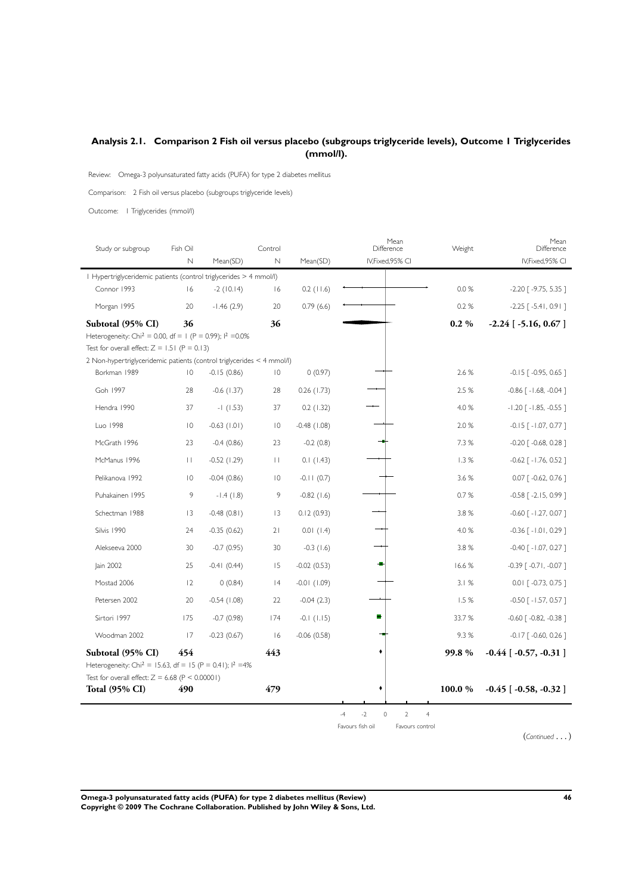# **Analysis 2.1. Comparison 2 Fish oil versus placebo (subgroups triglyceride levels), Outcome 1 Triglycerides (mmol/l).**

Review: Omega-3 polyunsaturated fatty acids (PUFA) for type 2 diabetes mellitus

Comparison: 2 Fish oil versus placebo (subgroups triglyceride levels)

Outcome: 1 Triglycerides (mmol/l)

| Study or subgroup                                                                                                        | Fish Oil       |                | Control        |                | Mean<br>Difference | Weight  | Mean<br>Difference                   |
|--------------------------------------------------------------------------------------------------------------------------|----------------|----------------|----------------|----------------|--------------------|---------|--------------------------------------|
|                                                                                                                          | N              | Mean(SD)       | N              | Mean(SD)       | IV, Fixed, 95% CI  |         | IV, Fixed, 95% CI                    |
| I Hypertriglyceridemic patients (control triglycerides > 4 mmol/l)                                                       |                |                |                |                |                    |         |                                      |
| Connor 1993                                                                                                              | 16             | $-2(10.14)$    | 6              | $0.2$ (11.6)   |                    | 0.0 %   | $-2.20$ [ $-9.75$ , 5.35 ]           |
| Morgan 1995                                                                                                              | 20             | $-1.46(2.9)$   | 20             | 0.79(6.6)      |                    | 0.2 %   | $-2.25$ [ $-5.41$ , 0.91]            |
| Subtotal (95% CI)                                                                                                        | 36             |                | 36             |                |                    | $0.2\%$ | $-2.24$ [ $-5.16$ , 0.67]            |
| Heterogeneity: Chi <sup>2</sup> = 0.00, df = 1 (P = 0.99); $1^2$ =0.0%<br>Test for overall effect: $Z = 1.51$ (P = 0.13) |                |                |                |                |                    |         |                                      |
| 2 Non-hypertriglyceridemic patients (control triglycerides < 4 mmol/l)                                                   |                |                |                |                |                    |         |                                      |
| Borkman 1989                                                                                                             | $\overline{0}$ | $-0.15(0.86)$  | $ 0\rangle$    | 0(0.97)        |                    | 2.6 %   | $-0.15$ [ $-0.95$ , 0.65 ]           |
| Goh 1997                                                                                                                 | 28             | $-0.6$ (1.37)  | 28             | 0.26(1.73)     |                    | 2.5 %   | $-0.86$ $\lceil -1.68, -0.04 \rceil$ |
| Hendra 1990                                                                                                              | 37             | $-1(1.53)$     | 37             | $0.2$ (1.32)   |                    | 4.0 %   | $-1.20$ $[-1.85, -0.55]$             |
| Luo 1998                                                                                                                 | $ 0\rangle$    | $-0.63$ (1.01) | $\overline{0}$ | $-0.48$ (1.08) |                    | 2.0 %   | $-0.15$ [ $-1.07, 0.77$ ]            |
| McGrath 1996                                                                                                             | 23             | $-0.4(0.86)$   | 23             | $-0.2$ $(0.8)$ |                    | 7.3 %   | $-0.20$ $\lceil -0.68, 0.28 \rceil$  |
| McManus 1996                                                                                                             | $\mathbf{L}$   | $-0.52$ (1.29) | $\perp$        | 0.1(1.43)      |                    | 1.3%    | $-0.62$ [ $-1.76$ , 0.52]            |
| Pelikanova 1992                                                                                                          | $\overline{0}$ | $-0.04(0.86)$  | $ 0\rangle$    | $-0.11(0.7)$   |                    | 3.6 %   | $0.07$ $\lceil -0.62, 0.76 \rceil$   |
| Puhakainen 1995                                                                                                          | 9              | $-1.4(1.8)$    | 9              | $-0.82$ (1.6)  |                    | 0.7%    | $-0.58$ $[-2.15, 0.99]$              |
| Schectman 1988                                                                                                           | 3              | $-0.48(0.81)$  | 3              | 0.12(0.93)     |                    | 3.8 %   | $-0.60$ $[-1.27, 0.07]$              |
| Silvis 1990                                                                                                              | 24             | $-0.35(0.62)$  | 21             | 0.01(1.4)      |                    | 4.0 %   | $-0.36$ $\lceil -1.01, 0.29 \rceil$  |
| Alekseeva 2000                                                                                                           | 30             | $-0.7(0.95)$   | 30             | $-0.3$ (1.6)   |                    | 3.8 %   | $-0.40$ $\lceil -1.07, 0.27 \rceil$  |
| Jain 2002                                                                                                                | 25             | $-0.41(0.44)$  | 15             | $-0.02(0.53)$  |                    | 16.6%   | $-0.39$ [ $-0.71$ , $-0.07$ ]        |
| Mostad 2006                                                                                                              | 2              | 0(0.84)        | 4              | $-0.01(1.09)$  |                    | 3.1%    | $0.01$ $[-0.73, 0.75]$               |
| Petersen 2002                                                                                                            | 20             | $-0.54(1.08)$  | 22             | $-0.04(2.3)$   |                    | 1.5%    | $-0.50$ [ $-1.57$ , 0.57]            |
| Sirtori 1997                                                                                                             | 175            | $-0.7(0.98)$   | 174            | $-0.1$ (1.15)  | ₩                  | 33.7%   | $-0.60$ $\lceil -0.82, -0.38 \rceil$ |
| Woodman 2002                                                                                                             | 17             | $-0.23(0.67)$  | 6              | $-0.06(0.58)$  |                    | 9.3%    | $-0.17$ [ $-0.60$ , 0.26 ]           |
| Subtotal (95% CI)                                                                                                        | 454            |                | 443            |                |                    | 99.8%   | $-0.44$ [ $-0.57, -0.31$ ]           |
| Heterogeneity: Chi <sup>2</sup> = 15.63, df = 15 (P = 0.41); $1^2$ =4%                                                   |                |                |                |                |                    |         |                                      |
| Test for overall effect: $Z = 6.68$ (P < 0.00001)<br><b>Total (95% CI)</b>                                               | 490            |                | 479            |                |                    | 100.0%  | $-0.45$ [ $-0.58, -0.32$ ]           |

 $-4$   $-2$  0 2 4 Favours fish oil Favours control

(*Continued* ... )

**Omega-3 polyunsaturated fatty acids (PUFA) for type 2 diabetes mellitus (Review) 46 Copyright © 2009 The Cochrane Collaboration. Published by John Wiley & Sons, Ltd.**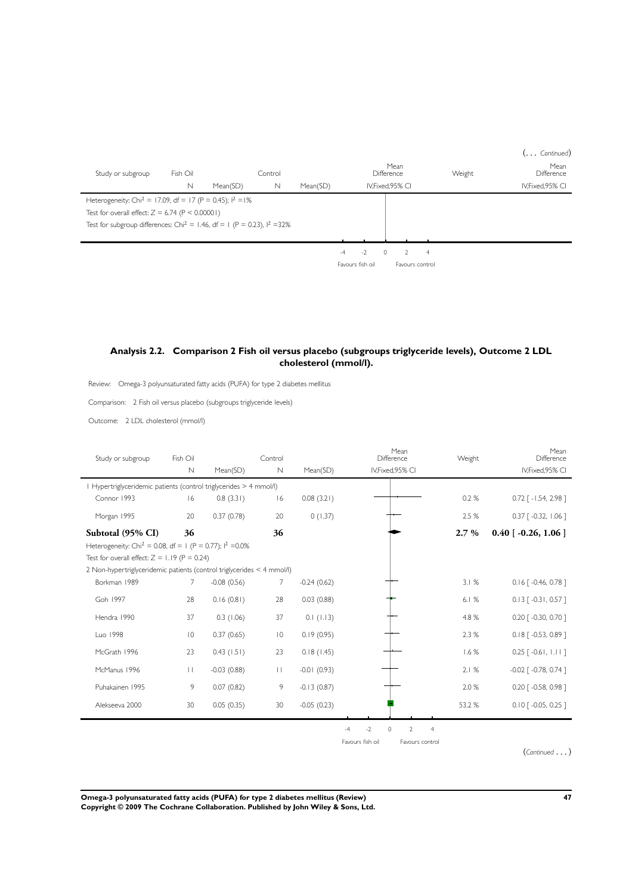

# **Analysis 2.2. Comparison 2 Fish oil versus placebo (subgroups triglyceride levels), Outcome 2 LDL cholesterol (mmol/l).**

Review: Omega-3 polyunsaturated fatty acids (PUFA) for type 2 diabetes mellitus

Comparison: 2 Fish oil versus placebo (subgroups triglyceride levels)

Outcome: 2 LDL cholesterol (mmol/l)

| Study or subgroup                                                      | Fish Oil       |               | Control      |               | Mean<br>Difference | Weight  | Mean<br>Difference                 |
|------------------------------------------------------------------------|----------------|---------------|--------------|---------------|--------------------|---------|------------------------------------|
|                                                                        | $\mathbb N$    | Mean(SD)      | $\mathbb N$  | Mean(SD)      | IV, Fixed, 95% CI  |         | IV, Fixed, 95% CI                  |
| Hypertriglyceridemic patients (control triglycerides > 4 mmol/l)       |                |               |              |               |                    |         |                                    |
| Connor 1993                                                            | 16             | 0.8(3.31)     | 16           | 0.08(3.21)    |                    | 0.2%    | $0.72$ [ -1.54, 2.98 ]             |
| Morgan 1995                                                            | 20             | 0.37(0.78)    | 20           | 0(1.37)       |                    | 2.5 %   | $0.37$ [ $-0.32$ , 1.06 ]          |
| Subtotal (95% CI)                                                      | 36             |               | 36           |               |                    | $2.7\%$ | $0.40$ [ -0.26, 1.06 ]             |
| Heterogeneity: Chi <sup>2</sup> = 0.08, df = 1 (P = 0.77); $1^2$ =0.0% |                |               |              |               |                    |         |                                    |
| Test for overall effect: $Z = 1.19$ (P = 0.24)                         |                |               |              |               |                    |         |                                    |
| 2 Non-hypertriglyceridemic patients (control triglycerides < 4 mmol/l) |                |               |              |               |                    |         |                                    |
| Borkman 1989                                                           | 7              | $-0.08(0.56)$ | 7            | $-0.24(0.62)$ |                    | 3.1%    | $0.16$ [ -0.46, 0.78 ]             |
| Goh 1997                                                               | 28             | 0.16(0.81)    | 28           | 0.03(0.88)    |                    | 6.1%    | $0.13$ [ -0.31, 0.57 ]             |
| Hendra 1990                                                            | 37             | 0.3(1.06)     | 37           | 0.1(1.13)     |                    | 4.8%    | $0.20$ $\lceil -0.30, 0.70 \rceil$ |
| Luo 1998                                                               | $\overline{0}$ | 0.37(0.65)    | $ 0\rangle$  | 0.19(0.95)    |                    | 2.3 %   | $0.18$ $[-0.53, 0.89]$             |
| McGrath 1996                                                           | 23             | $0.43$ (1.51) | 23           | 0.18(1.45)    |                    | 1.6%    | $0.25$ [ -0.61, 1.11 ]             |
| McManus 1996                                                           | $\perp$        | $-0.03(0.88)$ | $\mathbf{1}$ | $-0.01(0.93)$ |                    | 2.1%    | $-0.02$ [ $-0.78$ , 0.74]          |
| Puhakainen 1995                                                        | 9              | 0.07(0.82)    | 9            | $-0.13(0.87)$ |                    | 2.0 %   | $0.20$ $\lceil -0.58, 0.98 \rceil$ |
| Alekseeva 2000                                                         | 30             | 0.05(0.35)    | 30           | $-0.05(0.23)$ |                    | 53.2 %  | $0.10$ $\lceil -0.05, 0.25 \rceil$ |

-4 -2 0 2 4 Favours fish oil Favours control

(*Continued* ... )

**Omega-3 polyunsaturated fatty acids (PUFA) for type 2 diabetes mellitus (Review) 47 Copyright © 2009 The Cochrane Collaboration. Published by John Wiley & Sons, Ltd.**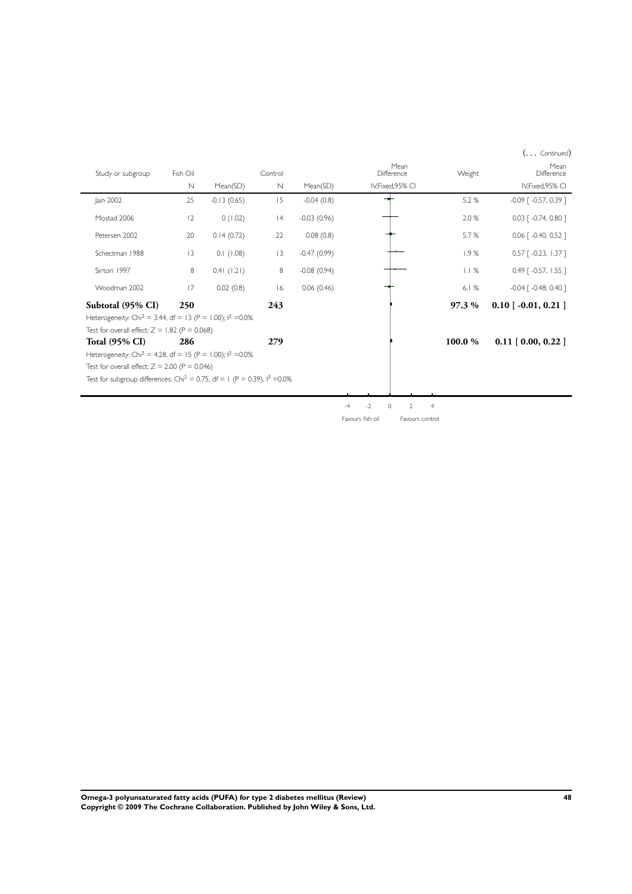<span id="page-49-0"></span>

|                                                                                         |             |               |             |               |                                          |        | $(\ldots$ Continued)                |
|-----------------------------------------------------------------------------------------|-------------|---------------|-------------|---------------|------------------------------------------|--------|-------------------------------------|
| Study or subgroup                                                                       | Fish Oil    |               | Control     |               | Mean<br>Difference                       | Weight | Mean<br>Difference                  |
|                                                                                         | $\mathbb N$ | Mean(SD)      | $\mathbb N$ | Mean(SD)      | IV, Fixed, 95% CI                        |        | IV, Fixed, 95% CI                   |
| Jain 2002                                                                               | 25          | $-0.13(0.65)$ | 15          | $-0.04(0.8)$  |                                          | 5.2 %  | $-0.09$ $[-0.57, 0.39]$             |
| Mostad 2006                                                                             | 12          | 0(1.02)       | 4           | $-0.03(0.96)$ |                                          | 2.0 %  | $0.03$ $\lceil -0.74, 0.80 \rceil$  |
| Petersen 2002                                                                           | 20          | 0.14(0.72)    | 22          | 0.08(0.8)     |                                          | 5.7 %  | $0.06$ $\lceil -0.40, 0.52 \rceil$  |
| Schectman 1988                                                                          | 3           | 0.1(1.08)     | 3           | $-0.47(0.99)$ |                                          | 1.9%   | $0.57$ [ $-0.23$ , 1.37 ]           |
| Sirtori 1997                                                                            | 8           | 0.41(1.21)    | 8           | $-0.08(0.94)$ |                                          | 1.1%   | $0.49$ $[-0.57, 1.55]$              |
| Woodman 2002                                                                            | 17          | 0.02(0.8)     | 16          | 0.06(0.46)    |                                          | 6.1%   | $-0.04$ $\lceil -0.48, 0.40 \rceil$ |
| Subtotal (95% CI)                                                                       | 250         |               | 243         |               |                                          | 97.3 % | $0.10$ [ -0.01, 0.21 ]              |
| Heterogeneity: Chi <sup>2</sup> = 3.44, df = 13 (P = 1.00); $1^2$ = 0.0%                |             |               |             |               |                                          |        |                                     |
| Test for overall effect: $Z = 1.82$ (P = 0.068)                                         |             |               |             |               |                                          |        |                                     |
| <b>Total (95% CI)</b>                                                                   | 286         |               | 279         |               |                                          | 100.0% | $0.11$ [ 0.00, 0.22 ]               |
| Heterogeneity: Chi <sup>2</sup> = 4.28, df = 15 (P = 1.00); $1^2$ =0.0%                 |             |               |             |               |                                          |        |                                     |
| Test for overall effect: $Z = 2.00$ (P = 0.046)                                         |             |               |             |               |                                          |        |                                     |
| Test for subgroup differences: Chi <sup>2</sup> = 0.75, df = 1 (P = 0.39), $1^2$ = 0.0% |             |               |             |               |                                          |        |                                     |
|                                                                                         |             |               |             |               |                                          |        |                                     |
|                                                                                         |             |               |             |               | $-2$<br>2<br>$-4$<br>$\overline{4}$<br>0 |        |                                     |

Favours fish oil Favours control

**Omega-3 polyunsaturated fatty acids (PUFA) for type 2 diabetes mellitus (Review) 48 Copyright © 2009 The Cochrane Collaboration. Published by John Wiley & Sons, Ltd.**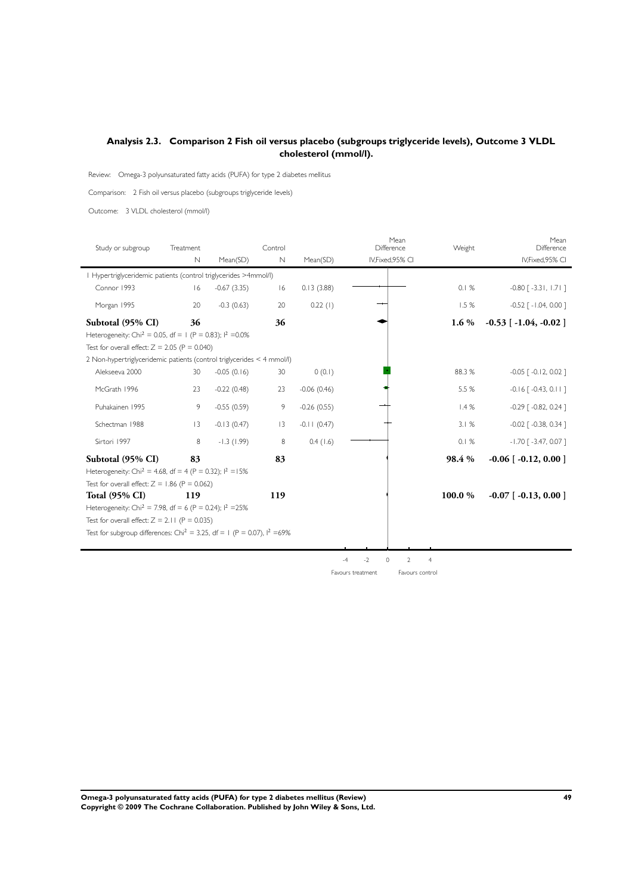# <span id="page-50-0"></span>**Analysis 2.3. Comparison 2 Fish oil versus placebo (subgroups triglyceride levels), Outcome 3 VLDL cholesterol (mmol/l).**

Review: Omega-3 polyunsaturated fatty acids (PUFA) for type 2 diabetes mellitus

Comparison: 2 Fish oil versus placebo (subgroups triglyceride levels)

Outcome: 3 VLDL cholesterol (mmol/l)

| Study or subgroup                                                                     | Treatment       |               | Control |               | Mean<br>Difference | Weight  | Mean<br>Difference                  |
|---------------------------------------------------------------------------------------|-----------------|---------------|---------|---------------|--------------------|---------|-------------------------------------|
|                                                                                       | $\mathsf{N}$    | Mean(SD)      | N       | Mean(SD)      | IV, Fixed, 95% CI  |         | IV, Fixed, 95% CI                   |
| Hypertriglyceridemic patients (control triglycerides >4mmol/l)                        |                 |               |         |               |                    |         |                                     |
| Connor 1993                                                                           | 16              | $-0.67(3.35)$ | 16      | 0.13(3.88)    |                    | 0.1%    | $-0.80$ [ $-3.3$ ], $1.71$ ]        |
| Morgan 1995                                                                           | 20              | $-0.3(0.63)$  | 20      | 0.22(1)       |                    | 1.5%    | $-0.52$ $\lceil -1.04, 0.00 \rceil$ |
| Subtotal (95% CI)                                                                     | 36              |               | 36      |               |                    | $1.6\%$ | $-0.53$ [ $-1.04$ , $-0.02$ ]       |
| Heterogeneity: Chi <sup>2</sup> = 0.05, df = 1 (P = 0.83); $1^2$ = 0.0%               |                 |               |         |               |                    |         |                                     |
| Test for overall effect: $Z = 2.05$ (P = 0.040)                                       |                 |               |         |               |                    |         |                                     |
| 2 Non-hypertriglyceridemic patients (control triglycerides < 4 mmol/l)                |                 |               |         |               |                    |         |                                     |
| Alekseeva 2000                                                                        | 30              | $-0.05(0.16)$ | 30      | 0(0.1)        |                    | 88.3%   | $-0.05$ $\lceil -0.12, 0.02 \rceil$ |
| McGrath 1996                                                                          | 23              | $-0.22(0.48)$ | 23      | $-0.06(0.46)$ |                    | 5.5 %   | $-0.16$ $[-0.43, 0.11]$             |
| Puhakainen 1995                                                                       | 9               | $-0.55(0.59)$ | 9       | $-0.26(0.55)$ |                    | 1.4%    | $-0.29$ $[-0.82, 0.24]$             |
| Schectman 1988                                                                        | $\overline{13}$ | $-0.13(0.47)$ | 3       | $-0.11(0.47)$ |                    | 3.1%    | $-0.02$ $\lceil -0.38, 0.34 \rceil$ |
| Sirtori 1997                                                                          | 8               | $-1.3(1.99)$  | 8       | 0.4(1.6)      |                    | 0.1%    | $-1.70$ [ $-3.47$ , 0.07 ]          |
| Subtotal (95% CI)                                                                     | 83              |               | 83      |               |                    | 98.4 %  | $-0.06$ [ $-0.12$ , 0.00 ]          |
| Heterogeneity: Chi <sup>2</sup> = 4.68, df = 4 (P = 0.32); $1^2$ = 15%                |                 |               |         |               |                    |         |                                     |
| Test for overall effect: $Z = 1.86$ (P = 0.062)                                       |                 |               |         |               |                    |         |                                     |
| <b>Total (95% CI)</b>                                                                 | 119             |               | 119     |               |                    | 100.0 % | $-0.07$ [ $-0.13$ , 0.00 ]          |
| Heterogeneity: Chi <sup>2</sup> = 7.98, df = 6 (P = 0.24); $1^2$ = 25%                |                 |               |         |               |                    |         |                                     |
| Test for overall effect: $Z = 2.11$ (P = 0.035)                                       |                 |               |         |               |                    |         |                                     |
| Test for subgroup differences: Chi <sup>2</sup> = 3.25, df = 1 (P = 0.07), $1^2$ =69% |                 |               |         |               |                    |         |                                     |
|                                                                                       |                 |               |         |               |                    |         |                                     |

 $-4$   $-2$  0 2 4 Favours treatment Favours control

**Omega-3 polyunsaturated fatty acids (PUFA) for type 2 diabetes mellitus (Review) 49 Copyright © 2009 The Cochrane Collaboration. Published by John Wiley & Sons, Ltd.**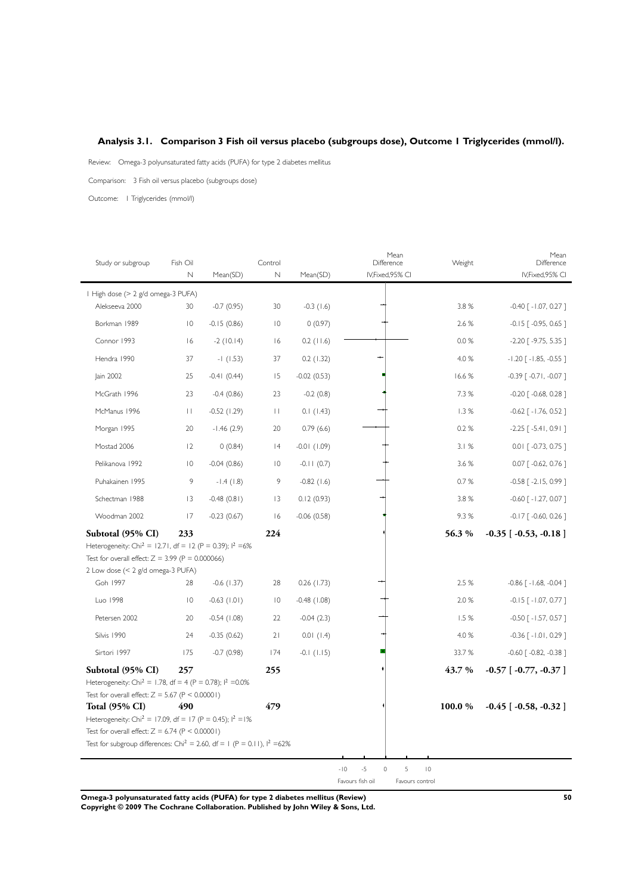# <span id="page-51-0"></span>**Analysis 3.1. Comparison 3 Fish oil versus placebo (subgroups dose), Outcome 1 Triglycerides (mmol/l).**

Review: Omega-3 polyunsaturated fatty acids (PUFA) for type 2 diabetes mellitus

Comparison: 3 Fish oil versus placebo (subgroups dose)

Outcome: 1 Triglycerides (mmol/l)

| Study or subgroup                                                                                                             | Fish Oil        |                | Control         |                | Mean<br>Difference      | Weight      | Mean<br>Difference                   |
|-------------------------------------------------------------------------------------------------------------------------------|-----------------|----------------|-----------------|----------------|-------------------------|-------------|--------------------------------------|
|                                                                                                                               | $\mathbb N$     | Mean(SD)       | $\mathbb N$     | Mean(SD)       | IV, Fixed, 95% CI       |             | IV, Fixed, 95% CI                    |
| I High dose (> 2 g/d omega-3 PUFA)                                                                                            |                 |                |                 |                |                         |             |                                      |
| Alekseeva 2000                                                                                                                | 30              | $-0.7(0.95)$   | 30              | $-0.3$ (1.6)   |                         | 3.8 %       | $-0.40$ $\lceil -1.07, 0.27 \rceil$  |
| Borkman 1989                                                                                                                  | $\overline{10}$ | $-0.15(0.86)$  | $ 0\rangle$     | 0(0.97)        |                         | 2.6 %       | $-0.15$ [ $-0.95$ , 0.65 ]           |
| Connor 1993                                                                                                                   | 16              | $-2(10.14)$    | 16              | $0.2$ (11.6)   |                         | 0.0%        | $-2.20$ [ $-9.75$ , 5.35 ]           |
| Hendra 1990                                                                                                                   | 37              | $-1(1.53)$     | 37              | 0.2(1.32)      |                         | 4.0 %       | $-1.20$ $[-1.85, -0.55]$             |
| Jain 2002                                                                                                                     | 25              | $-0.41(0.44)$  | 15              | $-0.02(0.53)$  |                         | 16.6%       | $-0.39$ $\lceil -0.71, -0.07 \rceil$ |
| McGrath 1996                                                                                                                  | 23              | $-0.4(0.86)$   | 23              | $-0.2$ (0.8)   |                         | 7.3 %       | $-0.20$ $\lceil -0.68, 0.28 \rceil$  |
| McManus 1996                                                                                                                  | $\mathbf{L}$    | $-0.52$ (1.29) | $\mathbf{  }$   | 0.1(1.43)      |                         | 1.3%        | $-0.62$ [ $-1.76$ , 0.52]            |
| Morgan 1995                                                                                                                   | 20              | $-1.46(2.9)$   | 20              | 0.79(6.6)      |                         | 0.2 %       | $-2.25$ [ $-5.41$ , 0.91]            |
| Mostad 2006                                                                                                                   | 12              | 0(0.84)        | 4               | $-0.01$ (1.09) |                         | 3.1%        | $0.01$ $[-0.73, 0.75]$               |
| Pelikanova 1992                                                                                                               | $\overline{10}$ | $-0.04(0.86)$  | $\overline{0}$  | $-0.11(0.7)$   |                         | 3.6 %       | $0.07$ [ $-0.62$ , 0.76 ]            |
| Puhakainen 1995                                                                                                               | 9               | $-1.4(1.8)$    | 9               | $-0.82$ (1.6)  |                         | 0.7%        | $-0.58$ $\lceil -2.15, 0.99 \rceil$  |
| Schectman 1988                                                                                                                | 3               | $-0.48(0.81)$  | $\overline{13}$ | 0.12(0.93)     |                         | 3.8 %       | $-0.60$ $\lceil -1.27, 0.07 \rceil$  |
| Woodman 2002                                                                                                                  | 17              | $-0.23(0.67)$  | 6               | $-0.06(0.58)$  |                         | 9.3%        | $-0.17$ [ $-0.60$ , 0.26 ]           |
| Subtotal (95% CI)                                                                                                             | 233             |                | 224             |                |                         | 56.3%       | $-0.35$ [ $-0.53$ , $-0.18$ ]        |
| Heterogeneity: Chi <sup>2</sup> = 12.71, df = 12 (P = 0.39); $1^2$ =6%                                                        |                 |                |                 |                |                         |             |                                      |
| Test for overall effect: $Z = 3.99$ (P = 0.000066)                                                                            |                 |                |                 |                |                         |             |                                      |
| 2 Low dose (< 2 g/d omega-3 PUFA)                                                                                             |                 |                |                 |                |                         |             |                                      |
| Goh 1997                                                                                                                      | 28              | $-0.6$ (1.37)  | 28              | 0.26(1.73)     |                         | 2.5 %       | $-0.86$ $\lceil -1.68, -0.04 \rceil$ |
| Luo 1998                                                                                                                      | $\overline{10}$ | $-0.63$ (1.01) | $ 0\rangle$     | $-0.48$ (1.08) |                         | 2.0 %       | $-0.15$ [ $-1.07, 0.77$ ]            |
| Petersen 2002                                                                                                                 | 20              | $-0.54$ (1.08) | 22              | $-0.04(2.3)$   |                         | 1.5%        | $-0.50$ [ $-1.57$ , 0.57]            |
| Silvis 1990                                                                                                                   | 24              | $-0.35(0.62)$  | 21              | 0.01(1.4)      |                         | 4.0 %       | $-0.36$ [ $-1.01$ , 0.29]            |
| Sirtori 1997                                                                                                                  | 175             | $-0.7(0.98)$   | 174             | $-0.1$ (1.15)  |                         | 33.7 %      | $-0.60$ $\lceil -0.82, -0.38 \rceil$ |
| Subtotal (95% CI)                                                                                                             | 257             |                | 255             |                |                         | 43.7%       | $-0.57$ [ $-0.77, -0.37$ ]           |
| Heterogeneity: Chi <sup>2</sup> = 1.78, df = 4 (P = 0.78); $1^2$ = 0.0%                                                       |                 |                |                 |                |                         |             |                                      |
| Test for overall effect: $Z = 5.67$ (P < 0.00001)                                                                             |                 |                |                 |                |                         |             |                                      |
| <b>Total (95% CI)</b>                                                                                                         | 490             |                | 479             |                |                         | 100.0%      | $-0.45$ [ $-0.58$ , $-0.32$ ]        |
| Heterogeneity: Chi <sup>2</sup> = 17.09, df = 17 (P = 0.45); $1^2 = 1\%$<br>Test for overall effect: $Z = 6.74$ (P < 0.00001) |                 |                |                 |                |                         |             |                                      |
| Test for subgroup differences: Chi <sup>2</sup> = 2.60, df = 1 (P = 0.11), $1^2$ =62%                                         |                 |                |                 |                |                         |             |                                      |
|                                                                                                                               |                 |                |                 |                |                         |             |                                      |
|                                                                                                                               |                 |                |                 |                | $-5$<br>5<br>$-10$<br>0 | $ 0\rangle$ |                                      |

Favours fish oil Favours control

**Omega-3 polyunsaturated fatty acids (PUFA) for type 2 diabetes mellitus (Review) 50**

**Copyright © 2009 The Cochrane Collaboration. Published by John Wiley & Sons, Ltd.**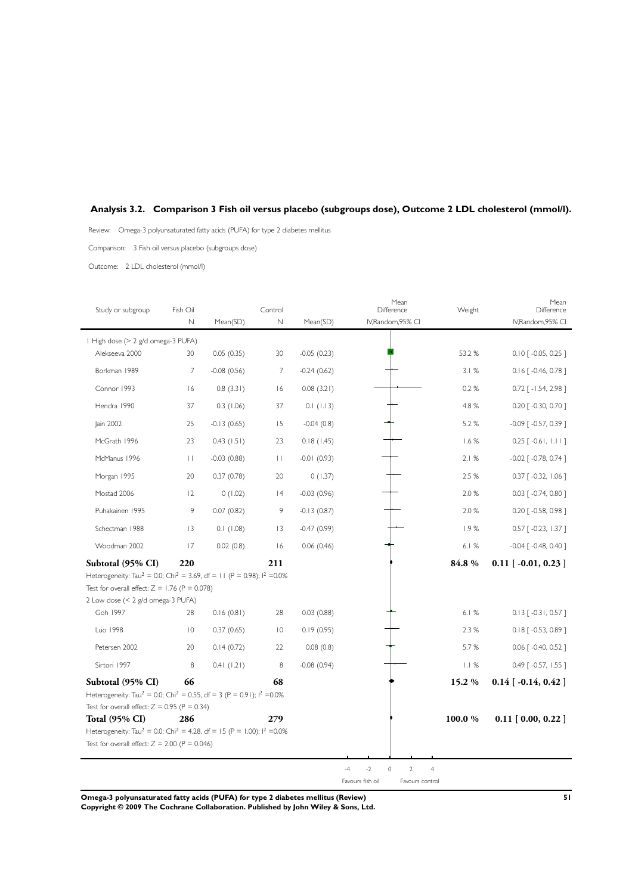# <span id="page-52-0"></span>**Analysis 3.2. Comparison 3 Fish oil versus placebo (subgroups dose), Outcome 2 LDL cholesterol (mmol/l).**

Review: Omega-3 polyunsaturated fatty acids (PUFA) for type 2 diabetes mellitus

Comparison: 3 Fish oil versus placebo (subgroups dose)

Outcome: 2 LDL cholesterol (mmol/l)

| Study or subgroup                                                                                | Fish Oil       |                  | Control         |                  | Mean<br>Difference                                             | Weight | Mean<br>Difference                  |
|--------------------------------------------------------------------------------------------------|----------------|------------------|-----------------|------------------|----------------------------------------------------------------|--------|-------------------------------------|
|                                                                                                  | Ν              | Mean(SD)         | $\mathbb N$     | Mean(SD)         | IV,Random,95% CI                                               |        | IV, Random, 95% CI                  |
| I High dose (> 2 g/d omega-3 PUFA)                                                               |                |                  |                 |                  |                                                                |        |                                     |
| Alekseeva 2000                                                                                   | 30             | 0.05(0.35)       | 30              | $-0.05(0.23)$    |                                                                | 53.2 % | $0.10$ [ -0.05, 0.25 ]              |
| Borkman 1989                                                                                     | $\overline{7}$ | $-0.08$ $(0.56)$ | 7               | $-0.24(0.62)$    |                                                                | 3.1%   | $0.16$ $\lceil -0.46, 0.78 \rceil$  |
| Connor 1993                                                                                      | 16             | 0.8(3.31)        | 16              | 0.08(3.21)       |                                                                | 0.2 %  | $0.72$ [ -1.54, 2.98 ]              |
| Hendra 1990                                                                                      | 37             | $0.3$ (1.06)     | 37              | 0.1(1.13)        |                                                                | 4.8 %  | 0.20 [ -0.30, 0.70 ]                |
| Jain 2002                                                                                        | 25             | $-0.13(0.65)$    | 15              | $-0.04(0.8)$     |                                                                | 5.2 %  | $-0.09$ $[-0.57, 0.39]$             |
| McGrath 1996                                                                                     | 23             | $0.43$ (1.51)    | 23              | 0.18(1.45)       |                                                                | 1.6%   | $0.25$ [ -0.61, 1.11 ]              |
| McManus 1996                                                                                     | $\mathbf{H}$   | $-0.03(0.88)$    | $\vert \vert$   | $-0.01(0.93)$    |                                                                | 2.1%   | $-0.02$ $[-0.78, 0.74]$             |
| Morgan 1995                                                                                      | 20             | 0.37(0.78)       | 20              | 0(1.37)          |                                                                | 2.5 %  | $0.37$ $\lceil -0.32, 1.06 \rceil$  |
| Mostad 2006                                                                                      | $ 2\rangle$    | 0(1.02)          | 4               | $-0.03(0.96)$    |                                                                | 2.0 %  | $0.03$ $\lceil -0.74, 0.80 \rceil$  |
| Puhakainen 1995                                                                                  | 9              | 0.07(0.82)       | 9               | $-0.13(0.87)$    |                                                                | 2.0 %  | $0.20$ $\lceil -0.58, 0.98 \rceil$  |
| Schectman 1988                                                                                   | 3              | 0.1(1.08)        | 3               | $-0.47(0.99)$    |                                                                | 1.9%   | $0.57$ [ -0.23, 1.37 ]              |
| Woodman 2002                                                                                     | 17             | 0.02(0.8)        | 16              | 0.06(0.46)       |                                                                | 6.1%   | $-0.04$ $\lceil -0.48, 0.40 \rceil$ |
| Subtotal (95% CI)                                                                                | 220            |                  | 211             |                  |                                                                | 84.8 % | $0.11$ [ $-0.01$ , $0.23$ ]         |
| Heterogeneity: Tau <sup>2</sup> = 0.0; Chi <sup>2</sup> = 3.69, df = 11 (P = 0.98); $1^2$ = 0.0% |                |                  |                 |                  |                                                                |        |                                     |
| Test for overall effect: $Z = 1.76$ (P = 0.078)                                                  |                |                  |                 |                  |                                                                |        |                                     |
| 2 Low dose (< 2 g/d omega-3 PUFA)                                                                |                |                  |                 |                  |                                                                |        |                                     |
| Goh 1997                                                                                         | 28             | 0.16(0.81)       | 28              | 0.03(0.88)       |                                                                | 6.1%   | $0.13$ [ -0.31, 0.57 ]              |
| Luo 1998                                                                                         | $\overline{0}$ | 0.37(0.65)       | $\overline{10}$ | 0.19(0.95)       |                                                                | 2.3 %  | $0.18$ $[-0.53, 0.89]$              |
| Petersen 2002                                                                                    | 20             | 0.14(0.72)       | 22              | 0.08(0.8)        |                                                                | 5.7 %  | $0.06$ $\lceil -0.40, 0.52 \rceil$  |
| Sirtori 1997                                                                                     | 8              | 0.41(1.21)       | 8               | $-0.08$ $(0.94)$ |                                                                | 1.1%   | 0.49 [ -0.57, 1.55 ]                |
| Subtotal (95% CI)                                                                                | 66             |                  | 68              |                  |                                                                | 15.2 % | $0.14$ [ $-0.14$ , $0.42$ ]         |
| Heterogeneity: Tau <sup>2</sup> = 0.0; Chi <sup>2</sup> = 0.55, df = 3 (P = 0.91); $1^2$ = 0.0%  |                |                  |                 |                  |                                                                |        |                                     |
| Test for overall effect: $Z = 0.95$ (P = 0.34)                                                   |                |                  |                 |                  |                                                                |        |                                     |
| <b>Total (95% CI)</b>                                                                            | 286            |                  | 279             |                  |                                                                | 100.0% | $0.11$ [ $0.00, 0.22$ ]             |
| Heterogeneity: Tau <sup>2</sup> = 0.0; Chi <sup>2</sup> = 4.28, df = 15 (P = 1.00); $1^2$ =0.0%  |                |                  |                 |                  |                                                                |        |                                     |
| Test for overall effect: $Z = 2.00$ (P = 0.046)                                                  |                |                  |                 |                  |                                                                |        |                                     |
|                                                                                                  |                |                  |                 |                  | $-2$<br>$\ddot{0}$<br>$\overline{2}$<br>$-4$<br>$\overline{4}$ |        |                                     |

Favours fish oil Favours control

**Omega-3 polyunsaturated fatty acids (PUFA) for type 2 diabetes mellitus (Review) 51**

**Copyright © 2009 The Cochrane Collaboration. Published by John Wiley & Sons, Ltd.**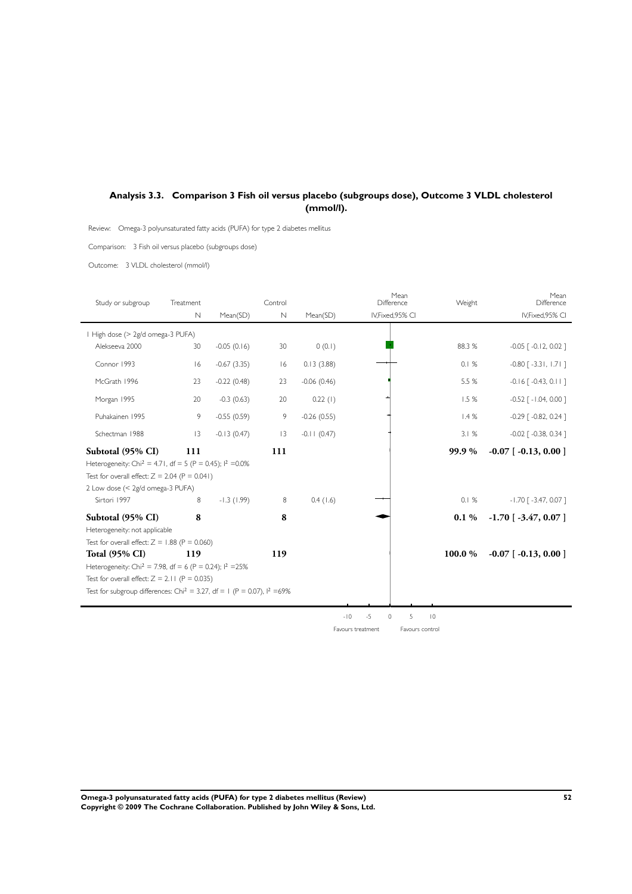# <span id="page-53-0"></span>**Analysis 3.3. Comparison 3 Fish oil versus placebo (subgroups dose), Outcome 3 VLDL cholesterol (mmol/l).**

Review: Omega-3 polyunsaturated fatty acids (PUFA) for type 2 diabetes mellitus

Comparison: 3 Fish oil versus placebo (subgroups dose)

Outcome: 3 VLDL cholesterol (mmol/l)

| Study or subgroup                                                                                                                        | Treatment<br>$\mathbb N$ | Mean(SD)      | Control<br>$\hbox{N}$ | Mean(SD)      | Mean<br>Difference<br>IV,Fixed,95% CI     | Weight          | Mean<br>Difference<br>IV, Fixed, 95% CI |
|------------------------------------------------------------------------------------------------------------------------------------------|--------------------------|---------------|-----------------------|---------------|-------------------------------------------|-----------------|-----------------------------------------|
|                                                                                                                                          |                          |               |                       |               |                                           |                 |                                         |
| I High dose (> 2g/d omega-3 PUFA)<br>Alekseeva 2000                                                                                      | 30                       | $-0.05(0.16)$ | 30                    | 0(0.1)        |                                           | 88.3%           | $-0.05$ $\lceil -0.12, 0.02 \rceil$     |
|                                                                                                                                          |                          |               |                       |               |                                           |                 |                                         |
| Connor 1993                                                                                                                              | 6                        | $-0.67(3.35)$ | 6                     | 0.13(3.88)    |                                           | 0.1%            | $-0.80$ [ $-3.31$ , $1.71$ ]            |
| McGrath 1996                                                                                                                             | 23                       | $-0.22(0.48)$ | 23                    | $-0.06(0.46)$ |                                           | 5.5 %           | $-0.16$ $[-0.43, 0.11]$                 |
| Morgan 1995                                                                                                                              | 20                       | $-0.3(0.63)$  | 20                    | 0.22(1)       |                                           | 1.5%            | $-0.52$ $\lceil -1.04, 0.00 \rceil$     |
| Puhakainen 1995                                                                                                                          | 9                        | $-0.55(0.59)$ | 9                     | $-0.26(0.55)$ |                                           | 1.4%            | $-0.29$ $\lceil -0.82, 0.24 \rceil$     |
| Schectman 1988                                                                                                                           | 3                        | $-0.13(0.47)$ | 3                     | $-0.11(0.47)$ |                                           | 3.1%            | $-0.02$ $\lceil -0.38, 0.34 \rceil$     |
| Subtotal (95% CI)                                                                                                                        | 111                      |               | 111                   |               |                                           | 99.9%           | $-0.07$ [ $-0.13$ , $0.00$ ]            |
| Heterogeneity: Chi <sup>2</sup> = 4.71, df = 5 (P = 0.45); l <sup>2</sup> = 0.0%<br>Test for overall effect: $Z = 2.04$ (P = 0.041)      |                          |               |                       |               |                                           |                 |                                         |
| 2 Low dose (< 2g/d omega-3 PUFA)                                                                                                         |                          |               |                       |               |                                           |                 |                                         |
| Sirtori 1997                                                                                                                             | 8                        | $-1.3(1.99)$  | 8                     | 0.4(1.6)      |                                           | 0.1%            | $-1.70$ [ $-3.47$ , 0.07 ]              |
| Subtotal (95% CI)                                                                                                                        | 8                        |               | 8                     |               |                                           | $0.1 \%$        | $-1.70$ [ $-3.47, 0.07$ ]               |
| Heterogeneity: not applicable                                                                                                            |                          |               |                       |               |                                           |                 |                                         |
| Test for overall effect: $Z = 1.88$ (P = 0.060)                                                                                          |                          |               |                       |               |                                           |                 |                                         |
| <b>Total (95% CI)</b>                                                                                                                    | 119                      |               | 119                   |               |                                           | 100.0%          | $-0.07$ [ $-0.13, 0.00$ ]               |
| Heterogeneity: Chi <sup>2</sup> = 7.98, df = 6 (P = 0.24); $1^2$ = 25%                                                                   |                          |               |                       |               |                                           |                 |                                         |
| Test for overall effect: $Z = 2.11$ (P = 0.035)<br>Test for subgroup differences: Chi <sup>2</sup> = 3.27, df = 1 (P = 0.07), $1^2$ =69% |                          |               |                       |               |                                           |                 |                                         |
|                                                                                                                                          |                          |               |                       |               |                                           |                 |                                         |
|                                                                                                                                          |                          |               |                       |               | $-10$<br>$-5$<br>$\mathsf{O}\xspace$<br>5 | $\overline{0}$  |                                         |
|                                                                                                                                          |                          |               |                       |               | Favours treatment                         | Favours control |                                         |
|                                                                                                                                          |                          |               |                       |               |                                           |                 |                                         |
|                                                                                                                                          |                          |               |                       |               |                                           |                 |                                         |
|                                                                                                                                          |                          |               |                       |               |                                           |                 |                                         |
|                                                                                                                                          |                          |               |                       |               |                                           |                 |                                         |
|                                                                                                                                          |                          |               |                       |               |                                           |                 |                                         |
|                                                                                                                                          |                          |               |                       |               |                                           |                 |                                         |
|                                                                                                                                          |                          |               |                       |               |                                           |                 |                                         |
|                                                                                                                                          |                          |               |                       |               |                                           |                 |                                         |
|                                                                                                                                          |                          |               |                       |               |                                           |                 |                                         |

**Omega-3 polyunsaturated fatty acids (PUFA) for type 2 diabetes mellitus (Review) 52 Copyright © 2009 The Cochrane Collaboration. Published by John Wiley & Sons, Ltd.**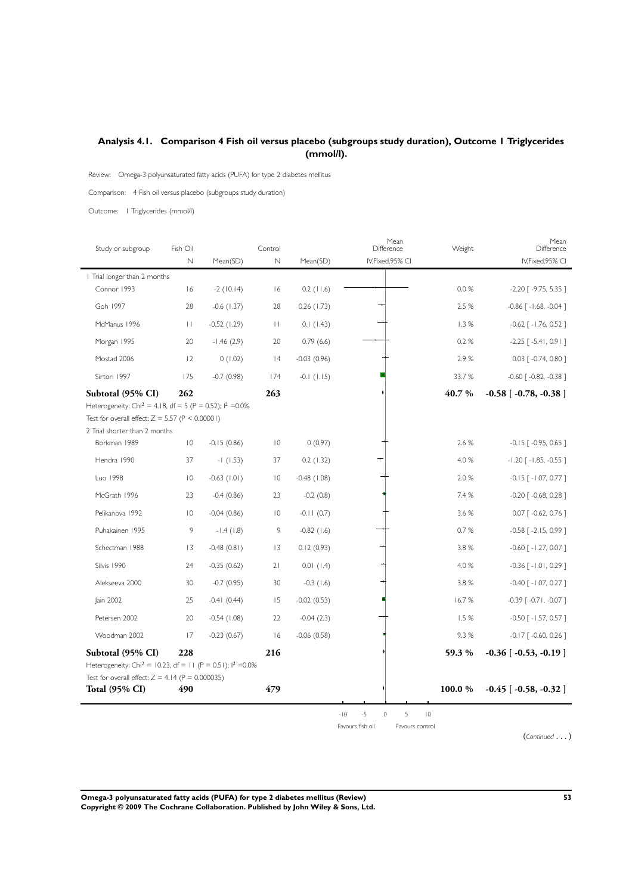# **Analysis 4.1. Comparison 4 Fish oil versus placebo (subgroups study duration), Outcome 1 Triglycerides (mmol/l).**

Review: Omega-3 polyunsaturated fatty acids (PUFA) for type 2 diabetes mellitus

Comparison: 4 Fish oil versus placebo (subgroups study duration)

Outcome: 1 Triglycerides (mmol/l)

| Study or subgroup                                                        | Fish Oil        |                | Control        |                | Mean<br>Difference | Weight | Mean<br>Difference                   |
|--------------------------------------------------------------------------|-----------------|----------------|----------------|----------------|--------------------|--------|--------------------------------------|
|                                                                          | $\mathbb N$     | Mean(SD)       | $\mathbb N$    | Mean(SD)       | IV, Fixed, 95% CI  |        | IV, Fixed, 95% CI                    |
| I Trial longer than 2 months                                             |                 |                |                |                |                    |        |                                      |
| Connor 1993                                                              | 6               | $-2(10.14)$    | 6              | $0.2$ (11.6)   |                    | 0.0 %  | $-2.20$ [ $-9.75$ , 5.35 ]           |
| Goh 1997                                                                 | 28              | $-0.6$ (1.37)  | 28             | 0.26(1.73)     |                    | 2.5 %  | $-0.86$ $\lceil -1.68, -0.04 \rceil$ |
| McManus 1996                                                             | $\vert \ \vert$ | $-0.52$ (1.29) | $\mathbf{H}$   | 0.1(1.43)      |                    | 1.3%   | $-0.62$ [ $-1.76$ , 0.52]            |
| Morgan 1995                                                              | 20              | $-1.46(2.9)$   | 20             | 0.79(6.6)      |                    | 0.2 %  | $-2.25$ [ $-5.41$ , 0.91]            |
| Mostad 2006                                                              | 2               | 0(1.02)        | 4              | $-0.03(0.96)$  |                    | 2.9%   | $0.03$ $\lceil -0.74, 0.80 \rceil$   |
| Sirtori 1997                                                             | 175             | $-0.7(0.98)$   | 174            | $-0.1$ (1.15)  |                    | 33.7%  | $-0.60$ $\lceil -0.82, -0.38 \rceil$ |
| Subtotal (95% CI)                                                        | 262             |                | 263            |                |                    | 40.7%  | $-0.58$ [ $-0.78$ , $-0.38$ ]        |
| Heterogeneity: Chi <sup>2</sup> = 4.18, df = 5 (P = 0.52); $1^2$ =0.0%   |                 |                |                |                |                    |        |                                      |
| Test for overall effect: $Z = 5.57$ (P < 0.00001)                        |                 |                |                |                |                    |        |                                      |
| 2 Trial shorter than 2 months<br>Borkman 1989                            | $\overline{0}$  | $-0.15(0.86)$  | $\overline{0}$ | 0(0.97)        |                    | 2.6 %  | $-0.15$ [ $-0.95$ , 0.65 ]           |
| Hendra 1990                                                              | 37              | $-1(1.53)$     | 37             | $0.2$ (1.32)   |                    | 4.0 %  | $-1.20$ [ $-1.85, -0.55$ ]           |
| Luo 1998                                                                 | $ 0\rangle$     | $-0.63$ (1.01) | $ 0\rangle$    | $-0.48$ (1.08) |                    | 2.0 %  | $-0.15$ [ $-1.07, 0.77$ ]            |
| McGrath 1996                                                             | 23              | $-0.4(0.86)$   | 23             | $-0.2$ (0.8)   |                    | 7.4 %  | $-0.20$ $\lceil -0.68, 0.28 \rceil$  |
| Pelikanova 1992                                                          | $\overline{0}$  | $-0.04(0.86)$  | $\overline{0}$ | $-0.11(0.7)$   |                    | 3.6 %  | $0.07$ [ -0.62, 0.76 ]               |
| Puhakainen 1995                                                          | 9               | $-1.4(1.8)$    | 9              | $-0.82$ (1.6)  |                    | 0.7%   | $-0.58$ [ $-2.15$ , 0.99 ]           |
| Schectman 1988                                                           | 3               | $-0.48(0.81)$  | 3              | 0.12(0.93)     |                    | 3.8 %  | $-0.60$ $\lceil -1.27, 0.07 \rceil$  |
| Silvis 1990                                                              | 24              | $-0.35(0.62)$  | 21             | 0.01(1.4)      |                    | 4.0 %  | $-0.36$ [ $-1.01$ , 0.29]            |
| Alekseeva 2000                                                           | 30              | $-0.7(0.95)$   | 30             | $-0.3$ (1.6)   |                    | 3.8 %  | $-0.40$ $\lceil -1.07, 0.27 \rceil$  |
| Jain 2002                                                                | 25              | $-0.41(0.44)$  | 15             | $-0.02(0.53)$  |                    | 16.7%  | $-0.39$ [ $-0.71$ , $-0.07$ ]        |
| Petersen 2002                                                            | 20              | $-0.54$ (1.08) | 22             | $-0.04(2.3)$   |                    | 1.5%   | -0.50 [-1.57, 0.57]                  |
| Woodman 2002                                                             | 17              | $-0.23(0.67)$  | 16             | $-0.06(0.58)$  |                    | 9.3%   | $-0.17$ [ $-0.60$ , 0.26]            |
| Subtotal (95% CI)                                                        | 228             |                | 216            |                |                    | 59.3 % | $-0.36$ [ $-0.53$ , $-0.19$ ]        |
| Heterogeneity: Chi <sup>2</sup> = 10.23, df = 11 (P = 0.51); $1^2$ =0.0% |                 |                |                |                |                    |        |                                      |
| Test for overall effect: $Z = 4.14$ (P = 0.000035)                       |                 |                |                |                |                    |        |                                      |
| <b>Total (95% CI)</b>                                                    | 490             |                | 479            |                |                    | 100.0% | $-0.45$ [ $-0.58$ , $-0.32$ ]        |

 $-10$   $-5$  0 5 10 Favours fish oil Favours control

(*Continued* ... )

**Omega-3 polyunsaturated fatty acids (PUFA) for type 2 diabetes mellitus (Review) 53 Copyright © 2009 The Cochrane Collaboration. Published by John Wiley & Sons, Ltd.**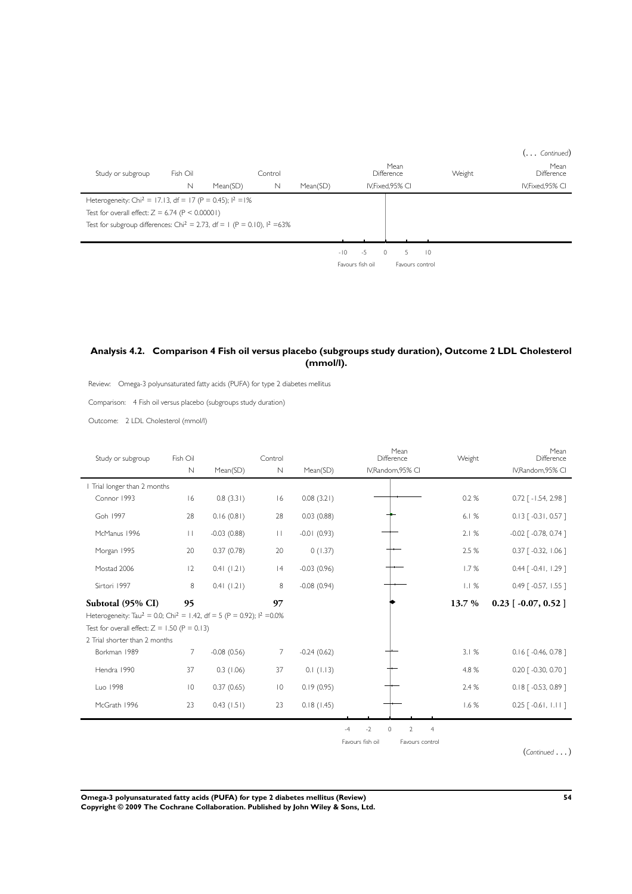

# **Analysis 4.2. Comparison 4 Fish oil versus placebo (subgroups study duration), Outcome 2 LDL Cholesterol (mmol/l).**

Review: Omega-3 polyunsaturated fatty acids (PUFA) for type 2 diabetes mellitus

Comparison: 4 Fish oil versus placebo (subgroups study duration)

Outcome: 2 LDL Cholesterol (mmol/l)

| Study or subgroup                                                                                        | Fish Oil                              |               | Control        |               | Mean<br>Difference | Weight | Mean<br>Difference                  |
|----------------------------------------------------------------------------------------------------------|---------------------------------------|---------------|----------------|---------------|--------------------|--------|-------------------------------------|
|                                                                                                          | $\mathbb N$                           | Mean(SD)      | $\mathbb N$    | Mean(SD)      | IV, Random, 95% CI |        | IV, Random, 95% CI                  |
| I Trial longer than 2 months                                                                             |                                       |               |                |               |                    |        |                                     |
| Connor 1993                                                                                              | 16                                    | 0.8(3.31)     | 6              | 0.08(3.21)    |                    | 0.2%   | $0.72$ [ -1.54, 2.98 ]              |
| Goh 1997                                                                                                 | 28                                    | 0.16(0.81)    | 28             | 0.03(0.88)    |                    | 6.1 %  | $0.13$ [ -0.31, 0.57 ]              |
| McManus 1996                                                                                             | $\begin{array}{c} \hline \end{array}$ | $-0.03(0.88)$ | $\perp$        | $-0.01(0.93)$ |                    | 2.1%   | $-0.02$ $\lceil -0.78, 0.74 \rceil$ |
| Morgan 1995                                                                                              | 20                                    | 0.37(0.78)    | 20             | 0(1.37)       |                    | 2.5 %  | $0.37$ $\lceil -0.32, 1.06 \rceil$  |
| Mostad 2006                                                                                              | $ 2\rangle$                           | 0.41(1.21)    | 4              | $-0.03(0.96)$ |                    | 1.7%   | $0.44$ [ -0.41, 1.29 ]              |
| Sirtori 1997                                                                                             | 8                                     | 0.41(1.21)    | 8              | $-0.08(0.94)$ |                    | 1.1%   | $0.49$ $\lceil -0.57, 1.55 \rceil$  |
| Subtotal (95% CI)                                                                                        | 95                                    |               | 97             |               |                    | 13.7 % | $0.23$ [ -0.07, 0.52 ]              |
| Heterogeneity: Tau <sup>2</sup> = 0.0; Chi <sup>2</sup> = 1.42, df = 5 (P = 0.92); l <sup>2</sup> = 0.0% |                                       |               |                |               |                    |        |                                     |
| Test for overall effect: $Z = 1.50$ (P = 0.13)                                                           |                                       |               |                |               |                    |        |                                     |
| 2 Trial shorter than 2 months                                                                            |                                       |               |                |               |                    |        |                                     |
| Borkman 1989                                                                                             | 7                                     | $-0.08(0.56)$ | 7              | $-0.24(0.62)$ |                    | 3.1%   | $0.16$ $[ -0.46, 0.78]$             |
| Hendra 1990                                                                                              | 37                                    | 0.3(1.06)     | 37             | 0.1(1.13)     |                    | 4.8%   | $0.20$ $\lceil -0.30, 0.70 \rceil$  |
| Luo 1998                                                                                                 | $\overline{0}$                        | 0.37(0.65)    | $\overline{0}$ | 0.19(0.95)    |                    | 2.4 %  | $0.18$ $[-0.53, 0.89]$              |
| McGrath 1996                                                                                             | 23                                    | 0.43(1.51)    | 23             | 0.18(1.45)    |                    | 1.6%   | $0.25$ [ -0.61, 1.11 ]              |
|                                                                                                          |                                       |               |                |               |                    |        |                                     |

-4 -2 0 2 4 Favours fish oil Favours control

(*Continued* ... )

**Omega-3 polyunsaturated fatty acids (PUFA) for type 2 diabetes mellitus (Review) 54 Copyright © 2009 The Cochrane Collaboration. Published by John Wiley & Sons, Ltd.**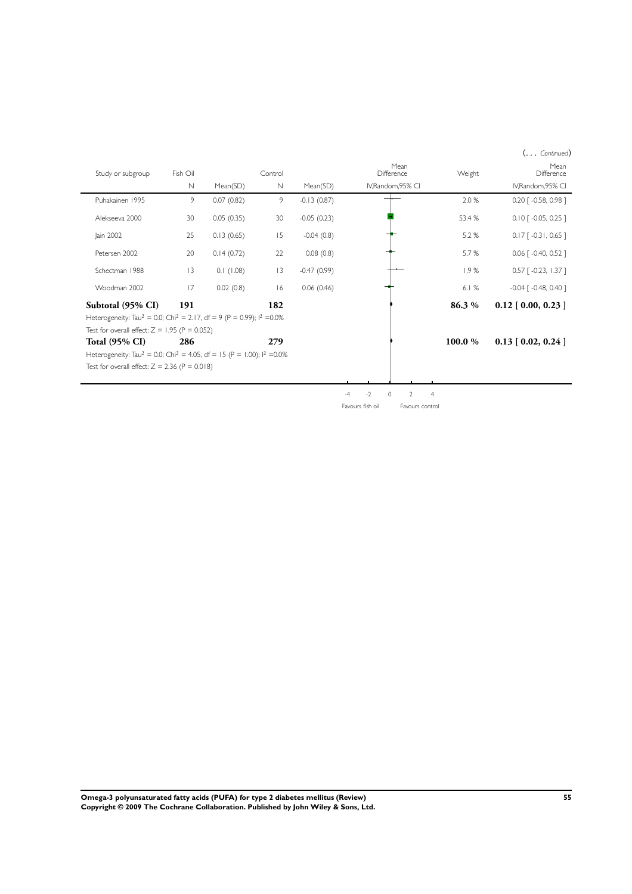<span id="page-56-0"></span>

|                                                                                                          |          |            |             |               |                    |         | $(\ldots$ Continued)                |
|----------------------------------------------------------------------------------------------------------|----------|------------|-------------|---------------|--------------------|---------|-------------------------------------|
| Study or subgroup                                                                                        | Fish Oil |            | Control     |               | Mean<br>Difference | Weight  | Mean<br>Difference                  |
|                                                                                                          | N        | Mean(SD)   | $\mathbb N$ | Mean(SD)      | IV, Random, 95% CI |         | IV, Random, 95% CI                  |
| Puhakainen 1995                                                                                          | 9        | 0.07(0.82) | 9           | $-0.13(0.87)$ |                    | 2.0 %   | $0.20$ $\lceil -0.58, 0.98 \rceil$  |
| Alekseeva 2000                                                                                           | 30       | 0.05(0.35) | 30          | $-0.05(0.23)$ |                    | 53.4 %  | $0.10$ $\lceil -0.05, 0.25 \rceil$  |
| lain 2002                                                                                                | 25       | 0.13(0.65) | 15          | $-0.04(0.8)$  |                    | 5.2 %   | $0.17$ [ -0.31, 0.65 ]              |
| Petersen 2002                                                                                            | 20       | 0.14(0.72) | 22          | 0.08(0.8)     |                    | 5.7 %   | $0.06$ $\lceil -0.40, 0.52 \rceil$  |
| Schectman 1988                                                                                           | 3        | 0.1(1.08)  | 3           | $-0.47(0.99)$ |                    | 1.9%    | $0.57$ [ $-0.23$ , 1.37 ]           |
| Woodman 2002                                                                                             | 17       | 0.02(0.8)  | 16          | 0.06(0.46)    |                    | 6.1%    | $-0.04$ $\lceil -0.48, 0.40 \rceil$ |
| Subtotal (95% CI)                                                                                        | 191      |            | 182         |               |                    | 86.3 %  | $0.12$ [ 0.00, 0.23 ]               |
| Heterogeneity: Tau <sup>2</sup> = 0.0; Chi <sup>2</sup> = 2.17, df = 9 (P = 0.99); l <sup>2</sup> = 0.0% |          |            |             |               |                    |         |                                     |
| Test for overall effect: $Z = 1.95$ (P = 0.052)                                                          |          |            |             |               |                    |         |                                     |
| <b>Total (95% CI)</b>                                                                                    | 286      |            | 279         |               |                    | 100.0 % | $0.13$ [ 0.02, 0.24 ]               |
| Heterogeneity: Tau <sup>2</sup> = 0.0; Chi <sup>2</sup> = 4.05, df = 15 (P = 1.00); $1^2$ =0.0%          |          |            |             |               |                    |         |                                     |
| Test for overall effect: $Z = 2.36$ (P = 0.018)                                                          |          |            |             |               |                    |         |                                     |
|                                                                                                          |          |            |             |               |                    |         |                                     |

-4 -2 0 2 4

Favours fish oil Favours control

**Omega-3 polyunsaturated fatty acids (PUFA) for type 2 diabetes mellitus (Review) 55 Copyright © 2009 The Cochrane Collaboration. Published by John Wiley & Sons, Ltd.**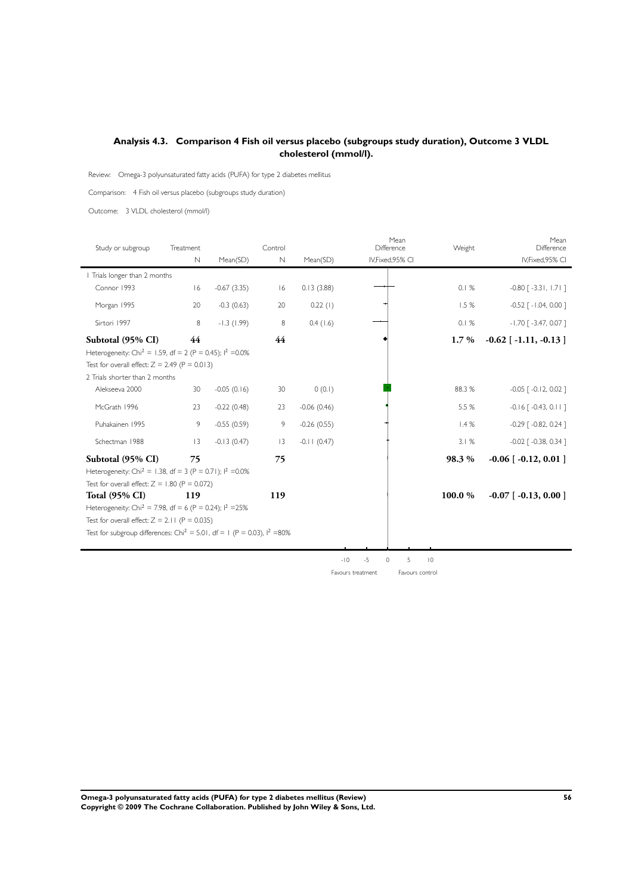# <span id="page-57-0"></span>**Analysis 4.3. Comparison 4 Fish oil versus placebo (subgroups study duration), Outcome 3 VLDL cholesterol (mmol/l).**

Review: Omega-3 polyunsaturated fatty acids (PUFA) for type 2 diabetes mellitus

Comparison: 4 Fish oil versus placebo (subgroups study duration)

Outcome: 3 VLDL cholesterol (mmol/l)

| Study or subgroup                                                                     | Treatment    |               | Control      |               | Mean<br>Difference | Weight  | Mean<br>Difference                  |
|---------------------------------------------------------------------------------------|--------------|---------------|--------------|---------------|--------------------|---------|-------------------------------------|
|                                                                                       | $\mathsf{N}$ | Mean(SD)      | $\mathsf{N}$ | Mean(SD)      | IV, Fixed, 95% CI  |         | IV, Fixed, 95% CI                   |
| Trials longer than 2 months                                                           |              |               |              |               |                    |         |                                     |
| Connor 1993                                                                           | 16           | $-0.67(3.35)$ | 16           | 0.13(3.88)    |                    | 0.1%    | $-0.80$ [ $-3.3$ ], $1.71$ ]        |
| Morgan 1995                                                                           | 20           | $-0.3(0.63)$  | 20           | 0.22(1)       |                    | 1.5%    | $-0.52$ $\lceil -1.04, 0.00 \rceil$ |
| Sirtori 1997                                                                          | 8            | $-1.3(1.99)$  | 8            | 0.4(1.6)      |                    | 0.1%    | $-1.70$ [ $-3.47$ , 0.07 ]          |
| Subtotal (95% CI)                                                                     | 44           |               | 44           |               |                    | $1.7\%$ | $-0.62$ [ $-1.11, -0.13$ ]          |
| Heterogeneity: Chi <sup>2</sup> = 1.59, df = 2 (P = 0.45); $1^2$ = 0.0%               |              |               |              |               |                    |         |                                     |
| Test for overall effect: $Z = 2.49$ (P = 0.013)                                       |              |               |              |               |                    |         |                                     |
| 2 Trials shorter than 2 months                                                        |              |               |              |               |                    |         |                                     |
| Alekseeva 2000                                                                        | 30           | $-0.05(0.16)$ | 30           | 0(0.1)        |                    | 88.3%   | $-0.05$ $\lceil -0.12, 0.02 \rceil$ |
| McGrath 1996                                                                          | 23           | $-0.22(0.48)$ | 23           | $-0.06(0.46)$ |                    | 5.5 %   | $-0.16$ $\lceil -0.43, 0.11 \rceil$ |
| Puhakainen 1995                                                                       | 9            | $-0.55(0.59)$ | 9            | $-0.26(0.55)$ |                    | 1.4%    | $-0.29$ $\lceil -0.82, 0.24 \rceil$ |
| Schectman 1988                                                                        | 3            | $-0.13(0.47)$ | 3            | $-0.11(0.47)$ |                    | 3.1%    | $-0.02$ $\lceil -0.38, 0.34 \rceil$ |
| Subtotal (95% CI)                                                                     | 75           |               | 75           |               |                    | 98.3%   | $-0.06$ [ $-0.12$ , 0.01 ]          |
| Heterogeneity: Chi <sup>2</sup> = 1.38, df = 3 (P = 0.71); $1^2$ =0.0%                |              |               |              |               |                    |         |                                     |
| Test for overall effect: $Z = 1.80$ (P = 0.072)                                       |              |               |              |               |                    |         |                                     |
| <b>Total (95% CI)</b>                                                                 | 119          |               | 119          |               |                    | 100.0 % | $-0.07$ [ $-0.13$ , 0.00 ]          |
| Heterogeneity: Chi <sup>2</sup> = 7.98, df = 6 (P = 0.24); l <sup>2</sup> = 25%       |              |               |              |               |                    |         |                                     |
| Test for overall effect: $Z = 2.11$ (P = 0.035)                                       |              |               |              |               |                    |         |                                     |
| Test for subgroup differences: Chi <sup>2</sup> = 5.01, df = 1 (P = 0.03), $1^2$ =80% |              |               |              |               |                    |         |                                     |

 $-10$ 

Favours treatment Favours control

**Omega-3 polyunsaturated fatty acids (PUFA) for type 2 diabetes mellitus (Review) 56 Copyright © 2009 The Cochrane Collaboration. Published by John Wiley & Sons, Ltd.**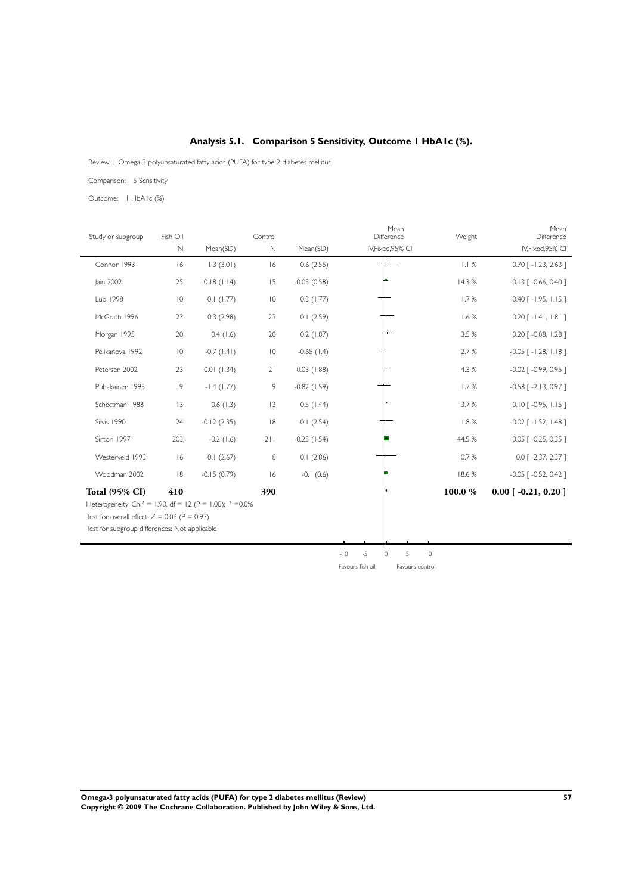# **Analysis 5.1. Comparison 5 Sensitivity, Outcome 1 HbA1c (%).**

<span id="page-58-0"></span>Review: Omega-3 polyunsaturated fatty acids (PUFA) for type 2 diabetes mellitus

Comparison: 5 Sensitivity

Outcome: 1 HbA1c (%)

| Study or subgroup                                                       | Fish Oil       |                | Control         |                | Mean<br>Difference                     | Weight | Mean<br>Difference                  |
|-------------------------------------------------------------------------|----------------|----------------|-----------------|----------------|----------------------------------------|--------|-------------------------------------|
|                                                                         | $\mathbb N$    | Mean(SD)       | $\mathbb N$     | Mean(SD)       | IV, Fixed, 95% CI                      |        | IV, Fixed, 95% CI                   |
| Connor 1993                                                             | 16             | 1.3(3.01)      | 16              | 0.6(2.55)      |                                        | 1.1%   | $0.70$ [ -1.23, 2.63 ]              |
| Jain 2002                                                               | 25             | $-0.18$ (1.14) | 15              | $-0.05(0.58)$  |                                        | 14.3 % | $-0.13$ $\lceil -0.66, 0.40 \rceil$ |
| Luo 1998                                                                | $ 0\rangle$    | $-0.1$ (1.77)  | $\overline{10}$ | 0.3(1.77)      |                                        | 1.7%   | $-0.40$ $[-1.95, 1.15]$             |
| McGrath 1996                                                            | 23             | 0.3(2.98)      | 23              | 0.1(2.59)      |                                        | 1.6%   | $0.20$ [ $-1.41$ , $1.81$ ]         |
| Morgan 1995                                                             | 20             | 0.4(1.6)       | 20              | $0.2$ (1.87)   |                                        | 3.5 %  | $0.20$ $\lceil -0.88, 1.28 \rceil$  |
| Pelikanova 1992                                                         | $\overline{0}$ | $-0.7$ (1.41)  | $ 0\rangle$     | $-0.65$ (1.4)  |                                        | 2.7 %  | $-0.05$ $\lceil -1.28, 1.18 \rceil$ |
| Petersen 2002                                                           | 23             | $0.01$ (1.34)  | 21              | 0.03(1.88)     |                                        | 4.3 %  | $-0.02$ $[-0.99, 0.95]$             |
| Puhakainen 1995                                                         | 9              | $-1.4(1.77)$   | 9               | $-0.82$ (1.59) |                                        | 1.7%   | $-0.58$ $[-2.13, 0.97]$             |
| Schectman 1988                                                          | 3              | 0.6(1.3)       | 3               | $0.5$ (1.44)   |                                        | 3.7%   | $0.10$ $[-0.95, 1.15]$              |
| Silvis 1990                                                             | 24             | $-0.12(2.35)$  | 8               | $-0.1(2.54)$   |                                        | 1.8%   | $-0.02$ $[-1.52, 1.48]$             |
| Sirtori 1997                                                            | 203            | $-0.2$ (1.6)   | 211             | $-0.25$ (1.54) |                                        | 44.5 % | $0.05$ $\lceil -0.25, 0.35 \rceil$  |
| Westerveld 1993                                                         | 6              | 0.1(2.67)      | 8               | 0.1(2.86)      |                                        | 0.7%   | $0.0$ [ -2.37, 2.37 ]               |
| Woodman 2002                                                            | 8              | $-0.15(0.79)$  | 6               | $-0.1(0.6)$    |                                        | 18.6%  | $-0.05$ $\lceil -0.52, 0.42 \rceil$ |
| Total (95% CI)                                                          | 410            |                | 390             |                |                                        | 100.0% | $0.00$ [ $-0.21, 0.20$ ]            |
| Heterogeneity: Chi <sup>2</sup> = 1.90, df = 12 (P = 1.00); $1^2$ =0.0% |                |                |                 |                |                                        |        |                                     |
| Test for overall effect: $Z = 0.03$ (P = 0.97)                          |                |                |                 |                |                                        |        |                                     |
| Test for subgroup differences: Not applicable                           |                |                |                 |                |                                        |        |                                     |
|                                                                         |                |                |                 |                | $-5$<br>$-10$<br>5<br>$ 0\rangle$<br>0 |        |                                     |
|                                                                         |                |                |                 |                | Favours fish oil<br>Favours control    |        |                                     |
|                                                                         |                |                |                 |                |                                        |        |                                     |
|                                                                         |                |                |                 |                |                                        |        |                                     |
|                                                                         |                |                |                 |                |                                        |        |                                     |

**Omega-3 polyunsaturated fatty acids (PUFA) for type 2 diabetes mellitus (Review) 57 Copyright © 2009 The Cochrane Collaboration. Published by John Wiley & Sons, Ltd.**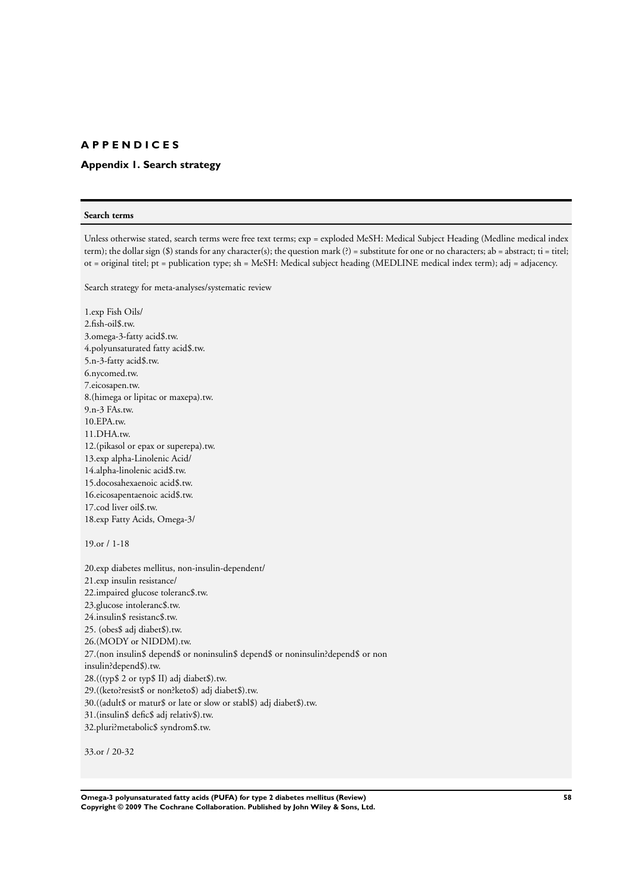# <span id="page-59-0"></span>**A P P E N D I C E S**

# **Appendix 1. Search strategy**

### **Search terms**

Unless otherwise stated, search terms were free text terms; exp = exploded MeSH: Medical Subject Heading (Medline medical index term); the dollar sign (\$) stands for any character(s); the question mark (?) = substitute for one or no characters; ab = abstract; ti = titel; ot = original titel; pt = publication type; sh = MeSH: Medical subject heading (MEDLINE medical index term); adj = adjacency.

Search strategy for meta-analyses/systematic review

1.exp Fish Oils/ 2.fish-oil\$.tw. 3.omega-3-fatty acid\$.tw. 4.polyunsaturated fatty acid\$.tw. 5.n-3-fatty acid\$.tw. 6.nycomed.tw. 7.eicosapen.tw. 8.(himega or lipitac or maxepa).tw. 9.n-3 FAs.tw. 10.EPA.tw. 11.DHA.tw. 12.(pikasol or epax or superepa).tw. 13.exp alpha-Linolenic Acid/ 14.alpha-linolenic acid\$.tw. 15.docosahexaenoic acid\$.tw. 16.eicosapentaenoic acid\$.tw. 17.cod liver oil\$.tw. 18.exp Fatty Acids, Omega-3/

19.or / 1-18

20.exp diabetes mellitus, non-insulin-dependent/ 21.exp insulin resistance/ 22.impaired glucose toleranc\$.tw. 23.glucose intoleranc\$.tw. 24.insulin\$ resistanc\$.tw. 25. (obes\$ adj diabet\$).tw. 26.(MODY or NIDDM).tw. 27.(non insulin\$ depend\$ or noninsulin\$ depend\$ or noninsulin?depend\$ or non insulin?depend\$).tw. 28.((typ\$ 2 or typ\$ II) adj diabet\$).tw. 29.((keto?resist\$ or non?keto\$) adj diabet\$).tw. 30.((adult\$ or matur\$ or late or slow or stabl\$) adj diabet\$).tw. 31.(insulin\$ defic\$ adj relativ\$).tw. 32.pluri?metabolic\$ syndrom\$.tw.

33.or / 20-32

**Omega-3 polyunsaturated fatty acids (PUFA) for type 2 diabetes mellitus (Review) 58 Copyright © 2009 The Cochrane Collaboration. Published by John Wiley & Sons, Ltd.**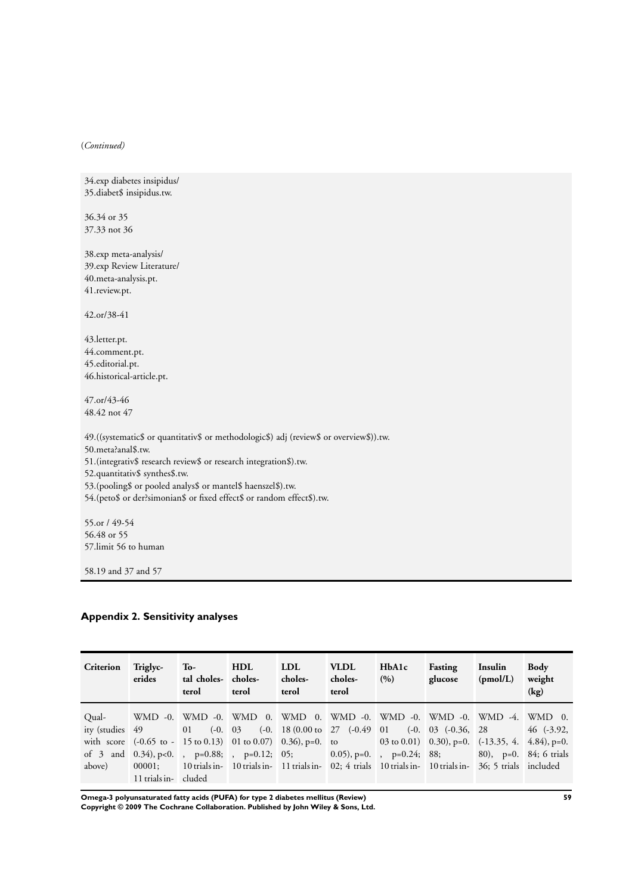<span id="page-60-0"></span>(*Continued)*

34.exp diabetes insipidus/ 35.diabet\$ insipidus.tw.

36.34 or 35 37.33 not 36

38.exp meta-analysis/ 39.exp Review Literature/ 40.meta-analysis.pt. 41.review.pt.

42.or/38-41

43.letter.pt. 44.comment.pt. 45.editorial.pt. 46.historical-article.pt.

47.or/43-46 48.42 not 47

49.((systematic\$ or quantitativ\$ or methodologic\$) adj (review\$ or overview\$)).tw. 50.meta?anal\$.tw. 51.(integrativ\$ research review\$ or research integration\$).tw. 52.quantitativ\$ synthes\$.tw. 53.(pooling\$ or pooled analys\$ or mantel\$ haenszel\$).tw. 54.(peto\$ or der?simonian\$ or fixed effect\$ or random effect\$).tw. 55.or / 49-54

56.48 or 55 57.limit 56 to human

58.19 and 37 and 57

# **Appendix 2. Sensitivity analyses**

| Criterion | Triglyc-<br>erides   | To-<br>tal choles- choles-<br>terol | HDL<br>terol | <b>LDL</b><br>choles-<br>terol | <b>VLDL</b><br>choles-<br>terol                                                                               | <b>HbA1c</b><br>(9/0) | Fasting<br>glucose | Insulin<br>(pmol/L) | <b>Body</b><br>weight<br>(kg) |
|-----------|----------------------|-------------------------------------|--------------|--------------------------------|---------------------------------------------------------------------------------------------------------------|-----------------------|--------------------|---------------------|-------------------------------|
|           |                      |                                     |              |                                |                                                                                                               |                       |                    |                     |                               |
|           |                      |                                     |              |                                | Oual- WMD -0. WMD -0. WMD 0. WMD 0. WMD -0. WMD -0. WMD -0. WMD -4. WMD 0.                                    |                       |                    |                     |                               |
|           |                      |                                     |              |                                | ity (studies 49 01 (-0, 03 (-0, 18 (0,00 to 27 (-0,49 01 (-0, 03 (-0,36, 28 46 (-3.92,                        |                       |                    |                     |                               |
|           |                      |                                     |              |                                | with score (-0.65 to - 15 to 0.13) 01 to 0.07) 0.36), p=0. to 03 to 0.01) 0.30), p=0. (-13.35, 4. 4.84), p=0. |                       |                    |                     |                               |
|           |                      |                                     |              |                                | of 3 and 0.34), p<0. , p=0.88; , p=0.12; 05; 0.05), p=0. , p=0.24; 88; 80), p=0. 84; 6 trials                 |                       |                    |                     |                               |
| above)    | 00001:               |                                     |              |                                | 10 trials in- 10 trials in- 11 trials in- 02; 4 trials 10 trials in- 10 trials in- 36; 5 trials included      |                       |                    |                     |                               |
|           | 11 trials in- cluded |                                     |              |                                |                                                                                                               |                       |                    |                     |                               |

**Omega-3 polyunsaturated fatty acids (PUFA) for type 2 diabetes mellitus (Review) 59**

**Copyright © 2009 The Cochrane Collaboration. Published by John Wiley & Sons, Ltd.**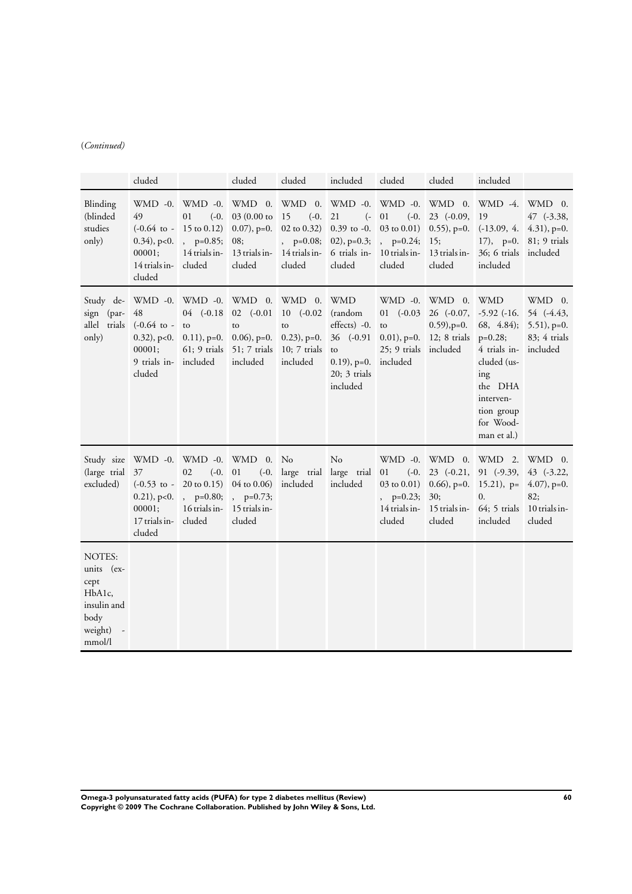# (*Continued)*

|                                                                                                                | cluded                                                                               |                                                                                                                                       | cluded                                                                                                              | cluded                                                    | included                                                                                              | cluded                                                                                                                                                      | cluded                                                                                                   | included                                                                                                                                     |                                                                               |
|----------------------------------------------------------------------------------------------------------------|--------------------------------------------------------------------------------------|---------------------------------------------------------------------------------------------------------------------------------------|---------------------------------------------------------------------------------------------------------------------|-----------------------------------------------------------|-------------------------------------------------------------------------------------------------------|-------------------------------------------------------------------------------------------------------------------------------------------------------------|----------------------------------------------------------------------------------------------------------|----------------------------------------------------------------------------------------------------------------------------------------------|-------------------------------------------------------------------------------|
| Blinding<br>(blinded<br>studies<br>only)                                                                       | 49<br>00001;<br>14 trials in-<br>cluded                                              | WMD -0. WMD -0.<br>01<br>$(-0,$<br>$(-0.64 \text{ to } -15 \text{ to } 0.12)$<br>$(0.34)$ , p<0. , p=0.85;<br>14 trials in-<br>cluded | $03(0.00)$ to<br>$(0.07)$ , p=0.<br>08;<br>13 trials in-<br>cluded                                                  | $(-0, 0)$<br>15<br>$, p=0.08;$<br>14 trials in-<br>cluded | 21<br>$\left( -\right)$<br>6 trials in- 10 trials in-<br>cluded                                       | WMD 0. WMD 0. WMD -0. WMD -0. WMD 0. WMD -4.<br>01<br>$(-0, 0)$<br>02 to 0.32) 0.39 to -0. 03 to 0.01) 0.55), p=0.<br>02), $p=0.3$ ; , $p=0.24$ ;<br>cluded | $23$ (-0.09,<br>15;<br>13 trials in-<br>cluded                                                           | 19<br>$(-13.09, 4.$<br>$17$ , $p=0$ .<br>36; 6 trials included<br>included                                                                   | WMD 0.<br>47 (-3.38,<br>$(4.31)$ , p=0.<br>81; 9 trials                       |
| Study de-<br>sign (par-<br>allel trials<br>only)                                                               | WMD -0. WMD -0.<br>48<br>$(-0.64)$ to -<br>00001;<br>9 trials in- included<br>cluded | $04$ $(-0.18)$<br>to<br>$(0.32)$ , p<0. $(0.11)$ , p=0.<br>$61; 9$ trials                                                             | WMD 0. WMD 0. WMD<br>$02$ $(-0.01)$<br>to<br>0.06), $p=0$ . 0.23), $p=0$ .<br>51; 7 trials 10; 7 trials<br>included | $10 \quad (-0.02)$<br>to<br>included                      | (random<br>effects) -0.<br>36 (-0.91)<br>to<br>$(0.19)$ , p=0. included<br>$20; 3$ trials<br>included | $01 \quad (-0.03)$<br>to<br>25; 9 trials included                                                                                                           | $WMD -0.$ WMD $0.$<br>26 (-0.07,<br>$(0.59)$ , $p=0$ .<br>0.01), p=0. 12; 8 trials p=0.28;               | WMD<br>$-5.92$ $(-16.$<br>68, 4.84);<br>4 trials in-<br>cluded (us-<br>ing<br>the DHA<br>interven-<br>tion group<br>for Wood-<br>man et al.) | WMD 0.<br>54 (-4.43,<br>$5.51$ ), p=0.<br>83; 4 trials<br>included            |
| Study size<br>(large trial<br>excluded)                                                                        | 37<br>$(-0.53)$ to -<br>00001;<br>17 trials in-<br>cluded                            | WMD -0. WMD -0.<br>$(-0, 0)$<br>02<br>$20 \text{ to } 0.15$ )<br>0.21), $p<0$ . , $p=0.80$ ; , $p=0.73$ ;<br>16 trials in-<br>cluded  | WMD 0. No<br>$(-0, 0)$<br>01<br>04 to 0.06)<br>15 trials in-<br>cluded                                              | large trial<br>included                                   | No<br>large trial 01<br>included                                                                      | $(-0,$<br>03 to 0.01)<br>$p=0.23;$<br>14 trials in-<br>cluded                                                                                               | WMD -0. WMD 0. WMD 2.<br>$23$ $(-0.21,$<br>0.66), $p=0$ . 15.21), $p=$<br>30;<br>15 trials in-<br>cluded | 91 (-9.39,<br>$\overline{0}$ .<br>64; 5 trials<br>included                                                                                   | WMD 0.<br>$43$ $(-3.22,$<br>$(4.07)$ , p=0.<br>82;<br>10 trials in-<br>cluded |
| NOTES:<br>units (ex-<br>cept<br>HbA1c,<br>insulin and<br>body<br>weight)<br>$\overline{\phantom{a}}$<br>mmol/l |                                                                                      |                                                                                                                                       |                                                                                                                     |                                                           |                                                                                                       |                                                                                                                                                             |                                                                                                          |                                                                                                                                              |                                                                               |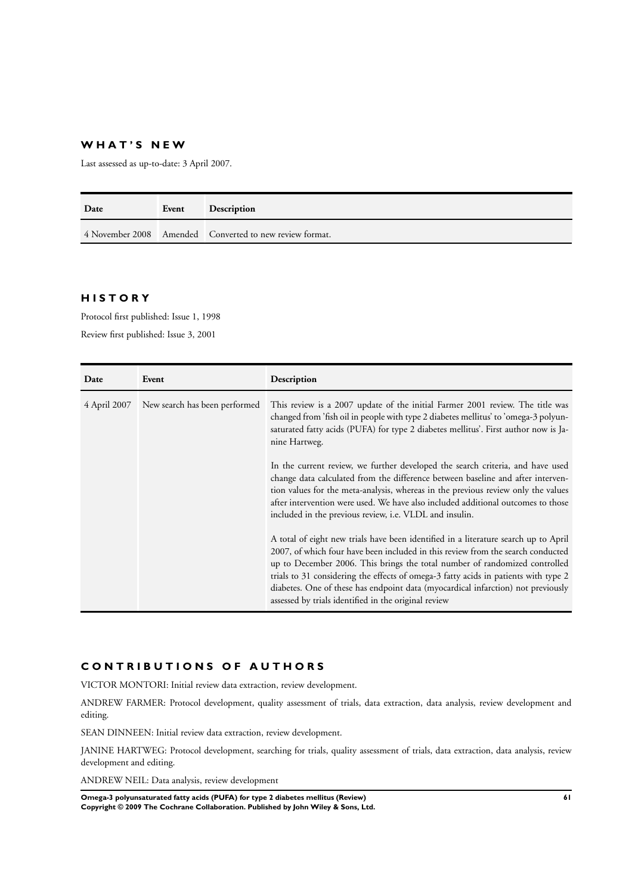# **W H A T ' S N E W**

Last assessed as up-to-date: 3 April 2007.

| Date | Event | <b>Description</b>                                      |
|------|-------|---------------------------------------------------------|
|      |       | 4 November 2008 Amended Converted to new review format. |

# **H I S T O R Y**

Protocol first published: Issue 1, 1998

Review first published: Issue 3, 2001

| Date         | Event                         | Description                                                                                                                                                                                                                                                                                                                                                                                                                                                                             |
|--------------|-------------------------------|-----------------------------------------------------------------------------------------------------------------------------------------------------------------------------------------------------------------------------------------------------------------------------------------------------------------------------------------------------------------------------------------------------------------------------------------------------------------------------------------|
| 4 April 2007 | New search has been performed | This review is a 2007 update of the initial Farmer 2001 review. The title was<br>changed from 'fish oil in people with type 2 diabetes mellitus' to 'omega-3 polyun-<br>saturated fatty acids (PUFA) for type 2 diabetes mellitus'. First author now is Ja-<br>nine Hartweg.                                                                                                                                                                                                            |
|              |                               | In the current review, we further developed the search criteria, and have used<br>change data calculated from the difference between baseline and after interven-<br>tion values for the meta-analysis, whereas in the previous review only the values<br>after intervention were used. We have also included additional outcomes to those<br>included in the previous review, i.e. VLDL and insulin.                                                                                   |
|              |                               | A total of eight new trials have been identified in a literature search up to April<br>2007, of which four have been included in this review from the search conducted<br>up to December 2006. This brings the total number of randomized controlled<br>trials to 31 considering the effects of omega-3 fatty acids in patients with type 2<br>diabetes. One of these has endpoint data (myocardical infarction) not previously<br>assessed by trials identified in the original review |

# **C O N T R I B U T I O N S O F A U T H O R S**

VICTOR MONTORI: Initial review data extraction, review development.

ANDREW FARMER: Protocol development, quality assessment of trials, data extraction, data analysis, review development and editing.

SEAN DINNEEN: Initial review data extraction, review development.

JANINE HARTWEG: Protocol development, searching for trials, quality assessment of trials, data extraction, data analysis, review development and editing.

ANDREW NEIL: Data analysis, review development

**Omega-3 polyunsaturated fatty acids (PUFA) for type 2 diabetes mellitus (Review) 61 Copyright © 2009 The Cochrane Collaboration. Published by John Wiley & Sons, Ltd.**